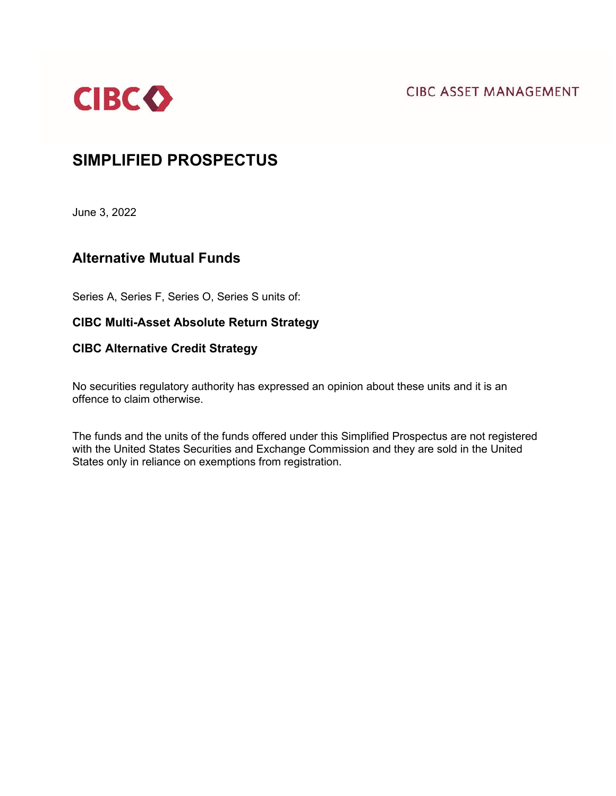

# **SIMPLIFIED PROSPECTUS**

June 3, 2022

# **Alternative Mutual Funds**

Series A, Series F, Series O, Series S units of:

# **CIBC Multi-Asset Absolute Return Strategy**

# **CIBC Alternative Credit Strategy**

No securities regulatory authority has expressed an opinion about these units and it is an offence to claim otherwise.

The funds and the units of the funds offered under this Simplified Prospectus are not registered with the United States Securities and Exchange Commission and they are sold in the United States only in reliance on exemptions from registration.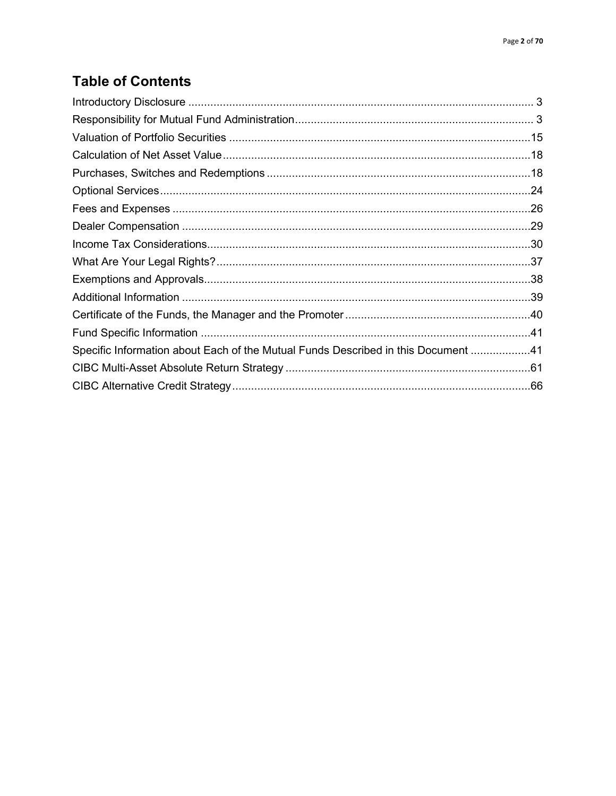# **Table of Contents**

| Specific Information about Each of the Mutual Funds Described in this Document 41 |  |
|-----------------------------------------------------------------------------------|--|
|                                                                                   |  |
|                                                                                   |  |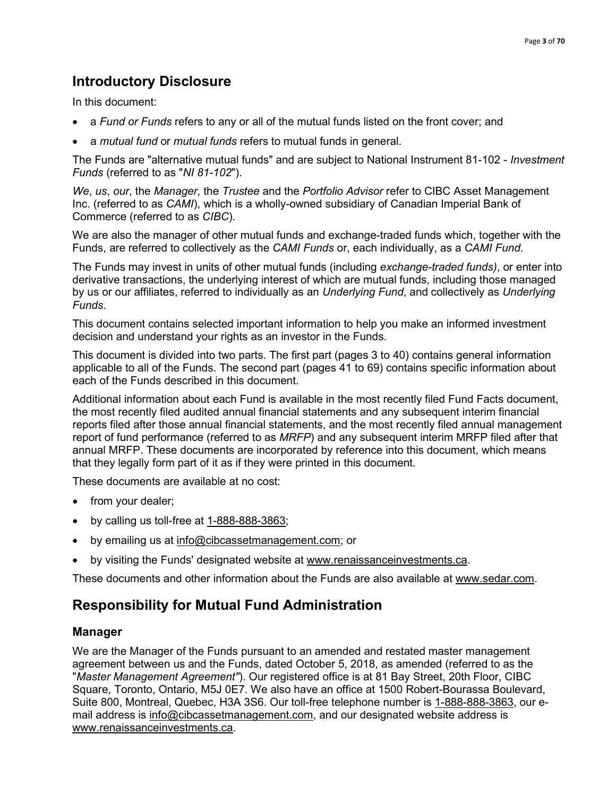# <span id="page-2-0"></span>**Introductory Disclosure**

In this document:

- a *Fund or Funds* refers to any or all of the mutual funds listed on the front cover; and
- a *mutual fund* or *mutual funds* refers to mutual funds in general.

The Funds are "alternative mutual funds" and are subject to National Instrument 81-102 - *Investment Funds* (referred to as "*NI 81-102*").

*We*, *us*, *our*, the *Manager*, the *Trustee* and the *Portfolio Advisor* refer to CIBC Asset Management Inc. (referred to as *CAMI*), which is a wholly-owned subsidiary of Canadian Imperial Bank of Commerce (referred to as *CIBC*).

We are also the manager of other mutual funds and exchange-traded funds which, together with the Funds, are referred to collectively as the *CAMI Funds* or, each individually, as a *CAMI Fund*.

The Funds may invest in units of other mutual funds (including *exchange-traded funds)*, or enter into derivative transactions, the underlying interest of which are mutual funds, including those managed by us or our affiliates, referred to individually as an *Underlying Fund*, and collectively as *Underlying Funds*.

This document contains selected important information to help you make an informed investment decision and understand your rights as an investor in the Funds.

This document is divided into two parts. The first part (pages 3 to 40) contains general information applicable to all of the Funds. The second part (pages 41 to 69) contains specific information about each of the Funds described in this document.

Additional information about each Fund is available in the most recently filed Fund Facts document, the most recently filed audited annual financial statements and any subsequent interim financial reports filed after those annual financial statements, and the most recently filed annual management report of fund performance (referred to as *MRFP*) and any subsequent interim MRFP filed after that annual MRFP. These documents are incorporated by reference into this document, which means that they legally form part of it as if they were printed in this document.

These documents are available at no cost:

- from your dealer:
- by calling us toll-free at [1-888-888-3863;](tel:18888883863)
- by emailing us at [info@cibcassetmanagement.com;](file://tocs2001/wthmips_ds/CAM%20Regulatory/Point%20of%20Sale/_2010-/_2022/20220204_EMD_PIMCO_P_PRO1320NR/1_SP%20AIF/SP/info@cibcassetmanagement.com) or
- by visiting the Funds' designated website at [www.renaissanceinvestments.ca.](file://tocs2001/wthmips_ds/CAM%20Regulatory/Point%20of%20Sale/_2010-/_2022/20220204_EMD_PIMCO_P_PRO1320NR/1_SP%20AIF/SP/www.renaissanceinvestments.ca)

These documents and other information about the Funds are also available at [www.sedar.com.](file://tocs2001/wthmips_ds/CAM%20Regulatory/Point%20of%20Sale/_2010-/_2022/20220204_EMD_PIMCO_P_PRO1320NR/1_SP%20AIF/SP/www.sedar.com)

# <span id="page-2-1"></span>**Responsibility for Mutual Fund Administration**

# **Manager**

We are the Manager of the Funds pursuant to an amended and restated master management agreement between us and the Funds, dated October 5, 2018, as amended (referred to as the "*Master Management Agreement"*). Our registered office is at 81 Bay Street, 20th Floor, CIBC Square, Toronto, Ontario, M5J 0E7. We also have an office at 1500 Robert-Bourassa Boulevard, Suite 800, Montreal, Quebec, H3A 3S6. Our toll-free telephone number is [1-888-888-3863,](mailto:1-888-888-3863) our email address is [info@cibcassetmanagement.com,](file://tocs2001/wthmips_ds/CAM%20Regulatory/Point%20of%20Sale/_2010-/_2022/20220204_EMD_PIMCO_P_PRO1320NR/1_SP%20AIF/SP/info@cibcassetmanagement.com) and our designated website address is [www.renaissanceinvestments.ca.](file://tocs2001/wthmips_ds/CAM%20Regulatory/Point%20of%20Sale/_2010-/_2022/20220204_EMD_PIMCO_P_PRO1320NR/1_SP%20AIF/SP/www.renaissanceinvestments.ca)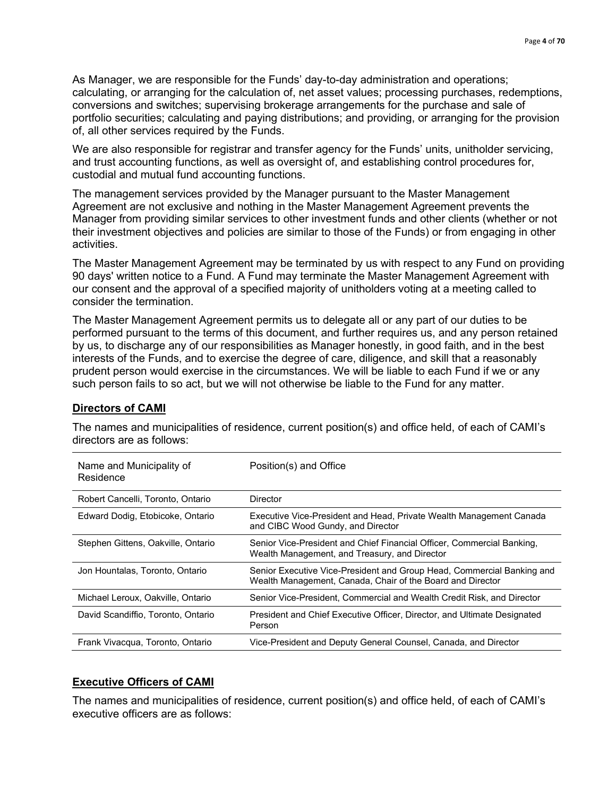As Manager, we are responsible for the Funds' day-to-day administration and operations; calculating, or arranging for the calculation of, net asset values; processing purchases, redemptions, conversions and switches; supervising brokerage arrangements for the purchase and sale of portfolio securities; calculating and paying distributions; and providing, or arranging for the provision of, all other services required by the Funds.

We are also responsible for registrar and transfer agency for the Funds' units, unitholder servicing, and trust accounting functions, as well as oversight of, and establishing control procedures for, custodial and mutual fund accounting functions.

The management services provided by the Manager pursuant to the Master Management Agreement are not exclusive and nothing in the Master Management Agreement prevents the Manager from providing similar services to other investment funds and other clients (whether or not their investment objectives and policies are similar to those of the Funds) or from engaging in other activities.

The Master Management Agreement may be terminated by us with respect to any Fund on providing 90 days' written notice to a Fund. A Fund may terminate the Master Management Agreement with our consent and the approval of a specified majority of unitholders voting at a meeting called to consider the termination.

The Master Management Agreement permits us to delegate all or any part of our duties to be performed pursuant to the terms of this document, and further requires us, and any person retained by us, to discharge any of our responsibilities as Manager honestly, in good faith, and in the best interests of the Funds, and to exercise the degree of care, diligence, and skill that a reasonably prudent person would exercise in the circumstances. We will be liable to each Fund if we or any such person fails to so act, but we will not otherwise be liable to the Fund for any matter.

### **Directors of CAMI**

Name and Municipality of Residence Position(s) and Office Robert Cancelli, Toronto, Ontario **Director** Edward Dodig, Etobicoke, Ontario Executive Vice-President and Head, Private Wealth Management Canada and CIBC Wood Gundy, and Director Stephen Gittens, Oakville, Ontario Senior Vice-President and Chief Financial Officer, Commercial Banking, Wealth Management, and Treasury, and Director Jon Hountalas, Toronto, Ontario Senior Executive Vice-President and Group Head, Commercial Banking and Wealth Management, Canada, Chair of the Board and Director Michael Leroux, Oakville, Ontario Senior Vice-President, Commercial and Wealth Credit Risk, and Director David Scandiffio, Toronto, Ontario President and Chief Executive Officer, Director, and Ultimate Designated Person Frank Vivacqua, Toronto, Ontario Vice-President and Deputy General Counsel, Canada, and Director

The names and municipalities of residence, current position(s) and office held, of each of CAMI's directors are as follows:

# **Executive Officers of CAMI**

The names and municipalities of residence, current position(s) and office held, of each of CAMI's executive officers are as follows: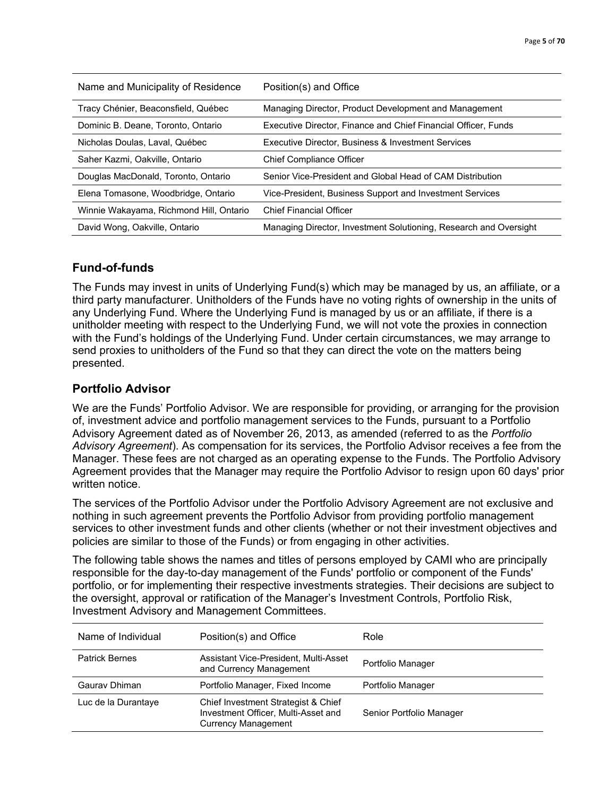| Name and Municipality of Residence      | Position(s) and Office                                            |
|-----------------------------------------|-------------------------------------------------------------------|
| Tracy Chénier, Beaconsfield, Québec     | Managing Director, Product Development and Management             |
| Dominic B. Deane, Toronto, Ontario      | Executive Director, Finance and Chief Financial Officer, Funds    |
| Nicholas Doulas, Laval, Québec          | Executive Director, Business & Investment Services                |
| Saher Kazmi, Oakville, Ontario          | <b>Chief Compliance Officer</b>                                   |
| Douglas MacDonald, Toronto, Ontario     | Senior Vice-President and Global Head of CAM Distribution         |
| Elena Tomasone, Woodbridge, Ontario     | Vice-President, Business Support and Investment Services          |
| Winnie Wakayama, Richmond Hill, Ontario | <b>Chief Financial Officer</b>                                    |
| David Wong, Oakville, Ontario           | Managing Director, Investment Solutioning, Research and Oversight |

# **Fund-of-funds**

The Funds may invest in units of Underlying Fund(s) which may be managed by us, an affiliate, or a third party manufacturer. Unitholders of the Funds have no voting rights of ownership in the units of any Underlying Fund. Where the Underlying Fund is managed by us or an affiliate, if there is a unitholder meeting with respect to the Underlying Fund, we will not vote the proxies in connection with the Fund's holdings of the Underlying Fund. Under certain circumstances, we may arrange to send proxies to unitholders of the Fund so that they can direct the vote on the matters being presented.

# **Portfolio Advisor**

We are the Funds' Portfolio Advisor. We are responsible for providing, or arranging for the provision of, investment advice and portfolio management services to the Funds, pursuant to a Portfolio Advisory Agreement dated as of November 26, 2013, as amended (referred to as the *Portfolio Advisory Agreement*). As compensation for its services, the Portfolio Advisor receives a fee from the Manager. These fees are not charged as an operating expense to the Funds. The Portfolio Advisory Agreement provides that the Manager may require the Portfolio Advisor to resign upon 60 days' prior written notice

The services of the Portfolio Advisor under the Portfolio Advisory Agreement are not exclusive and nothing in such agreement prevents the Portfolio Advisor from providing portfolio management services to other investment funds and other clients (whether or not their investment objectives and policies are similar to those of the Funds) or from engaging in other activities.

The following table shows the names and titles of persons employed by CAMI who are principally responsible for the day-to-day management of the Funds' portfolio or component of the Funds' portfolio, or for implementing their respective investments strategies. Their decisions are subject to the oversight, approval or ratification of the Manager's Investment Controls, Portfolio Risk, Investment Advisory and Management Committees.

| Name of Individual    | Position(s) and Office                                                                                   | Role                     |
|-----------------------|----------------------------------------------------------------------------------------------------------|--------------------------|
| <b>Patrick Bernes</b> | Assistant Vice-President, Multi-Asset<br>and Currency Management                                         | Portfolio Manager        |
| Gauray Dhiman         | Portfolio Manager, Fixed Income                                                                          | Portfolio Manager        |
| Luc de la Durantaye   | Chief Investment Strategist & Chief<br>Investment Officer, Multi-Asset and<br><b>Currency Management</b> | Senior Portfolio Manager |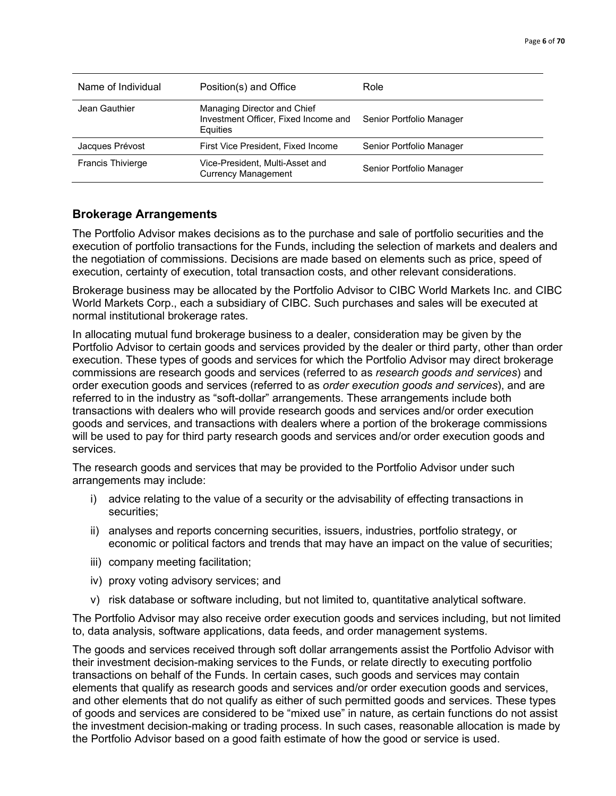| Name of Individual       | Position(s) and Office                                                          | Role                     |
|--------------------------|---------------------------------------------------------------------------------|--------------------------|
| Jean Gauthier            | Managing Director and Chief<br>Investment Officer, Fixed Income and<br>Equities | Senior Portfolio Manager |
| Jacques Prévost          | First Vice President, Fixed Income                                              | Senior Portfolio Manager |
| <b>Francis Thivierge</b> | Vice-President, Multi-Asset and<br><b>Currency Management</b>                   | Senior Portfolio Manager |

### **Brokerage Arrangements**

The Portfolio Advisor makes decisions as to the purchase and sale of portfolio securities and the execution of portfolio transactions for the Funds, including the selection of markets and dealers and the negotiation of commissions. Decisions are made based on elements such as price, speed of execution, certainty of execution, total transaction costs, and other relevant considerations.

Brokerage business may be allocated by the Portfolio Advisor to CIBC World Markets Inc. and CIBC World Markets Corp., each a subsidiary of CIBC. Such purchases and sales will be executed at normal institutional brokerage rates.

In allocating mutual fund brokerage business to a dealer, consideration may be given by the Portfolio Advisor to certain goods and services provided by the dealer or third party, other than order execution. These types of goods and services for which the Portfolio Advisor may direct brokerage commissions are research goods and services (referred to as *research goods and services*) and order execution goods and services (referred to as *order execution goods and services*), and are referred to in the industry as "soft-dollar" arrangements. These arrangements include both transactions with dealers who will provide research goods and services and/or order execution goods and services, and transactions with dealers where a portion of the brokerage commissions will be used to pay for third party research goods and services and/or order execution goods and services.

The research goods and services that may be provided to the Portfolio Advisor under such arrangements may include:

- i) advice relating to the value of a security or the advisability of effecting transactions in securities;
- ii) analyses and reports concerning securities, issuers, industries, portfolio strategy, or economic or political factors and trends that may have an impact on the value of securities;
- iii) company meeting facilitation;
- iv) proxy voting advisory services; and
- v) risk database or software including, but not limited to, quantitative analytical software.

The Portfolio Advisor may also receive order execution goods and services including, but not limited to, data analysis, software applications, data feeds, and order management systems.

The goods and services received through soft dollar arrangements assist the Portfolio Advisor with their investment decision-making services to the Funds, or relate directly to executing portfolio transactions on behalf of the Funds. In certain cases, such goods and services may contain elements that qualify as research goods and services and/or order execution goods and services, and other elements that do not qualify as either of such permitted goods and services. These types of goods and services are considered to be "mixed use" in nature, as certain functions do not assist the investment decision-making or trading process. In such cases, reasonable allocation is made by the Portfolio Advisor based on a good faith estimate of how the good or service is used.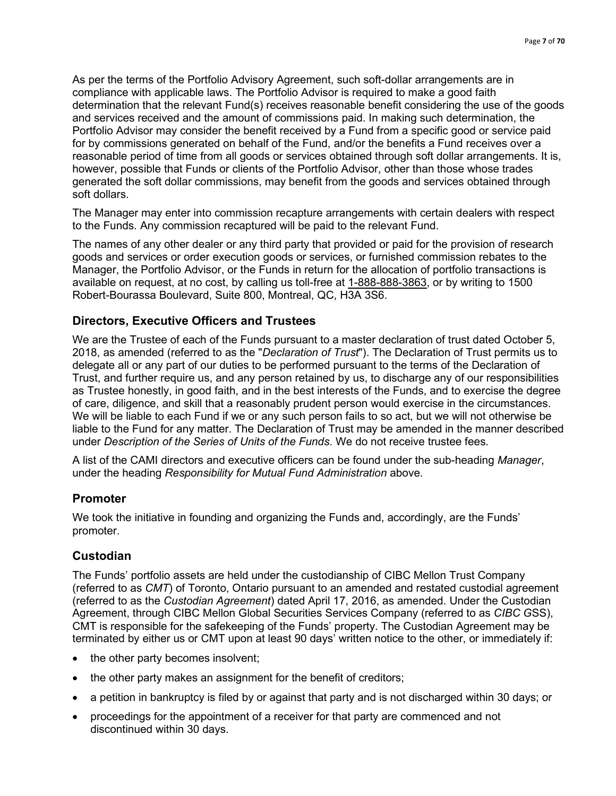As per the terms of the Portfolio Advisory Agreement, such soft-dollar arrangements are in compliance with applicable laws. The Portfolio Advisor is required to make a good faith determination that the relevant Fund(s) receives reasonable benefit considering the use of the goods and services received and the amount of commissions paid. In making such determination, the Portfolio Advisor may consider the benefit received by a Fund from a specific good or service paid for by commissions generated on behalf of the Fund, and/or the benefits a Fund receives over a reasonable period of time from all goods or services obtained through soft dollar arrangements. It is, however, possible that Funds or clients of the Portfolio Advisor, other than those whose trades generated the soft dollar commissions, may benefit from the goods and services obtained through soft dollars.

The Manager may enter into commission recapture arrangements with certain dealers with respect to the Funds. Any commission recaptured will be paid to the relevant Fund.

The names of any other dealer or any third party that provided or paid for the provision of research goods and services or order execution goods or services, or furnished commission rebates to the Manager, the Portfolio Advisor, or the Funds in return for the allocation of portfolio transactions is available on request, at no cost, by calling us toll-free at [1-888-888-3863,](tel:1-888-888-3863) or by writing to 1500 Robert-Bourassa Boulevard, Suite 800, Montreal, QC, H3A 3S6.

# **Directors, Executive Officers and Trustees**

We are the Trustee of each of the Funds pursuant to a master declaration of trust dated October 5, 2018, as amended (referred to as the "*Declaration of Trust*"). The Declaration of Trust permits us to delegate all or any part of our duties to be performed pursuant to the terms of the Declaration of Trust, and further require us, and any person retained by us, to discharge any of our responsibilities as Trustee honestly, in good faith, and in the best interests of the Funds, and to exercise the degree of care, diligence, and skill that a reasonably prudent person would exercise in the circumstances. We will be liable to each Fund if we or any such person fails to so act, but we will not otherwise be liable to the Fund for any matter. The Declaration of Trust may be amended in the manner described under *Description of the Series of Units of the Funds*. We do not receive trustee fees.

A list of the CAMI directors and executive officers can be found under the sub-heading *Manager*, under the heading *Responsibility for Mutual Fund Administration* above.

# **Promoter**

We took the initiative in founding and organizing the Funds and, accordingly, are the Funds' promoter.

# **Custodian**

The Funds' portfolio assets are held under the custodianship of CIBC Mellon Trust Company (referred to as *CMT*) of Toronto, Ontario pursuant to an amended and restated custodial agreement (referred to as the *Custodian Agreement*) dated April 17, 2016, as amended. Under the Custodian Agreement, through CIBC Mellon Global Securities Services Company (referred to as *CIBC G*SS), CMT is responsible for the safekeeping of the Funds' property. The Custodian Agreement may be terminated by either us or CMT upon at least 90 days' written notice to the other, or immediately if:

- the other party becomes insolvent;
- the other party makes an assignment for the benefit of creditors;
- a petition in bankruptcy is filed by or against that party and is not discharged within 30 days; or
- proceedings for the appointment of a receiver for that party are commenced and not discontinued within 30 days.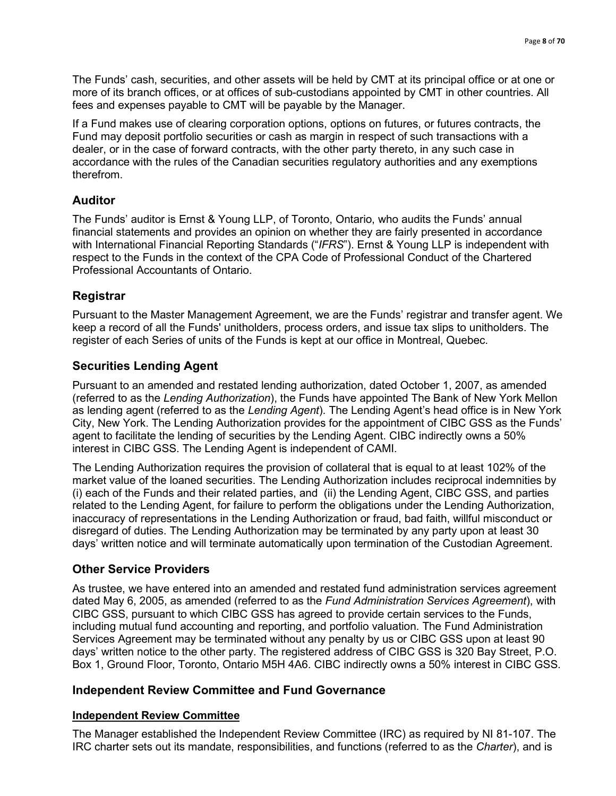The Funds' cash, securities, and other assets will be held by CMT at its principal office or at one or more of its branch offices, or at offices of sub-custodians appointed by CMT in other countries. All fees and expenses payable to CMT will be payable by the Manager.

If a Fund makes use of clearing corporation options, options on futures, or futures contracts, the Fund may deposit portfolio securities or cash as margin in respect of such transactions with a dealer, or in the case of forward contracts, with the other party thereto, in any such case in accordance with the rules of the Canadian securities regulatory authorities and any exemptions therefrom.

### **Auditor**

The Funds' auditor is Ernst & Young LLP, of Toronto, Ontario, who audits the Funds' annual financial statements and provides an opinion on whether they are fairly presented in accordance with International Financial Reporting Standards ("*IFRS*"). Ernst & Young LLP is independent with respect to the Funds in the context of the CPA Code of Professional Conduct of the Chartered Professional Accountants of Ontario.

### **Registrar**

Pursuant to the Master Management Agreement, we are the Funds' registrar and transfer agent. We keep a record of all the Funds' unitholders, process orders, and issue tax slips to unitholders. The register of each Series of units of the Funds is kept at our office in Montreal, Quebec.

# **Securities Lending Agent**

Pursuant to an amended and restated lending authorization, dated October 1, 2007, as amended (referred to as the *Lending Authorization*), the Funds have appointed The Bank of New York Mellon as lending agent (referred to as the *Lending Agent*). The Lending Agent's head office is in New York City, New York. The Lending Authorization provides for the appointment of CIBC GSS as the Funds' agent to facilitate the lending of securities by the Lending Agent. CIBC indirectly owns a 50% interest in CIBC GSS. The Lending Agent is independent of CAMI.

The Lending Authorization requires the provision of collateral that is equal to at least 102% of the market value of the loaned securities. The Lending Authorization includes reciprocal indemnities by (i) each of the Funds and their related parties, and (ii) the Lending Agent, CIBC GSS, and parties related to the Lending Agent, for failure to perform the obligations under the Lending Authorization, inaccuracy of representations in the Lending Authorization or fraud, bad faith, willful misconduct or disregard of duties. The Lending Authorization may be terminated by any party upon at least 30 days' written notice and will terminate automatically upon termination of the Custodian Agreement.

### **Other Service Providers**

As trustee, we have entered into an amended and restated fund administration services agreement dated May 6, 2005, as amended (referred to as the *Fund Administration Services Agreement*), with CIBC GSS, pursuant to which CIBC GSS has agreed to provide certain services to the Funds, including mutual fund accounting and reporting, and portfolio valuation. The Fund Administration Services Agreement may be terminated without any penalty by us or CIBC GSS upon at least 90 days' written notice to the other party. The registered address of CIBC GSS is 320 Bay Street, P.O. Box 1, Ground Floor, Toronto, Ontario M5H 4A6. CIBC indirectly owns a 50% interest in CIBC GSS.

# **Independent Review Committee and Fund Governance**

### **Independent Review Committee**

The Manager established the Independent Review Committee (IRC) as required by NI 81-107. The IRC charter sets out its mandate, responsibilities, and functions (referred to as the *Charter*), and is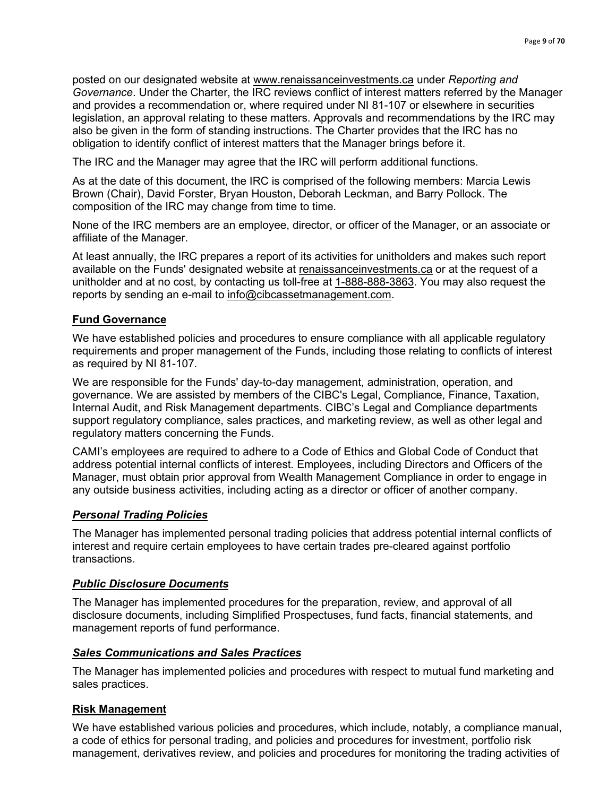posted on our designated website at [www.renaissanceinvestments.ca](file://tocs2001/wthmips_ds/CAM%20Regulatory/Point%20of%20Sale/_2010-/_2022/20220411_MAARS_PP_PRO1320NR%20(USD%20MAARS_AlternativeCredit)/1_SP/www.renaissanceinvestments.ca) under *Reporting and Governance*. Under the Charter, the IRC reviews conflict of interest matters referred by the Manager and provides a recommendation or, where required under NI 81-107 or elsewhere in securities legislation, an approval relating to these matters. Approvals and recommendations by the IRC may also be given in the form of standing instructions. The Charter provides that the IRC has no obligation to identify conflict of interest matters that the Manager brings before it.

The IRC and the Manager may agree that the IRC will perform additional functions.

As at the date of this document, the IRC is comprised of the following members: Marcia Lewis Brown (Chair), David Forster, Bryan Houston, Deborah Leckman, and Barry Pollock. The composition of the IRC may change from time to time.

None of the IRC members are an employee, director, or officer of the Manager, or an associate or affiliate of the Manager.

At least annually, the IRC prepares a report of its activities for unitholders and makes such report available on the Funds' designated website at [renaissanceinvestments.ca](http://www.renaissanceinvestments.ca/) or at the request of a unitholder and at no cost, by contacting us toll-free at [1-888-888-3863.](tel:1-888-888-3863) You may also request the reports by sending an e-mail to [info@cibcassetmanagement.com.](file://tocs2001/wthmips_ds/CAM%20Regulatory/Point%20of%20Sale/_2010-/_2022/20220411_MAARS_PP_PRO1320NR%20(USD%20MAARS_AlternativeCredit)/1_SP/info@cibcassetmanagement.com)

### **Fund Governance**

We have established policies and procedures to ensure compliance with all applicable regulatory requirements and proper management of the Funds, including those relating to conflicts of interest as required by NI 81-107.

We are responsible for the Funds' day-to-day management, administration, operation, and governance. We are assisted by members of the CIBC's Legal, Compliance, Finance, Taxation, Internal Audit, and Risk Management departments. CIBC's Legal and Compliance departments support regulatory compliance, sales practices, and marketing review, as well as other legal and regulatory matters concerning the Funds.

CAMI's employees are required to adhere to a Code of Ethics and Global Code of Conduct that address potential internal conflicts of interest. Employees, including Directors and Officers of the Manager, must obtain prior approval from Wealth Management Compliance in order to engage in any outside business activities, including acting as a director or officer of another company.

### *Personal Trading Policies*

The Manager has implemented personal trading policies that address potential internal conflicts of interest and require certain employees to have certain trades pre-cleared against portfolio transactions.

### *Public Disclosure Documents*

The Manager has implemented procedures for the preparation, review, and approval of all disclosure documents, including Simplified Prospectuses, fund facts, financial statements, and management reports of fund performance.

### *Sales Communications and Sales Practices*

The Manager has implemented policies and procedures with respect to mutual fund marketing and sales practices.

### **Risk Management**

We have established various policies and procedures, which include, notably, a compliance manual, a code of ethics for personal trading, and policies and procedures for investment, portfolio risk management, derivatives review, and policies and procedures for monitoring the trading activities of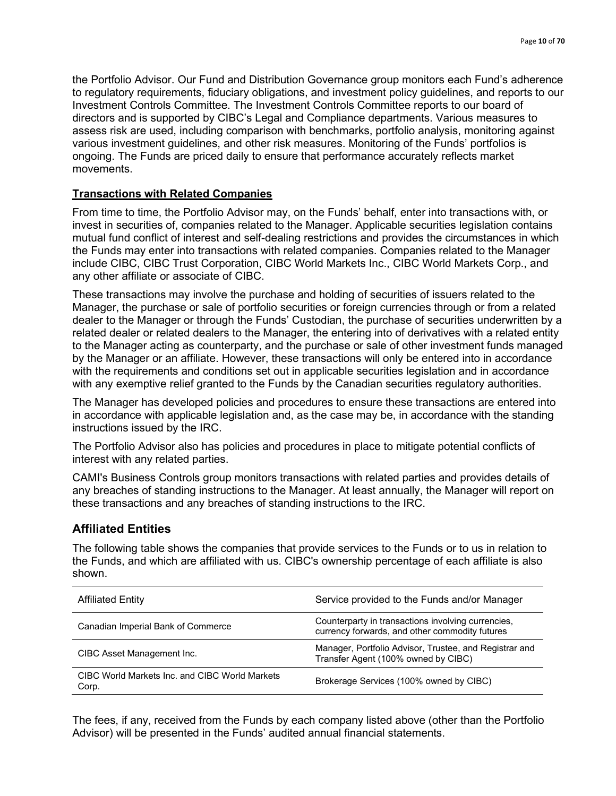the Portfolio Advisor. Our Fund and Distribution Governance group monitors each Fund's adherence to regulatory requirements, fiduciary obligations, and investment policy guidelines, and reports to our Investment Controls Committee. The Investment Controls Committee reports to our board of directors and is supported by CIBC's Legal and Compliance departments. Various measures to assess risk are used, including comparison with benchmarks, portfolio analysis, monitoring against various investment guidelines, and other risk measures. Monitoring of the Funds' portfolios is ongoing. The Funds are priced daily to ensure that performance accurately reflects market movements.

### **Transactions with Related Companies**

From time to time, the Portfolio Advisor may, on the Funds' behalf, enter into transactions with, or invest in securities of, companies related to the Manager. Applicable securities legislation contains mutual fund conflict of interest and self-dealing restrictions and provides the circumstances in which the Funds may enter into transactions with related companies. Companies related to the Manager include CIBC, CIBC Trust Corporation, CIBC World Markets Inc., CIBC World Markets Corp., and any other affiliate or associate of CIBC.

These transactions may involve the purchase and holding of securities of issuers related to the Manager, the purchase or sale of portfolio securities or foreign currencies through or from a related dealer to the Manager or through the Funds' Custodian, the purchase of securities underwritten by a related dealer or related dealers to the Manager, the entering into of derivatives with a related entity to the Manager acting as counterparty, and the purchase or sale of other investment funds managed by the Manager or an affiliate. However, these transactions will only be entered into in accordance with the requirements and conditions set out in applicable securities legislation and in accordance with any exemptive relief granted to the Funds by the Canadian securities regulatory authorities.

The Manager has developed policies and procedures to ensure these transactions are entered into in accordance with applicable legislation and, as the case may be, in accordance with the standing instructions issued by the IRC.

The Portfolio Advisor also has policies and procedures in place to mitigate potential conflicts of interest with any related parties.

CAMI's Business Controls group monitors transactions with related parties and provides details of any breaches of standing instructions to the Manager. At least annually, the Manager will report on these transactions and any breaches of standing instructions to the IRC.

# **Affiliated Entities**

The following table shows the companies that provide services to the Funds or to us in relation to the Funds, and which are affiliated with us. CIBC's ownership percentage of each affiliate is also shown.

| <b>Affiliated Entity</b>                                | Service provided to the Funds and/or Manager                                                         |
|---------------------------------------------------------|------------------------------------------------------------------------------------------------------|
| Canadian Imperial Bank of Commerce                      | Counterparty in transactions involving currencies,<br>currency forwards, and other commodity futures |
| CIBC Asset Management Inc.                              | Manager, Portfolio Advisor, Trustee, and Registrar and<br>Transfer Agent (100% owned by CIBC)        |
| CIBC World Markets Inc. and CIBC World Markets<br>Corp. | Brokerage Services (100% owned by CIBC)                                                              |

The fees, if any, received from the Funds by each company listed above (other than the Portfolio Advisor) will be presented in the Funds' audited annual financial statements.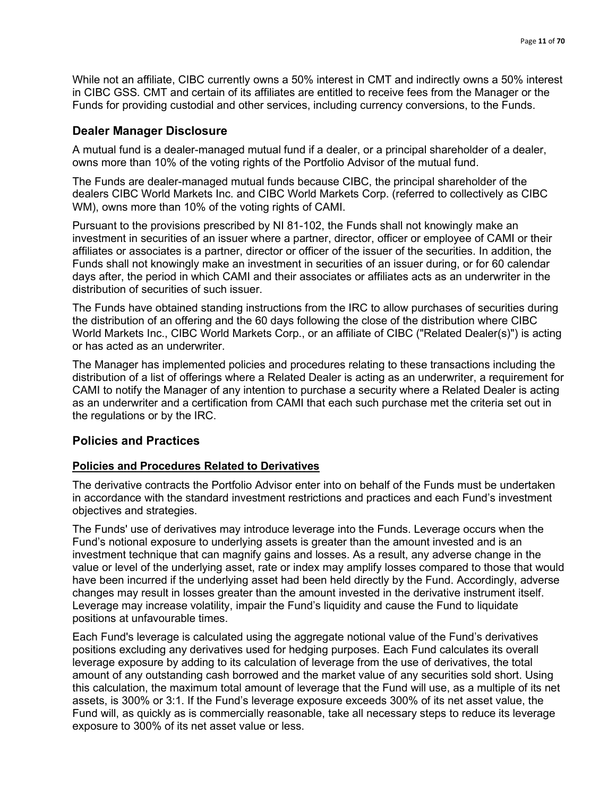While not an affiliate, CIBC currently owns a 50% interest in CMT and indirectly owns a 50% interest in CIBC GSS. CMT and certain of its affiliates are entitled to receive fees from the Manager or the Funds for providing custodial and other services, including currency conversions, to the Funds.

### **Dealer Manager Disclosure**

A mutual fund is a dealer-managed mutual fund if a dealer, or a principal shareholder of a dealer, owns more than 10% of the voting rights of the Portfolio Advisor of the mutual fund.

The Funds are dealer-managed mutual funds because CIBC, the principal shareholder of the dealers CIBC World Markets Inc. and CIBC World Markets Corp. (referred to collectively as CIBC WM), owns more than 10% of the voting rights of CAMI.

Pursuant to the provisions prescribed by NI 81-102, the Funds shall not knowingly make an investment in securities of an issuer where a partner, director, officer or employee of CAMI or their affiliates or associates is a partner, director or officer of the issuer of the securities. In addition, the Funds shall not knowingly make an investment in securities of an issuer during, or for 60 calendar days after, the period in which CAMI and their associates or affiliates acts as an underwriter in the distribution of securities of such issuer.

The Funds have obtained standing instructions from the IRC to allow purchases of securities during the distribution of an offering and the 60 days following the close of the distribution where CIBC World Markets Inc., CIBC World Markets Corp., or an affiliate of CIBC ("Related Dealer(s)") is acting or has acted as an underwriter.

The Manager has implemented policies and procedures relating to these transactions including the distribution of a list of offerings where a Related Dealer is acting as an underwriter, a requirement for CAMI to notify the Manager of any intention to purchase a security where a Related Dealer is acting as an underwriter and a certification from CAMI that each such purchase met the criteria set out in the regulations or by the IRC.

# **Policies and Practices**

### **Policies and Procedures Related to Derivatives**

The derivative contracts the Portfolio Advisor enter into on behalf of the Funds must be undertaken in accordance with the standard investment restrictions and practices and each Fund's investment objectives and strategies.

The Funds' use of derivatives may introduce leverage into the Funds. Leverage occurs when the Fund's notional exposure to underlying assets is greater than the amount invested and is an investment technique that can magnify gains and losses. As a result, any adverse change in the value or level of the underlying asset, rate or index may amplify losses compared to those that would have been incurred if the underlying asset had been held directly by the Fund. Accordingly, adverse changes may result in losses greater than the amount invested in the derivative instrument itself. Leverage may increase volatility, impair the Fund's liquidity and cause the Fund to liquidate positions at unfavourable times.

Each Fund's leverage is calculated using the aggregate notional value of the Fund's derivatives positions excluding any derivatives used for hedging purposes. Each Fund calculates its overall leverage exposure by adding to its calculation of leverage from the use of derivatives, the total amount of any outstanding cash borrowed and the market value of any securities sold short. Using this calculation, the maximum total amount of leverage that the Fund will use, as a multiple of its net assets, is 300% or 3:1. If the Fund's leverage exposure exceeds 300% of its net asset value, the Fund will, as quickly as is commercially reasonable, take all necessary steps to reduce its leverage exposure to 300% of its net asset value or less.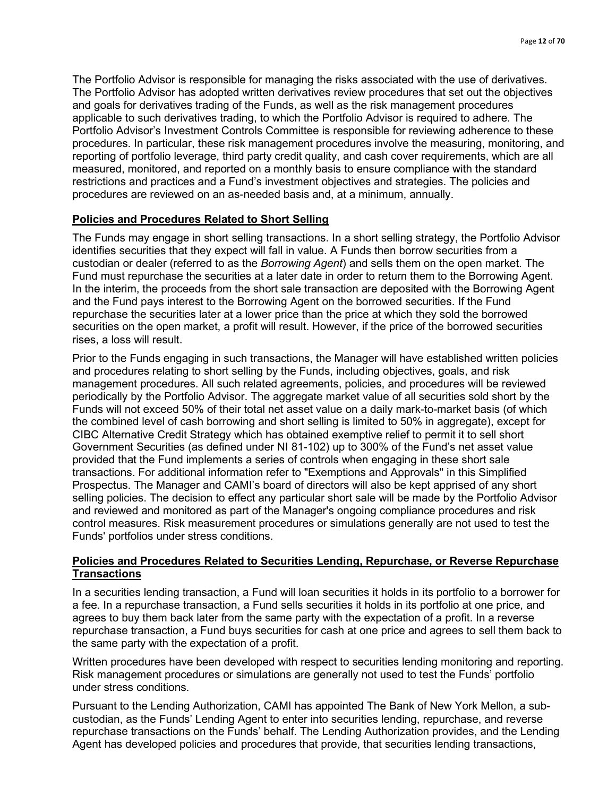The Portfolio Advisor is responsible for managing the risks associated with the use of derivatives. The Portfolio Advisor has adopted written derivatives review procedures that set out the objectives and goals for derivatives trading of the Funds, as well as the risk management procedures applicable to such derivatives trading, to which the Portfolio Advisor is required to adhere. The Portfolio Advisor's Investment Controls Committee is responsible for reviewing adherence to these procedures. In particular, these risk management procedures involve the measuring, monitoring, and reporting of portfolio leverage, third party credit quality, and cash cover requirements, which are all measured, monitored, and reported on a monthly basis to ensure compliance with the standard restrictions and practices and a Fund's investment objectives and strategies. The policies and procedures are reviewed on an as-needed basis and, at a minimum, annually.

### **Policies and Procedures Related to Short Selling**

The Funds may engage in short selling transactions. In a short selling strategy, the Portfolio Advisor identifies securities that they expect will fall in value. A Funds then borrow securities from a custodian or dealer (referred to as the *Borrowing Agent*) and sells them on the open market. The Fund must repurchase the securities at a later date in order to return them to the Borrowing Agent. In the interim, the proceeds from the short sale transaction are deposited with the Borrowing Agent and the Fund pays interest to the Borrowing Agent on the borrowed securities. If the Fund repurchase the securities later at a lower price than the price at which they sold the borrowed securities on the open market, a profit will result. However, if the price of the borrowed securities rises, a loss will result.

Prior to the Funds engaging in such transactions, the Manager will have established written policies and procedures relating to short selling by the Funds, including objectives, goals, and risk management procedures. All such related agreements, policies, and procedures will be reviewed periodically by the Portfolio Advisor. The aggregate market value of all securities sold short by the Funds will not exceed 50% of their total net asset value on a daily mark-to-market basis (of which the combined level of cash borrowing and short selling is limited to 50% in aggregate), except for CIBC Alternative Credit Strategy which has obtained exemptive relief to permit it to sell short Government Securities (as defined under NI 81-102) up to 300% of the Fund's net asset value provided that the Fund implements a series of controls when engaging in these short sale transactions. For additional information refer to "Exemptions and Approvals" in this Simplified Prospectus. The Manager and CAMI's board of directors will also be kept apprised of any short selling policies. The decision to effect any particular short sale will be made by the Portfolio Advisor and reviewed and monitored as part of the Manager's ongoing compliance procedures and risk control measures. Risk measurement procedures or simulations generally are not used to test the Funds' portfolios under stress conditions.

### **Policies and Procedures Related to Securities Lending, Repurchase, or Reverse Repurchase Transactions**

In a securities lending transaction, a Fund will loan securities it holds in its portfolio to a borrower for a fee. In a repurchase transaction, a Fund sells securities it holds in its portfolio at one price, and agrees to buy them back later from the same party with the expectation of a profit. In a reverse repurchase transaction, a Fund buys securities for cash at one price and agrees to sell them back to the same party with the expectation of a profit.

Written procedures have been developed with respect to securities lending monitoring and reporting. Risk management procedures or simulations are generally not used to test the Funds' portfolio under stress conditions.

Pursuant to the Lending Authorization, CAMI has appointed The Bank of New York Mellon, a subcustodian, as the Funds' Lending Agent to enter into securities lending, repurchase, and reverse repurchase transactions on the Funds' behalf. The Lending Authorization provides, and the Lending Agent has developed policies and procedures that provide, that securities lending transactions,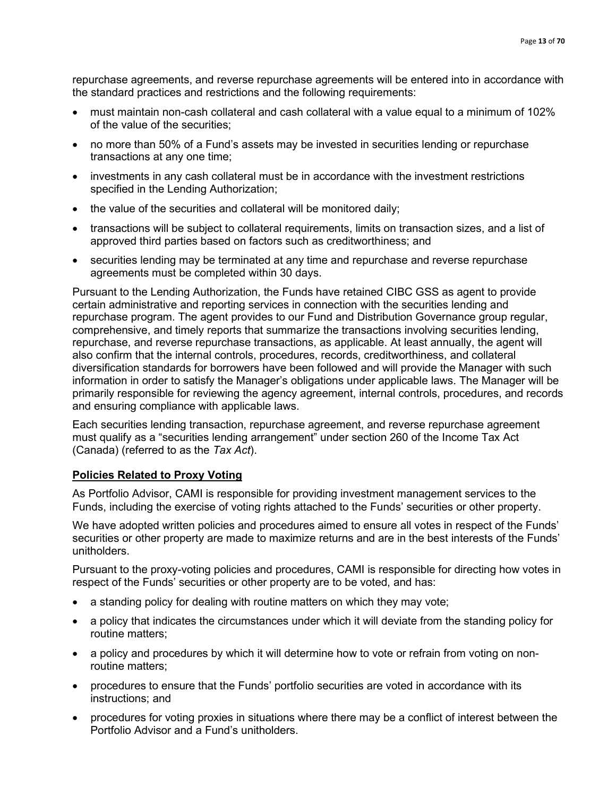repurchase agreements, and reverse repurchase agreements will be entered into in accordance with the standard practices and restrictions and the following requirements:

- must maintain non-cash collateral and cash collateral with a value equal to a minimum of 102% of the value of the securities;
- no more than 50% of a Fund's assets may be invested in securities lending or repurchase transactions at any one time;
- investments in any cash collateral must be in accordance with the investment restrictions specified in the Lending Authorization;
- the value of the securities and collateral will be monitored daily;
- transactions will be subject to collateral requirements, limits on transaction sizes, and a list of approved third parties based on factors such as creditworthiness; and
- securities lending may be terminated at any time and repurchase and reverse repurchase agreements must be completed within 30 days.

Pursuant to the Lending Authorization, the Funds have retained CIBC GSS as agent to provide certain administrative and reporting services in connection with the securities lending and repurchase program. The agent provides to our Fund and Distribution Governance group regular, comprehensive, and timely reports that summarize the transactions involving securities lending, repurchase, and reverse repurchase transactions, as applicable. At least annually, the agent will also confirm that the internal controls, procedures, records, creditworthiness, and collateral diversification standards for borrowers have been followed and will provide the Manager with such information in order to satisfy the Manager's obligations under applicable laws. The Manager will be primarily responsible for reviewing the agency agreement, internal controls, procedures, and records and ensuring compliance with applicable laws.

Each securities lending transaction, repurchase agreement, and reverse repurchase agreement must qualify as a "securities lending arrangement" under section 260 of the Income Tax Act (Canada) (referred to as the *Tax Act*).

# **Policies Related to Proxy Voting**

As Portfolio Advisor, CAMI is responsible for providing investment management services to the Funds, including the exercise of voting rights attached to the Funds' securities or other property.

We have adopted written policies and procedures aimed to ensure all votes in respect of the Funds' securities or other property are made to maximize returns and are in the best interests of the Funds' unitholders.

Pursuant to the proxy-voting policies and procedures, CAMI is responsible for directing how votes in respect of the Funds' securities or other property are to be voted, and has:

- a standing policy for dealing with routine matters on which they may vote;
- a policy that indicates the circumstances under which it will deviate from the standing policy for routine matters;
- a policy and procedures by which it will determine how to vote or refrain from voting on nonroutine matters;
- procedures to ensure that the Funds' portfolio securities are voted in accordance with its instructions; and
- procedures for voting proxies in situations where there may be a conflict of interest between the Portfolio Advisor and a Fund's unitholders.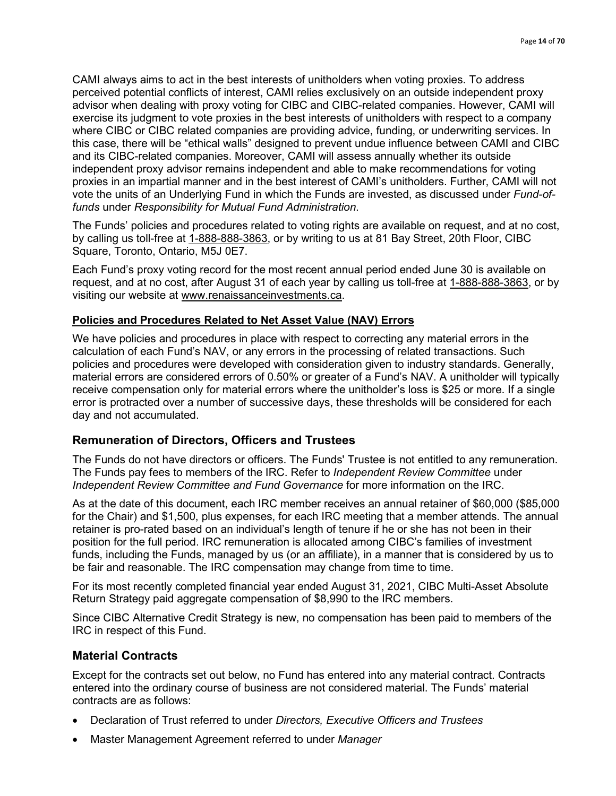CAMI always aims to act in the best interests of unitholders when voting proxies. To address perceived potential conflicts of interest, CAMI relies exclusively on an outside independent proxy advisor when dealing with proxy voting for CIBC and CIBC-related companies. However, CAMI will exercise its judgment to vote proxies in the best interests of unitholders with respect to a company where CIBC or CIBC related companies are providing advice, funding, or underwriting services. In this case, there will be "ethical walls" designed to prevent undue influence between CAMI and CIBC and its CIBC-related companies. Moreover, CAMI will assess annually whether its outside independent proxy advisor remains independent and able to make recommendations for voting proxies in an impartial manner and in the best interest of CAMI's unitholders. Further, CAMI will not vote the units of an Underlying Fund in which the Funds are invested, as discussed under *Fund-offunds* under *Responsibility for Mutual Fund Administration*.

The Funds' policies and procedures related to voting rights are available on request, and at no cost, by calling us toll-free at [1-888-888-3863,](tel:1-888-888-3863) or by writing to us at 81 Bay Street, 20th Floor, CIBC Square, Toronto, Ontario, M5J 0E7.

Each Fund's proxy voting record for the most recent annual period ended June 30 is available on request, and at no cost, after August 31 of each year by calling us toll-free at [1-888-888-3863,](tel:1-888-888-3863) or by visiting our website at [www.renaissanceinvestments.ca.](file://tocs2001/wthmips_ds/CAM%20Regulatory/Point%20of%20Sale/_2010-/_2022/20220204_EMD_PIMCO_P_PRO1320NR/1_SP%20AIF/SP/www.renaissanceinvestments.ca)

### **Policies and Procedures Related to Net Asset Value (NAV) Errors**

We have policies and procedures in place with respect to correcting any material errors in the calculation of each Fund's NAV, or any errors in the processing of related transactions. Such policies and procedures were developed with consideration given to industry standards. Generally, material errors are considered errors of 0.50% or greater of a Fund's NAV. A unitholder will typically receive compensation only for material errors where the unitholder's loss is \$25 or more. If a single error is protracted over a number of successive days, these thresholds will be considered for each day and not accumulated.

# **Remuneration of Directors, Officers and Trustees**

The Funds do not have directors or officers. The Funds' Trustee is not entitled to any remuneration. The Funds pay fees to members of the IRC. Refer to *Independent Review Committee* under *Independent Review Committee and Fund Governance* for more information on the IRC.

As at the date of this document, each IRC member receives an annual retainer of \$60,000 (\$85,000 for the Chair) and \$1,500, plus expenses, for each IRC meeting that a member attends. The annual retainer is pro-rated based on an individual's length of tenure if he or she has not been in their position for the full period. IRC remuneration is allocated among CIBC's families of investment funds, including the Funds, managed by us (or an affiliate), in a manner that is considered by us to be fair and reasonable. The IRC compensation may change from time to time.

For its most recently completed financial year ended August 31, 2021, CIBC Multi-Asset Absolute Return Strategy paid aggregate compensation of \$8,990 to the IRC members.

Since CIBC Alternative Credit Strategy is new, no compensation has been paid to members of the IRC in respect of this Fund.

### **Material Contracts**

Except for the contracts set out below, no Fund has entered into any material contract. Contracts entered into the ordinary course of business are not considered material. The Funds' material contracts are as follows:

- Declaration of Trust referred to under *Directors, Executive Officers and Trustees*
- Master Management Agreement referred to under *Manager*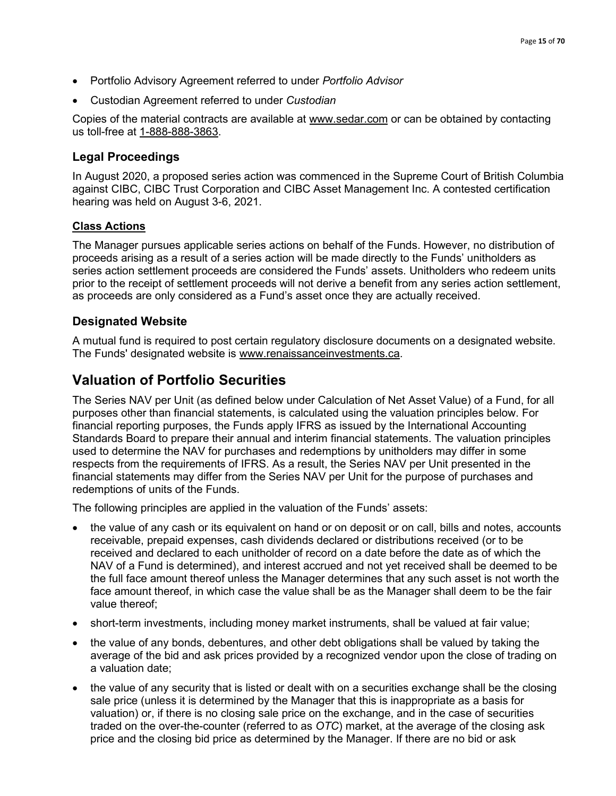- Portfolio Advisory Agreement referred to under *Portfolio Advisor*
- Custodian Agreement referred to under *Custodian*

Copies of the material contracts are available at [www.sedar.com](file://tocs2001/wthmips_ds/CAM%20Regulatory/Point%20of%20Sale/_2010-/_2022/20220204_EMD_PIMCO_P_PRO1320NR/1_SP%20AIF/SP/www.sedar.com) or can be obtained by contacting us toll-free at [1-888-888-3863.](tel:1-888-888-3863)

# **Legal Proceedings**

In August 2020, a proposed series action was commenced in the Supreme Court of British Columbia against CIBC, CIBC Trust Corporation and CIBC Asset Management Inc. A contested certification hearing was held on August 3-6, 2021.

# **Class Actions**

The Manager pursues applicable series actions on behalf of the Funds. However, no distribution of proceeds arising as a result of a series action will be made directly to the Funds' unitholders as series action settlement proceeds are considered the Funds' assets. Unitholders who redeem units prior to the receipt of settlement proceeds will not derive a benefit from any series action settlement, as proceeds are only considered as a Fund's asset once they are actually received.

# **Designated Website**

A mutual fund is required to post certain regulatory disclosure documents on a designated website. The Funds' designated website is [www.renaissanceinvestments.ca.](file://tocs2001/wthmips_ds/CAM%20Regulatory/Point%20of%20Sale/_2010-/_2022/20220204_EMD_PIMCO_P_PRO1320NR/1_SP%20AIF/SP/www.renaissanceinvestments.ca)

# <span id="page-14-0"></span>**Valuation of Portfolio Securities**

The Series NAV per Unit (as defined below under Calculation of Net Asset Value) of a Fund, for all purposes other than financial statements, is calculated using the valuation principles below. For financial reporting purposes, the Funds apply IFRS as issued by the International Accounting Standards Board to prepare their annual and interim financial statements. The valuation principles used to determine the NAV for purchases and redemptions by unitholders may differ in some respects from the requirements of IFRS. As a result, the Series NAV per Unit presented in the financial statements may differ from the Series NAV per Unit for the purpose of purchases and redemptions of units of the Funds.

The following principles are applied in the valuation of the Funds' assets:

- the value of any cash or its equivalent on hand or on deposit or on call, bills and notes, accounts receivable, prepaid expenses, cash dividends declared or distributions received (or to be received and declared to each unitholder of record on a date before the date as of which the NAV of a Fund is determined), and interest accrued and not yet received shall be deemed to be the full face amount thereof unless the Manager determines that any such asset is not worth the face amount thereof, in which case the value shall be as the Manager shall deem to be the fair value thereof;
- short-term investments, including money market instruments, shall be valued at fair value;
- the value of any bonds, debentures, and other debt obligations shall be valued by taking the average of the bid and ask prices provided by a recognized vendor upon the close of trading on a valuation date;
- the value of any security that is listed or dealt with on a securities exchange shall be the closing sale price (unless it is determined by the Manager that this is inappropriate as a basis for valuation) or, if there is no closing sale price on the exchange, and in the case of securities traded on the over-the-counter (referred to as *OTC*) market, at the average of the closing ask price and the closing bid price as determined by the Manager. If there are no bid or ask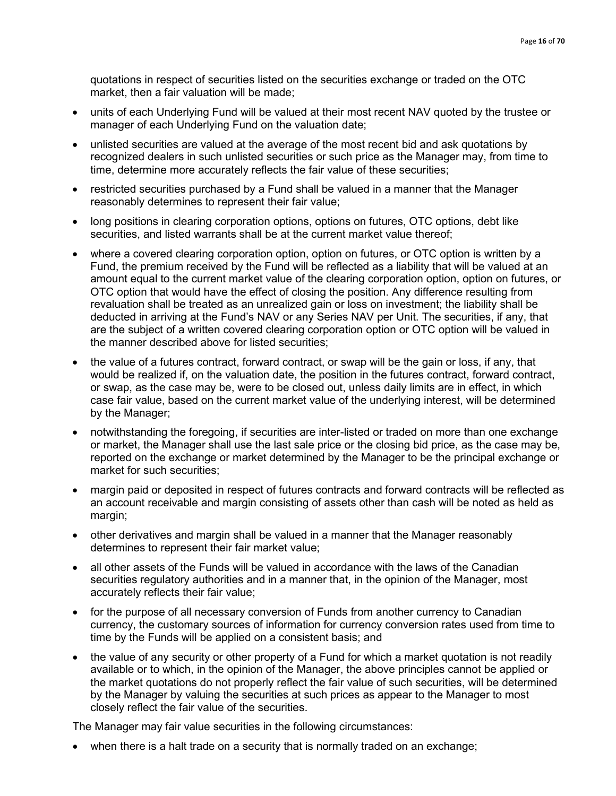quotations in respect of securities listed on the securities exchange or traded on the OTC market, then a fair valuation will be made;

- units of each Underlying Fund will be valued at their most recent NAV quoted by the trustee or manager of each Underlying Fund on the valuation date;
- unlisted securities are valued at the average of the most recent bid and ask quotations by recognized dealers in such unlisted securities or such price as the Manager may, from time to time, determine more accurately reflects the fair value of these securities;
- restricted securities purchased by a Fund shall be valued in a manner that the Manager reasonably determines to represent their fair value;
- long positions in clearing corporation options, options on futures, OTC options, debt like securities, and listed warrants shall be at the current market value thereof;
- where a covered clearing corporation option, option on futures, or OTC option is written by a Fund, the premium received by the Fund will be reflected as a liability that will be valued at an amount equal to the current market value of the clearing corporation option, option on futures, or OTC option that would have the effect of closing the position. Any difference resulting from revaluation shall be treated as an unrealized gain or loss on investment; the liability shall be deducted in arriving at the Fund's NAV or any Series NAV per Unit. The securities, if any, that are the subject of a written covered clearing corporation option or OTC option will be valued in the manner described above for listed securities;
- the value of a futures contract, forward contract, or swap will be the gain or loss, if any, that would be realized if, on the valuation date, the position in the futures contract, forward contract, or swap, as the case may be, were to be closed out, unless daily limits are in effect, in which case fair value, based on the current market value of the underlying interest, will be determined by the Manager;
- notwithstanding the foregoing, if securities are inter-listed or traded on more than one exchange or market, the Manager shall use the last sale price or the closing bid price, as the case may be, reported on the exchange or market determined by the Manager to be the principal exchange or market for such securities;
- margin paid or deposited in respect of futures contracts and forward contracts will be reflected as an account receivable and margin consisting of assets other than cash will be noted as held as margin;
- other derivatives and margin shall be valued in a manner that the Manager reasonably determines to represent their fair market value;
- all other assets of the Funds will be valued in accordance with the laws of the Canadian securities regulatory authorities and in a manner that, in the opinion of the Manager, most accurately reflects their fair value;
- for the purpose of all necessary conversion of Funds from another currency to Canadian currency, the customary sources of information for currency conversion rates used from time to time by the Funds will be applied on a consistent basis; and
- the value of any security or other property of a Fund for which a market quotation is not readily available or to which, in the opinion of the Manager, the above principles cannot be applied or the market quotations do not properly reflect the fair value of such securities, will be determined by the Manager by valuing the securities at such prices as appear to the Manager to most closely reflect the fair value of the securities.

The Manager may fair value securities in the following circumstances:

• when there is a halt trade on a security that is normally traded on an exchange;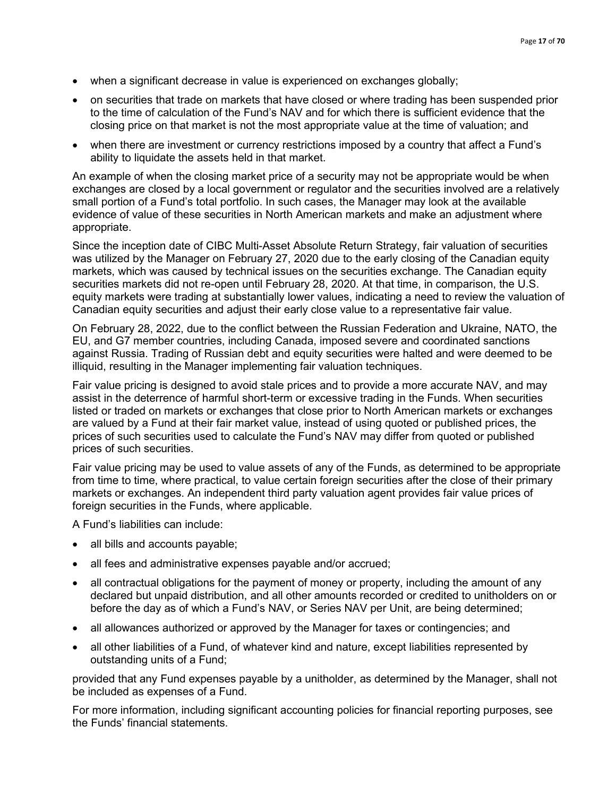- when a significant decrease in value is experienced on exchanges globally;
- on securities that trade on markets that have closed or where trading has been suspended prior to the time of calculation of the Fund's NAV and for which there is sufficient evidence that the closing price on that market is not the most appropriate value at the time of valuation; and
- when there are investment or currency restrictions imposed by a country that affect a Fund's ability to liquidate the assets held in that market.

An example of when the closing market price of a security may not be appropriate would be when exchanges are closed by a local government or regulator and the securities involved are a relatively small portion of a Fund's total portfolio. In such cases, the Manager may look at the available evidence of value of these securities in North American markets and make an adjustment where appropriate.

Since the inception date of CIBC Multi-Asset Absolute Return Strategy, fair valuation of securities was utilized by the Manager on February 27, 2020 due to the early closing of the Canadian equity markets, which was caused by technical issues on the securities exchange. The Canadian equity securities markets did not re-open until February 28, 2020. At that time, in comparison, the U.S. equity markets were trading at substantially lower values, indicating a need to review the valuation of Canadian equity securities and adjust their early close value to a representative fair value.

On February 28, 2022, due to the conflict between the Russian Federation and Ukraine, NATO, the EU, and G7 member countries, including Canada, imposed severe and coordinated sanctions against Russia. Trading of Russian debt and equity securities were halted and were deemed to be illiquid, resulting in the Manager implementing fair valuation techniques.

Fair value pricing is designed to avoid stale prices and to provide a more accurate NAV, and may assist in the deterrence of harmful short-term or excessive trading in the Funds. When securities listed or traded on markets or exchanges that close prior to North American markets or exchanges are valued by a Fund at their fair market value, instead of using quoted or published prices, the prices of such securities used to calculate the Fund's NAV may differ from quoted or published prices of such securities.

Fair value pricing may be used to value assets of any of the Funds, as determined to be appropriate from time to time, where practical, to value certain foreign securities after the close of their primary markets or exchanges. An independent third party valuation agent provides fair value prices of foreign securities in the Funds, where applicable.

A Fund's liabilities can include:

- all bills and accounts payable;
- all fees and administrative expenses payable and/or accrued;
- all contractual obligations for the payment of money or property, including the amount of any declared but unpaid distribution, and all other amounts recorded or credited to unitholders on or before the day as of which a Fund's NAV, or Series NAV per Unit, are being determined;
- all allowances authorized or approved by the Manager for taxes or contingencies; and
- all other liabilities of a Fund, of whatever kind and nature, except liabilities represented by outstanding units of a Fund;

provided that any Fund expenses payable by a unitholder, as determined by the Manager, shall not be included as expenses of a Fund.

For more information, including significant accounting policies for financial reporting purposes, see the Funds' financial statements.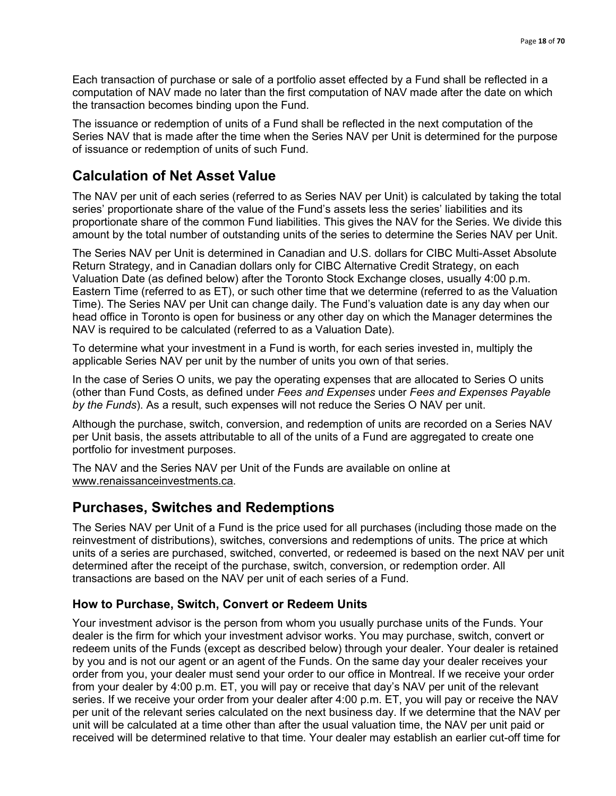Each transaction of purchase or sale of a portfolio asset effected by a Fund shall be reflected in a computation of NAV made no later than the first computation of NAV made after the date on which the transaction becomes binding upon the Fund.

The issuance or redemption of units of a Fund shall be reflected in the next computation of the Series NAV that is made after the time when the Series NAV per Unit is determined for the purpose of issuance or redemption of units of such Fund.

# <span id="page-17-0"></span>**Calculation of Net Asset Value**

The NAV per unit of each series (referred to as Series NAV per Unit) is calculated by taking the total series' proportionate share of the value of the Fund's assets less the series' liabilities and its proportionate share of the common Fund liabilities. This gives the NAV for the Series. We divide this amount by the total number of outstanding units of the series to determine the Series NAV per Unit.

The Series NAV per Unit is determined in Canadian and U.S. dollars for CIBC Multi-Asset Absolute Return Strategy, and in Canadian dollars only for CIBC Alternative Credit Strategy, on each Valuation Date (as defined below) after the Toronto Stock Exchange closes, usually 4:00 p.m. Eastern Time (referred to as ET), or such other time that we determine (referred to as the Valuation Time). The Series NAV per Unit can change daily. The Fund's valuation date is any day when our head office in Toronto is open for business or any other day on which the Manager determines the NAV is required to be calculated (referred to as a Valuation Date).

To determine what your investment in a Fund is worth, for each series invested in, multiply the applicable Series NAV per unit by the number of units you own of that series.

In the case of Series O units, we pay the operating expenses that are allocated to Series O units (other than Fund Costs, as defined under *Fees and Expenses* under *Fees and Expenses Payable by the Funds*). As a result, such expenses will not reduce the Series O NAV per unit.

Although the purchase, switch, conversion, and redemption of units are recorded on a Series NAV per Unit basis, the assets attributable to all of the units of a Fund are aggregated to create one portfolio for investment purposes.

The NAV and the Series NAV per Unit of the Funds are available on online at [www.renaissanceinvestments.ca.](file://tocs2001/wthmips_ds/CAM%20Regulatory/Point%20of%20Sale/_2010-/_2022/20220411_MAARS_PP_PRO1320NR%20(USD%20MAARS_AlternativeCredit)/1_SP/www.renaissanceinvestments.ca)

# <span id="page-17-1"></span>**Purchases, Switches and Redemptions**

The Series NAV per Unit of a Fund is the price used for all purchases (including those made on the reinvestment of distributions), switches, conversions and redemptions of units. The price at which units of a series are purchased, switched, converted, or redeemed is based on the next NAV per unit determined after the receipt of the purchase, switch, conversion, or redemption order. All transactions are based on the NAV per unit of each series of a Fund.

# **How to Purchase, Switch, Convert or Redeem Units**

Your investment advisor is the person from whom you usually purchase units of the Funds. Your dealer is the firm for which your investment advisor works. You may purchase, switch, convert or redeem units of the Funds (except as described below) through your dealer. Your dealer is retained by you and is not our agent or an agent of the Funds. On the same day your dealer receives your order from you, your dealer must send your order to our office in Montreal. If we receive your order from your dealer by 4:00 p.m. ET, you will pay or receive that day's NAV per unit of the relevant series. If we receive your order from your dealer after 4:00 p.m. ET, you will pay or receive the NAV per unit of the relevant series calculated on the next business day. If we determine that the NAV per unit will be calculated at a time other than after the usual valuation time, the NAV per unit paid or received will be determined relative to that time. Your dealer may establish an earlier cut-off time for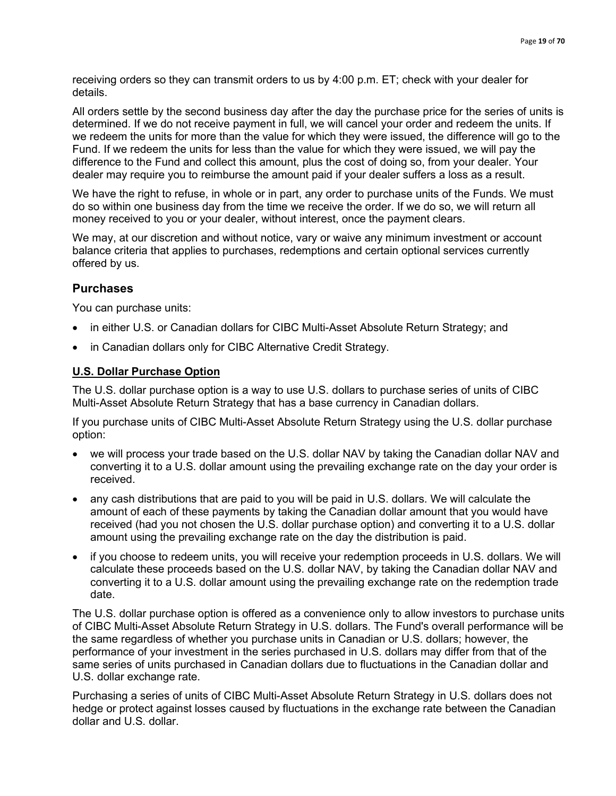receiving orders so they can transmit orders to us by 4:00 p.m. ET; check with your dealer for details.

All orders settle by the second business day after the day the purchase price for the series of units is determined. If we do not receive payment in full, we will cancel your order and redeem the units. If we redeem the units for more than the value for which they were issued, the difference will go to the Fund. If we redeem the units for less than the value for which they were issued, we will pay the difference to the Fund and collect this amount, plus the cost of doing so, from your dealer. Your dealer may require you to reimburse the amount paid if your dealer suffers a loss as a result.

We have the right to refuse, in whole or in part, any order to purchase units of the Funds. We must do so within one business day from the time we receive the order. If we do so, we will return all money received to you or your dealer, without interest, once the payment clears.

We may, at our discretion and without notice, vary or waive any minimum investment or account balance criteria that applies to purchases, redemptions and certain optional services currently offered by us.

# **Purchases**

You can purchase units:

- in either U.S. or Canadian dollars for CIBC Multi-Asset Absolute Return Strategy; and
- in Canadian dollars only for CIBC Alternative Credit Strategy.

# **U.S. Dollar Purchase Option**

The U.S. dollar purchase option is a way to use U.S. dollars to purchase series of units of CIBC Multi-Asset Absolute Return Strategy that has a base currency in Canadian dollars.

If you purchase units of CIBC Multi-Asset Absolute Return Strategy using the U.S. dollar purchase option:

- we will process your trade based on the U.S. dollar NAV by taking the Canadian dollar NAV and converting it to a U.S. dollar amount using the prevailing exchange rate on the day your order is received.
- any cash distributions that are paid to you will be paid in U.S. dollars. We will calculate the amount of each of these payments by taking the Canadian dollar amount that you would have received (had you not chosen the U.S. dollar purchase option) and converting it to a U.S. dollar amount using the prevailing exchange rate on the day the distribution is paid.
- if you choose to redeem units, you will receive your redemption proceeds in U.S. dollars. We will calculate these proceeds based on the U.S. dollar NAV, by taking the Canadian dollar NAV and converting it to a U.S. dollar amount using the prevailing exchange rate on the redemption trade date.

The U.S. dollar purchase option is offered as a convenience only to allow investors to purchase units of CIBC Multi-Asset Absolute Return Strategy in U.S. dollars. The Fund's overall performance will be the same regardless of whether you purchase units in Canadian or U.S. dollars; however, the performance of your investment in the series purchased in U.S. dollars may differ from that of the same series of units purchased in Canadian dollars due to fluctuations in the Canadian dollar and U.S. dollar exchange rate.

Purchasing a series of units of CIBC Multi-Asset Absolute Return Strategy in U.S. dollars does not hedge or protect against losses caused by fluctuations in the exchange rate between the Canadian dollar and U.S. dollar.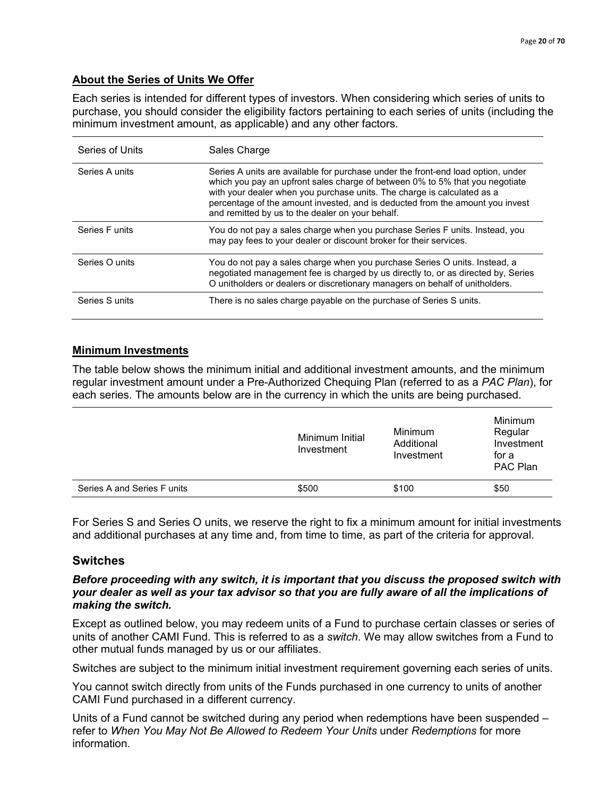# **About the Series of Units We Offer**

Each series is intended for different types of investors. When considering which series of units to purchase, you should consider the eligibility factors pertaining to each series of units (including the minimum investment amount, as applicable) and any other factors.

| Series of Units | Sales Charge                                                                                                                                                                                                                                                                                                                                                                     |
|-----------------|----------------------------------------------------------------------------------------------------------------------------------------------------------------------------------------------------------------------------------------------------------------------------------------------------------------------------------------------------------------------------------|
| Series A units  | Series A units are available for purchase under the front-end load option, under<br>which you pay an upfront sales charge of between 0% to 5% that you negotiate<br>with your dealer when you purchase units. The charge is calculated as a<br>percentage of the amount invested, and is deducted from the amount you invest<br>and remitted by us to the dealer on your behalf. |
| Series F units  | You do not pay a sales charge when you purchase Series F units. Instead, you<br>may pay fees to your dealer or discount broker for their services.                                                                                                                                                                                                                               |
| Series O units  | You do not pay a sales charge when you purchase Series O units. Instead, a<br>negotiated management fee is charged by us directly to, or as directed by, Series<br>O unitholders or dealers or discretionary managers on behalf of unitholders.                                                                                                                                  |
| Series S units  | There is no sales charge payable on the purchase of Series S units.                                                                                                                                                                                                                                                                                                              |

# **Minimum Investments**

The table below shows the minimum initial and additional investment amounts, and the minimum regular investment amount under a Pre-Authorized Chequing Plan (referred to as a *PAC Plan*), for each series. The amounts below are in the currency in which the units are being purchased.

|                             | Minimum Initial<br>Investment | <b>Minimum</b><br>Additional<br>Investment | Minimum<br>Regular<br>Investment<br>for a<br>PAC Plan |
|-----------------------------|-------------------------------|--------------------------------------------|-------------------------------------------------------|
| Series A and Series F units | \$500                         | \$100                                      | \$50                                                  |

For Series S and Series O units, we reserve the right to fix a minimum amount for initial investments and additional purchases at any time and, from time to time, as part of the criteria for approval.

# **Switches**

### *Before proceeding with any switch, it is important that you discuss the proposed switch with your dealer as well as your tax advisor so that you are fully aware of all the implications of making the switch.*

Except as outlined below, you may redeem units of a Fund to purchase certain classes or series of units of another CAMI Fund. This is referred to as a *switch*. We may allow switches from a Fund to other mutual funds managed by us or our affiliates.

Switches are subject to the minimum initial investment requirement governing each series of units.

You cannot switch directly from units of the Funds purchased in one currency to units of another CAMI Fund purchased in a different currency.

Units of a Fund cannot be switched during any period when redemptions have been suspended – refer to *When You May Not Be Allowed to Redeem Your Units* under *Redemptions* for more information.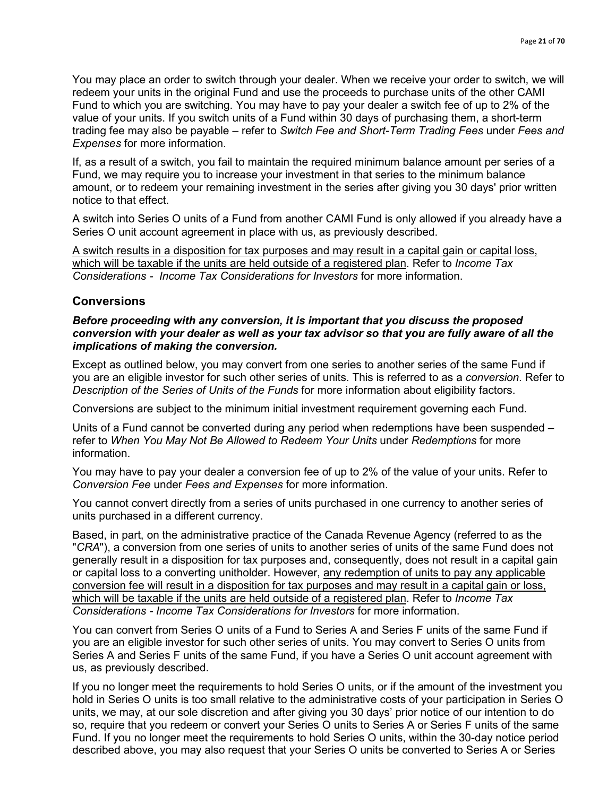You may place an order to switch through your dealer. When we receive your order to switch, we will redeem your units in the original Fund and use the proceeds to purchase units of the other CAMI Fund to which you are switching. You may have to pay your dealer a switch fee of up to 2% of the value of your units. If you switch units of a Fund within 30 days of purchasing them, a short-term trading fee may also be payable – refer to *Switch Fee and Short-Term Trading Fees* under *Fees and Expenses* for more information.

If, as a result of a switch, you fail to maintain the required minimum balance amount per series of a Fund, we may require you to increase your investment in that series to the minimum balance amount, or to redeem your remaining investment in the series after giving you 30 days' prior written notice to that effect.

A switch into Series O units of a Fund from another CAMI Fund is only allowed if you already have a Series O unit account agreement in place with us, as previously described.

A switch results in a disposition for tax purposes and may result in a capital gain or capital loss, which will be taxable if the units are held outside of a registered plan. Refer to *Income Tax Considerations - Income Tax Considerations for Investors* for more information.

# **Conversions**

### *Before proceeding with any conversion, it is important that you discuss the proposed conversion with your dealer as well as your tax advisor so that you are fully aware of all the implications of making the conversion.*

Except as outlined below, you may convert from one series to another series of the same Fund if you are an eligible investor for such other series of units. This is referred to as a *conversion*. Refer to *Description of the Series of Units of the Funds* for more information about eligibility factors.

Conversions are subject to the minimum initial investment requirement governing each Fund.

Units of a Fund cannot be converted during any period when redemptions have been suspended – refer to *When You May Not Be Allowed to Redeem Your Units* under *Redemptions* for more information.

You may have to pay your dealer a conversion fee of up to 2% of the value of your units. Refer to *Conversion Fee* under *Fees and Expenses* for more information.

You cannot convert directly from a series of units purchased in one currency to another series of units purchased in a different currency.

Based, in part, on the administrative practice of the Canada Revenue Agency (referred to as the "*CRA*"), a conversion from one series of units to another series of units of the same Fund does not generally result in a disposition for tax purposes and, consequently, does not result in a capital gain or capital loss to a converting unitholder. However, any redemption of units to pay any applicable conversion fee will result in a disposition for tax purposes and may result in a capital gain or loss, which will be taxable if the units are held outside of a registered plan. Refer to *Income Tax Considerations - Income Tax Considerations for Investors* for more information.

You can convert from Series O units of a Fund to Series A and Series F units of the same Fund if you are an eligible investor for such other series of units. You may convert to Series O units from Series A and Series F units of the same Fund, if you have a Series O unit account agreement with us, as previously described.

If you no longer meet the requirements to hold Series O units, or if the amount of the investment you hold in Series O units is too small relative to the administrative costs of your participation in Series O units, we may, at our sole discretion and after giving you 30 days' prior notice of our intention to do so, require that you redeem or convert your Series O units to Series A or Series F units of the same Fund. If you no longer meet the requirements to hold Series O units, within the 30-day notice period described above, you may also request that your Series O units be converted to Series A or Series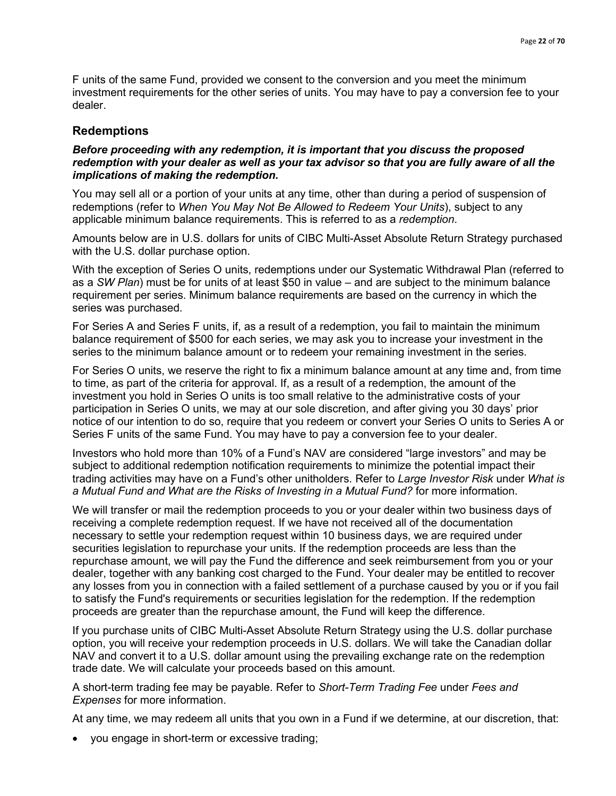F units of the same Fund, provided we consent to the conversion and you meet the minimum investment requirements for the other series of units. You may have to pay a conversion fee to your dealer.

### **Redemptions**

### *Before proceeding with any redemption, it is important that you discuss the proposed redemption with your dealer as well as your tax advisor so that you are fully aware of all the implications of making the redemption.*

You may sell all or a portion of your units at any time, other than during a period of suspension of redemptions (refer to *When You May Not Be Allowed to Redeem Your Units*), subject to any applicable minimum balance requirements. This is referred to as a *redemption*.

Amounts below are in U.S. dollars for units of CIBC Multi-Asset Absolute Return Strategy purchased with the U.S. dollar purchase option.

With the exception of Series O units, redemptions under our Systematic Withdrawal Plan (referred to as a *SW Plan*) must be for units of at least \$50 in value – and are subject to the minimum balance requirement per series. Minimum balance requirements are based on the currency in which the series was purchased.

For Series A and Series F units, if, as a result of a redemption, you fail to maintain the minimum balance requirement of \$500 for each series, we may ask you to increase your investment in the series to the minimum balance amount or to redeem your remaining investment in the series.

For Series O units, we reserve the right to fix a minimum balance amount at any time and, from time to time, as part of the criteria for approval. If, as a result of a redemption, the amount of the investment you hold in Series O units is too small relative to the administrative costs of your participation in Series O units, we may at our sole discretion, and after giving you 30 days' prior notice of our intention to do so, require that you redeem or convert your Series O units to Series A or Series F units of the same Fund. You may have to pay a conversion fee to your dealer.

Investors who hold more than 10% of a Fund's NAV are considered "large investors" and may be subject to additional redemption notification requirements to minimize the potential impact their trading activities may have on a Fund's other unitholders. Refer to *Large Investor Risk* under *What is a Mutual Fund and What are the Risks of Investing in a Mutual Fund?* for more information.

We will transfer or mail the redemption proceeds to you or your dealer within two business days of receiving a complete redemption request. If we have not received all of the documentation necessary to settle your redemption request within 10 business days, we are required under securities legislation to repurchase your units. If the redemption proceeds are less than the repurchase amount, we will pay the Fund the difference and seek reimbursement from you or your dealer, together with any banking cost charged to the Fund. Your dealer may be entitled to recover any losses from you in connection with a failed settlement of a purchase caused by you or if you fail to satisfy the Fund's requirements or securities legislation for the redemption. If the redemption proceeds are greater than the repurchase amount, the Fund will keep the difference.

If you purchase units of CIBC Multi-Asset Absolute Return Strategy using the U.S. dollar purchase option, you will receive your redemption proceeds in U.S. dollars. We will take the Canadian dollar NAV and convert it to a U.S. dollar amount using the prevailing exchange rate on the redemption trade date. We will calculate your proceeds based on this amount.

A short-term trading fee may be payable. Refer to *Short-Term Trading Fee* under *Fees and Expenses* for more information.

At any time, we may redeem all units that you own in a Fund if we determine, at our discretion, that:

• you engage in short-term or excessive trading;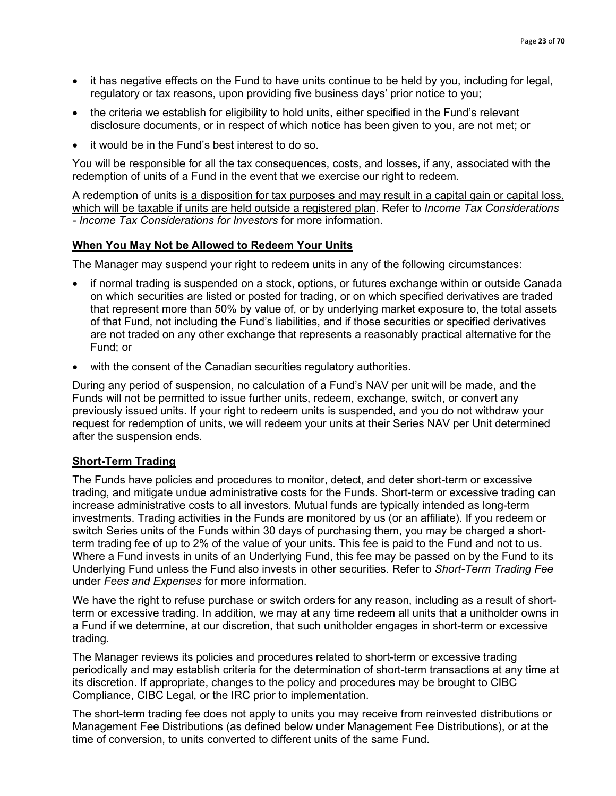- it has negative effects on the Fund to have units continue to be held by you, including for legal, regulatory or tax reasons, upon providing five business days' prior notice to you;
- the criteria we establish for eligibility to hold units, either specified in the Fund's relevant disclosure documents, or in respect of which notice has been given to you, are not met; or
- it would be in the Fund's best interest to do so.

You will be responsible for all the tax consequences, costs, and losses, if any, associated with the redemption of units of a Fund in the event that we exercise our right to redeem.

A redemption of units is a disposition for tax purposes and may result in a capital gain or capital loss, which will be taxable if units are held outside a registered plan. Refer to *Income Tax Considerations - Income Tax Considerations for Investors* for more information.

# **When You May Not be Allowed to Redeem Your Units**

The Manager may suspend your right to redeem units in any of the following circumstances:

- if normal trading is suspended on a stock, options, or futures exchange within or outside Canada on which securities are listed or posted for trading, or on which specified derivatives are traded that represent more than 50% by value of, or by underlying market exposure to, the total assets of that Fund, not including the Fund's liabilities, and if those securities or specified derivatives are not traded on any other exchange that represents a reasonably practical alternative for the Fund; or
- with the consent of the Canadian securities regulatory authorities.

During any period of suspension, no calculation of a Fund's NAV per unit will be made, and the Funds will not be permitted to issue further units, redeem, exchange, switch, or convert any previously issued units. If your right to redeem units is suspended, and you do not withdraw your request for redemption of units, we will redeem your units at their Series NAV per Unit determined after the suspension ends.

# **Short-Term Trading**

The Funds have policies and procedures to monitor, detect, and deter short-term or excessive trading, and mitigate undue administrative costs for the Funds. Short-term or excessive trading can increase administrative costs to all investors. Mutual funds are typically intended as long-term investments. Trading activities in the Funds are monitored by us (or an affiliate). If you redeem or switch Series units of the Funds within 30 days of purchasing them, you may be charged a shortterm trading fee of up to 2% of the value of your units. This fee is paid to the Fund and not to us. Where a Fund invests in units of an Underlying Fund, this fee may be passed on by the Fund to its Underlying Fund unless the Fund also invests in other securities. Refer to *Short-Term Trading Fee* under *Fees and Expenses* for more information.

We have the right to refuse purchase or switch orders for any reason, including as a result of shortterm or excessive trading. In addition, we may at any time redeem all units that a unitholder owns in a Fund if we determine, at our discretion, that such unitholder engages in short-term or excessive trading.

The Manager reviews its policies and procedures related to short-term or excessive trading periodically and may establish criteria for the determination of short-term transactions at any time at its discretion. If appropriate, changes to the policy and procedures may be brought to CIBC Compliance, CIBC Legal, or the IRC prior to implementation.

The short-term trading fee does not apply to units you may receive from reinvested distributions or Management Fee Distributions (as defined below under Management Fee Distributions), or at the time of conversion, to units converted to different units of the same Fund.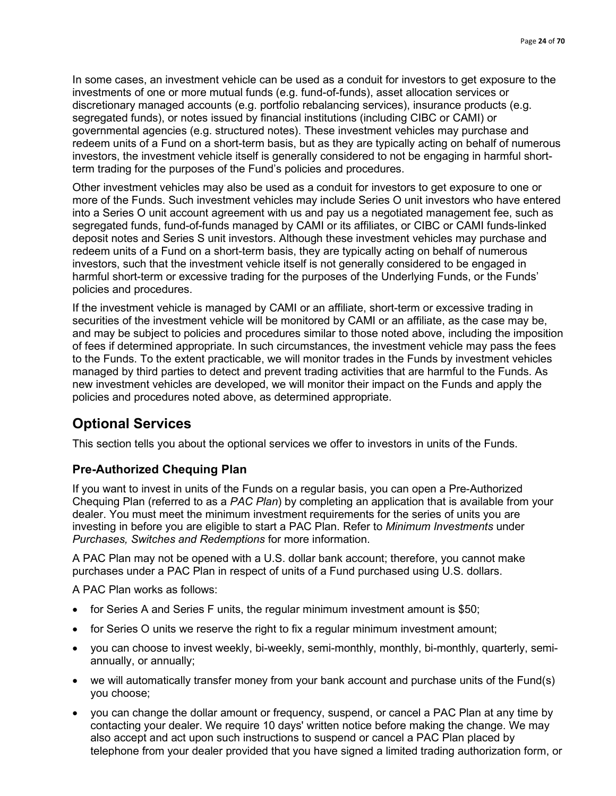In some cases, an investment vehicle can be used as a conduit for investors to get exposure to the investments of one or more mutual funds (e.g. fund-of-funds), asset allocation services or discretionary managed accounts (e.g. portfolio rebalancing services), insurance products (e.g. segregated funds), or notes issued by financial institutions (including CIBC or CAMI) or governmental agencies (e.g. structured notes). These investment vehicles may purchase and redeem units of a Fund on a short-term basis, but as they are typically acting on behalf of numerous investors, the investment vehicle itself is generally considered to not be engaging in harmful shortterm trading for the purposes of the Fund's policies and procedures.

Other investment vehicles may also be used as a conduit for investors to get exposure to one or more of the Funds. Such investment vehicles may include Series O unit investors who have entered into a Series O unit account agreement with us and pay us a negotiated management fee, such as segregated funds, fund-of-funds managed by CAMI or its affiliates, or CIBC or CAMI funds-linked deposit notes and Series S unit investors. Although these investment vehicles may purchase and redeem units of a Fund on a short-term basis, they are typically acting on behalf of numerous investors, such that the investment vehicle itself is not generally considered to be engaged in harmful short-term or excessive trading for the purposes of the Underlying Funds, or the Funds' policies and procedures.

If the investment vehicle is managed by CAMI or an affiliate, short-term or excessive trading in securities of the investment vehicle will be monitored by CAMI or an affiliate, as the case may be, and may be subject to policies and procedures similar to those noted above, including the imposition of fees if determined appropriate. In such circumstances, the investment vehicle may pass the fees to the Funds. To the extent practicable, we will monitor trades in the Funds by investment vehicles managed by third parties to detect and prevent trading activities that are harmful to the Funds. As new investment vehicles are developed, we will monitor their impact on the Funds and apply the policies and procedures noted above, as determined appropriate.

# <span id="page-23-0"></span>**Optional Services**

This section tells you about the optional services we offer to investors in units of the Funds.

# **Pre-Authorized Chequing Plan**

If you want to invest in units of the Funds on a regular basis, you can open a Pre-Authorized Chequing Plan (referred to as a *PAC Plan*) by completing an application that is available from your dealer. You must meet the minimum investment requirements for the series of units you are investing in before you are eligible to start a PAC Plan. Refer to *Minimum Investments* under *Purchases, Switches and Redemptions* for more information.

A PAC Plan may not be opened with a U.S. dollar bank account; therefore, you cannot make purchases under a PAC Plan in respect of units of a Fund purchased using U.S. dollars.

A PAC Plan works as follows:

- for Series A and Series F units, the regular minimum investment amount is \$50;
- for Series O units we reserve the right to fix a regular minimum investment amount;
- you can choose to invest weekly, bi-weekly, semi-monthly, monthly, bi-monthly, quarterly, semiannually, or annually;
- we will automatically transfer money from your bank account and purchase units of the Fund(s) you choose;
- you can change the dollar amount or frequency, suspend, or cancel a PAC Plan at any time by contacting your dealer. We require 10 days' written notice before making the change. We may also accept and act upon such instructions to suspend or cancel a PAC Plan placed by telephone from your dealer provided that you have signed a limited trading authorization form, or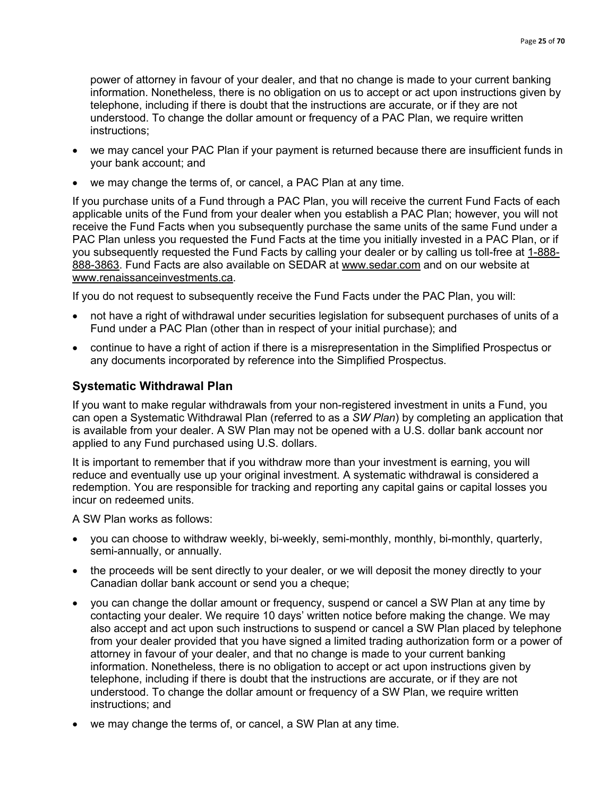power of attorney in favour of your dealer, and that no change is made to your current banking information. Nonetheless, there is no obligation on us to accept or act upon instructions given by telephone, including if there is doubt that the instructions are accurate, or if they are not understood. To change the dollar amount or frequency of a PAC Plan, we require written instructions;

- we may cancel your PAC Plan if your payment is returned because there are insufficient funds in your bank account; and
- we may change the terms of, or cancel, a PAC Plan at any time.

If you purchase units of a Fund through a PAC Plan, you will receive the current Fund Facts of each applicable units of the Fund from your dealer when you establish a PAC Plan; however, you will not receive the Fund Facts when you subsequently purchase the same units of the same Fund under a PAC Plan unless you requested the Fund Facts at the time you initially invested in a PAC Plan, or if you subsequently requested the Fund Facts by calling your dealer or by calling us toll-free at [1-888-](tel:18888883863) [888-3863.](tel:18888883863) Fund Facts are also available on SEDAR at [www.sedar.com](file://tocs2001/wthmips_ds/CAM%20Regulatory/Point%20of%20Sale/_2010-/_2022/20220204_EMD_PIMCO_P_PRO1320NR/1_SP%20AIF/SP/www.sedar.com) and on our website at [www.renaissanceinvestments.ca.](file://tocs2001/wthmips_ds/CAM%20Regulatory/Point%20of%20Sale/_2010-/_2022/20220204_EMD_PIMCO_P_PRO1320NR/1_SP%20AIF/SP/www.renaissanceinvestments.ca)

If you do not request to subsequently receive the Fund Facts under the PAC Plan, you will:

- not have a right of withdrawal under securities legislation for subsequent purchases of units of a Fund under a PAC Plan (other than in respect of your initial purchase); and
- continue to have a right of action if there is a misrepresentation in the Simplified Prospectus or any documents incorporated by reference into the Simplified Prospectus.

# **Systematic Withdrawal Plan**

If you want to make regular withdrawals from your non-registered investment in units a Fund, you can open a Systematic Withdrawal Plan (referred to as a *SW Plan*) by completing an application that is available from your dealer. A SW Plan may not be opened with a U.S. dollar bank account nor applied to any Fund purchased using U.S. dollars.

It is important to remember that if you withdraw more than your investment is earning, you will reduce and eventually use up your original investment. A systematic withdrawal is considered a redemption. You are responsible for tracking and reporting any capital gains or capital losses you incur on redeemed units.

A SW Plan works as follows:

- you can choose to withdraw weekly, bi-weekly, semi-monthly, monthly, bi-monthly, quarterly, semi-annually, or annually.
- the proceeds will be sent directly to your dealer, or we will deposit the money directly to your Canadian dollar bank account or send you a cheque;
- you can change the dollar amount or frequency, suspend or cancel a SW Plan at any time by contacting your dealer. We require 10 days' written notice before making the change. We may also accept and act upon such instructions to suspend or cancel a SW Plan placed by telephone from your dealer provided that you have signed a limited trading authorization form or a power of attorney in favour of your dealer, and that no change is made to your current banking information. Nonetheless, there is no obligation to accept or act upon instructions given by telephone, including if there is doubt that the instructions are accurate, or if they are not understood. To change the dollar amount or frequency of a SW Plan, we require written instructions; and
- we may change the terms of, or cancel, a SW Plan at any time.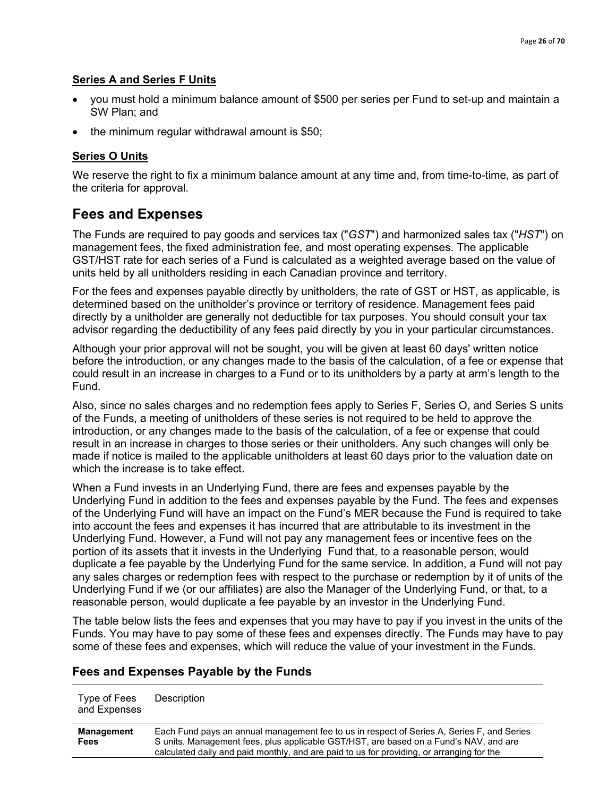# **Series A and Series F Units**

- you must hold a minimum balance amount of \$500 per series per Fund to set-up and maintain a SW Plan; and
- the minimum regular withdrawal amount is \$50;

# **Series O Units**

We reserve the right to fix a minimum balance amount at any time and, from time-to-time, as part of the criteria for approval.

# <span id="page-25-0"></span>**Fees and Expenses**

The Funds are required to pay goods and services tax ("*GST*") and harmonized sales tax ("*HST*") on management fees, the fixed administration fee, and most operating expenses. The applicable GST/HST rate for each series of a Fund is calculated as a weighted average based on the value of units held by all unitholders residing in each Canadian province and territory.

For the fees and expenses payable directly by unitholders, the rate of GST or HST, as applicable, is determined based on the unitholder's province or territory of residence. Management fees paid directly by a unitholder are generally not deductible for tax purposes. You should consult your tax advisor regarding the deductibility of any fees paid directly by you in your particular circumstances.

Although your prior approval will not be sought, you will be given at least 60 days' written notice before the introduction, or any changes made to the basis of the calculation, of a fee or expense that could result in an increase in charges to a Fund or to its unitholders by a party at arm's length to the Fund.

Also, since no sales charges and no redemption fees apply to Series F, Series O, and Series S units of the Funds, a meeting of unitholders of these series is not required to be held to approve the introduction, or any changes made to the basis of the calculation, of a fee or expense that could result in an increase in charges to those series or their unitholders. Any such changes will only be made if notice is mailed to the applicable unitholders at least 60 days prior to the valuation date on which the increase is to take effect.

When a Fund invests in an Underlying Fund, there are fees and expenses payable by the Underlying Fund in addition to the fees and expenses payable by the Fund. The fees and expenses of the Underlying Fund will have an impact on the Fund's MER because the Fund is required to take into account the fees and expenses it has incurred that are attributable to its investment in the Underlying Fund. However, a Fund will not pay any management fees or incentive fees on the portion of its assets that it invests in the Underlying Fund that, to a reasonable person, would duplicate a fee payable by the Underlying Fund for the same service. In addition, a Fund will not pay any sales charges or redemption fees with respect to the purchase or redemption by it of units of the Underlying Fund if we (or our affiliates) are also the Manager of the Underlying Fund, or that, to a reasonable person, would duplicate a fee payable by an investor in the Underlying Fund.

The table below lists the fees and expenses that you may have to pay if you invest in the units of the Funds. You may have to pay some of these fees and expenses directly. The Funds may have to pay some of these fees and expenses, which will reduce the value of your investment in the Funds.

# **Fees and Expenses Payable by the Funds**

| Type of Fees<br>and Expenses     | Description                                                                                                                                                                                                                                                                      |
|----------------------------------|----------------------------------------------------------------------------------------------------------------------------------------------------------------------------------------------------------------------------------------------------------------------------------|
| <b>Management</b><br><b>Fees</b> | Each Fund pays an annual management fee to us in respect of Series A, Series F, and Series<br>S units. Management fees, plus applicable GST/HST, are based on a Fund's NAV, and are<br>calculated daily and paid monthly, and are paid to us for providing, or arranging for the |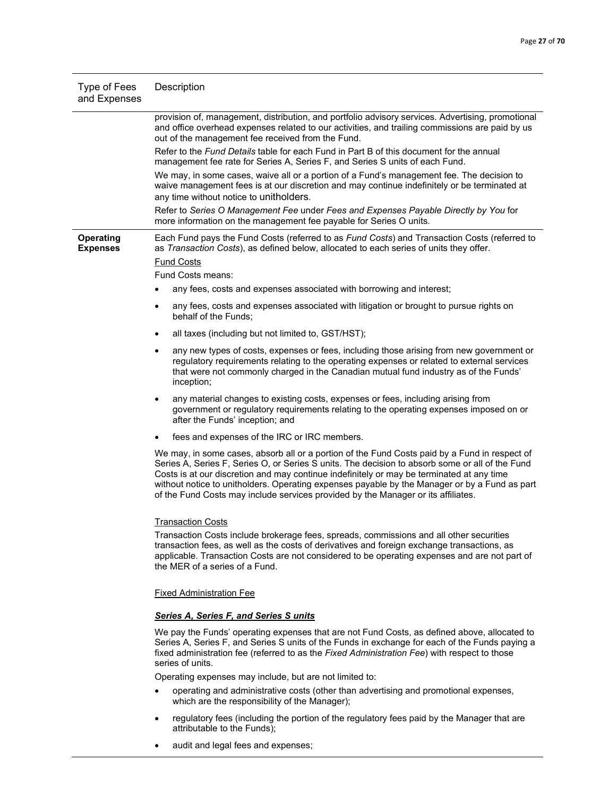| Type of Fees<br>and Expenses        | Description                                                                                                                                                                                                                                                                                                                                                                                                                                                                         |
|-------------------------------------|-------------------------------------------------------------------------------------------------------------------------------------------------------------------------------------------------------------------------------------------------------------------------------------------------------------------------------------------------------------------------------------------------------------------------------------------------------------------------------------|
|                                     | provision of, management, distribution, and portfolio advisory services. Advertising, promotional<br>and office overhead expenses related to our activities, and trailing commissions are paid by us<br>out of the management fee received from the Fund.                                                                                                                                                                                                                           |
|                                     | Refer to the <i>Fund Details</i> table for each Fund in Part B of this document for the annual<br>management fee rate for Series A, Series F, and Series S units of each Fund.                                                                                                                                                                                                                                                                                                      |
|                                     | We may, in some cases, waive all or a portion of a Fund's management fee. The decision to<br>waive management fees is at our discretion and may continue indefinitely or be terminated at<br>any time without notice to unitholders.                                                                                                                                                                                                                                                |
|                                     | Refer to Series O Management Fee under Fees and Expenses Payable Directly by You for<br>more information on the management fee payable for Series O units.                                                                                                                                                                                                                                                                                                                          |
| <b>Operating</b><br><b>Expenses</b> | Each Fund pays the Fund Costs (referred to as Fund Costs) and Transaction Costs (referred to<br>as Transaction Costs), as defined below, allocated to each series of units they offer.                                                                                                                                                                                                                                                                                              |
|                                     | <b>Fund Costs</b>                                                                                                                                                                                                                                                                                                                                                                                                                                                                   |
|                                     | Fund Costs means:                                                                                                                                                                                                                                                                                                                                                                                                                                                                   |
|                                     | any fees, costs and expenses associated with borrowing and interest;                                                                                                                                                                                                                                                                                                                                                                                                                |
|                                     | any fees, costs and expenses associated with litigation or brought to pursue rights on<br>$\bullet$<br>behalf of the Funds;                                                                                                                                                                                                                                                                                                                                                         |
|                                     | all taxes (including but not limited to, GST/HST);                                                                                                                                                                                                                                                                                                                                                                                                                                  |
|                                     | any new types of costs, expenses or fees, including those arising from new government or<br>regulatory requirements relating to the operating expenses or related to external services<br>that were not commonly charged in the Canadian mutual fund industry as of the Funds'<br>inception;                                                                                                                                                                                        |
|                                     | any material changes to existing costs, expenses or fees, including arising from<br>government or regulatory requirements relating to the operating expenses imposed on or<br>after the Funds' inception; and                                                                                                                                                                                                                                                                       |
|                                     | fees and expenses of the IRC or IRC members.                                                                                                                                                                                                                                                                                                                                                                                                                                        |
|                                     | We may, in some cases, absorb all or a portion of the Fund Costs paid by a Fund in respect of<br>Series A, Series F, Series O, or Series S units. The decision to absorb some or all of the Fund<br>Costs is at our discretion and may continue indefinitely or may be terminated at any time<br>without notice to unitholders. Operating expenses payable by the Manager or by a Fund as part<br>of the Fund Costs may include services provided by the Manager or its affiliates. |
|                                     | <b>Transaction Costs</b>                                                                                                                                                                                                                                                                                                                                                                                                                                                            |
|                                     | Transaction Costs include brokerage fees, spreads, commissions and all other securities<br>transaction fees, as well as the costs of derivatives and foreign exchange transactions, as<br>applicable. Transaction Costs are not considered to be operating expenses and are not part of<br>the MER of a series of a Fund.                                                                                                                                                           |
|                                     | <b>Fixed Administration Fee</b>                                                                                                                                                                                                                                                                                                                                                                                                                                                     |
|                                     | <b>Series A, Series F, and Series S units</b>                                                                                                                                                                                                                                                                                                                                                                                                                                       |
|                                     | We pay the Funds' operating expenses that are not Fund Costs, as defined above, allocated to<br>Series A, Series F, and Series S units of the Funds in exchange for each of the Funds paying a<br>fixed administration fee (referred to as the Fixed Administration Fee) with respect to those<br>series of units.                                                                                                                                                                  |
|                                     | Operating expenses may include, but are not limited to:                                                                                                                                                                                                                                                                                                                                                                                                                             |
|                                     | operating and administrative costs (other than advertising and promotional expenses,<br>which are the responsibility of the Manager);                                                                                                                                                                                                                                                                                                                                               |

- regulatory fees (including the portion of the regulatory fees paid by the Manager that are attributable to the Funds);
- audit and legal fees and expenses;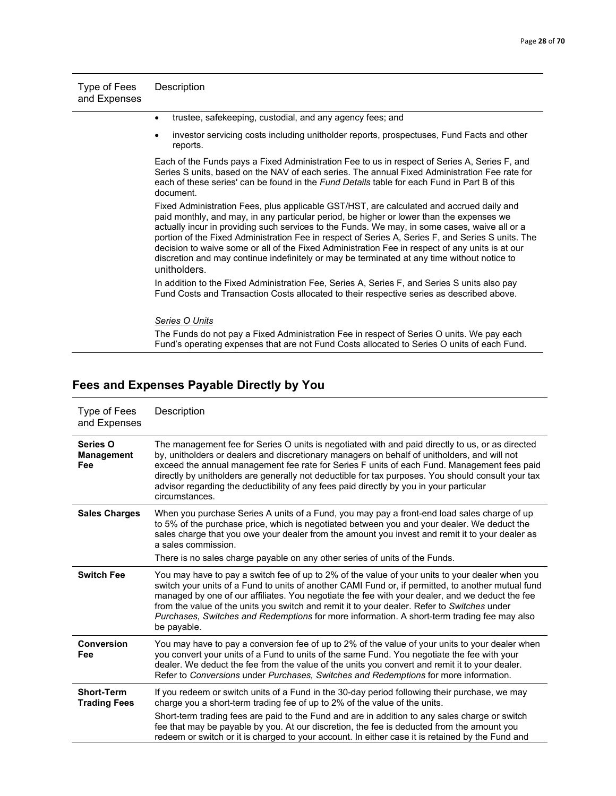| Type of Fees<br>and Expenses | Description                                                                                                                                                                                                                                                                                                                                                                                                                                                                                                                                                                                                  |
|------------------------------|--------------------------------------------------------------------------------------------------------------------------------------------------------------------------------------------------------------------------------------------------------------------------------------------------------------------------------------------------------------------------------------------------------------------------------------------------------------------------------------------------------------------------------------------------------------------------------------------------------------|
|                              | trustee, safekeeping, custodial, and any agency fees; and<br>٠                                                                                                                                                                                                                                                                                                                                                                                                                                                                                                                                               |
|                              | investor servicing costs including unitholder reports, prospectuses, Fund Facts and other<br>$\bullet$<br>reports.                                                                                                                                                                                                                                                                                                                                                                                                                                                                                           |
|                              | Each of the Funds pays a Fixed Administration Fee to us in respect of Series A, Series F, and<br>Series S units, based on the NAV of each series. The annual Fixed Administration Fee rate for<br>each of these series' can be found in the <i>Fund Details</i> table for each Fund in Part B of this<br>document.                                                                                                                                                                                                                                                                                           |
|                              | Fixed Administration Fees, plus applicable GST/HST, are calculated and accrued daily and<br>paid monthly, and may, in any particular period, be higher or lower than the expenses we<br>actually incur in providing such services to the Funds. We may, in some cases, waive all or a<br>portion of the Fixed Administration Fee in respect of Series A, Series F, and Series S units. The<br>decision to waive some or all of the Fixed Administration Fee in respect of any units is at our<br>discretion and may continue indefinitely or may be terminated at any time without notice to<br>unitholders. |
|                              | In addition to the Fixed Administration Fee, Series A, Series F, and Series S units also pay<br>Fund Costs and Transaction Costs allocated to their respective series as described above.                                                                                                                                                                                                                                                                                                                                                                                                                    |
|                              | Series O Units                                                                                                                                                                                                                                                                                                                                                                                                                                                                                                                                                                                               |
|                              | The Funds do not pay a Fixed Administration Fee in respect of Series O units. We pay each                                                                                                                                                                                                                                                                                                                                                                                                                                                                                                                    |

Fund's operating expenses that are not Fund Costs allocated to Series O units of each Fund.

# **Fees and Expenses Payable Directly by You**

| Type of Fees<br>and Expenses             | Description                                                                                                                                                                                                                                                                                                                                                                                                                                                                                                           |
|------------------------------------------|-----------------------------------------------------------------------------------------------------------------------------------------------------------------------------------------------------------------------------------------------------------------------------------------------------------------------------------------------------------------------------------------------------------------------------------------------------------------------------------------------------------------------|
| Series O<br><b>Management</b><br>Fee     | The management fee for Series O units is negotiated with and paid directly to us, or as directed<br>by, unitholders or dealers and discretionary managers on behalf of unitholders, and will not<br>exceed the annual management fee rate for Series F units of each Fund. Management fees paid<br>directly by unitholders are generally not deductible for tax purposes. You should consult your tax<br>advisor regarding the deductibility of any fees paid directly by you in your particular<br>circumstances.    |
| <b>Sales Charges</b>                     | When you purchase Series A units of a Fund, you may pay a front-end load sales charge of up<br>to 5% of the purchase price, which is negotiated between you and your dealer. We deduct the<br>sales charge that you owe your dealer from the amount you invest and remit it to your dealer as<br>a sales commission.                                                                                                                                                                                                  |
|                                          | There is no sales charge payable on any other series of units of the Funds.                                                                                                                                                                                                                                                                                                                                                                                                                                           |
| <b>Switch Fee</b>                        | You may have to pay a switch fee of up to 2% of the value of your units to your dealer when you<br>switch your units of a Fund to units of another CAMI Fund or, if permitted, to another mutual fund<br>managed by one of our affiliates. You negotiate the fee with your dealer, and we deduct the fee<br>from the value of the units you switch and remit it to your dealer. Refer to Switches under<br>Purchases, Switches and Redemptions for more information. A short-term trading fee may also<br>be payable. |
| <b>Conversion</b><br>Fee                 | You may have to pay a conversion fee of up to 2% of the value of your units to your dealer when<br>you convert your units of a Fund to units of the same Fund. You negotiate the fee with your<br>dealer. We deduct the fee from the value of the units you convert and remit it to your dealer.<br>Refer to Conversions under Purchases, Switches and Redemptions for more information.                                                                                                                              |
| <b>Short-Term</b><br><b>Trading Fees</b> | If you redeem or switch units of a Fund in the 30-day period following their purchase, we may<br>charge you a short-term trading fee of up to 2% of the value of the units.<br>Short-term trading fees are paid to the Fund and are in addition to any sales charge or switch<br>fee that may be payable by you. At our discretion, the fee is deducted from the amount you                                                                                                                                           |
|                                          | redeem or switch or it is charged to your account. In either case it is retained by the Fund and                                                                                                                                                                                                                                                                                                                                                                                                                      |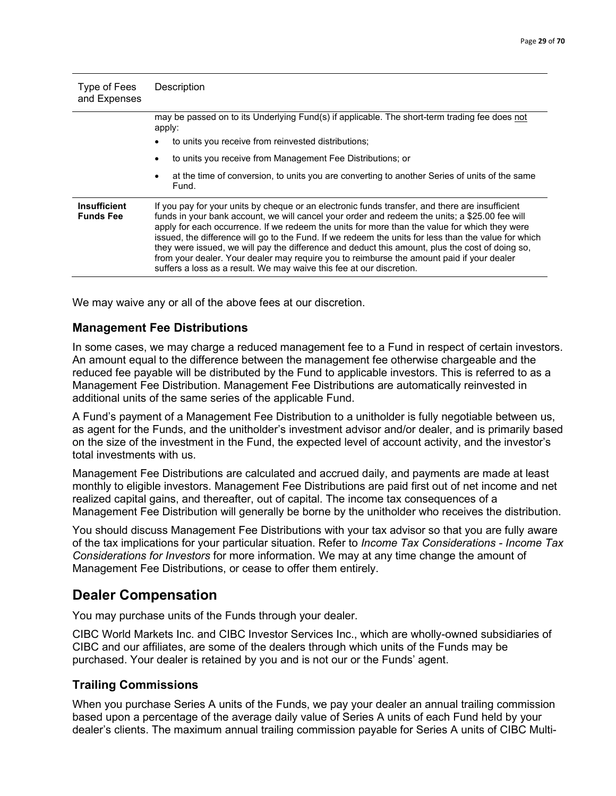| Type of Fees<br>and Expenses            | Description                                                                                                                                                                                                                                                                                                                                                                                                                                                                                                                                                                                                                                                                        |
|-----------------------------------------|------------------------------------------------------------------------------------------------------------------------------------------------------------------------------------------------------------------------------------------------------------------------------------------------------------------------------------------------------------------------------------------------------------------------------------------------------------------------------------------------------------------------------------------------------------------------------------------------------------------------------------------------------------------------------------|
|                                         | may be passed on to its Underlying Fund(s) if applicable. The short-term trading fee does not<br>apply:<br>to units you receive from reinvested distributions;                                                                                                                                                                                                                                                                                                                                                                                                                                                                                                                     |
|                                         | to units you receive from Management Fee Distributions; or                                                                                                                                                                                                                                                                                                                                                                                                                                                                                                                                                                                                                         |
|                                         | at the time of conversion, to units you are converting to another Series of units of the same<br>Fund.                                                                                                                                                                                                                                                                                                                                                                                                                                                                                                                                                                             |
| <b>Insufficient</b><br><b>Funds Fee</b> | If you pay for your units by cheque or an electronic funds transfer, and there are insufficient<br>funds in your bank account, we will cancel your order and redeem the units; a \$25.00 fee will<br>apply for each occurrence. If we redeem the units for more than the value for which they were<br>issued, the difference will go to the Fund. If we redeem the units for less than the value for which<br>they were issued, we will pay the difference and deduct this amount, plus the cost of doing so,<br>from your dealer. Your dealer may require you to reimburse the amount paid if your dealer<br>suffers a loss as a result. We may waive this fee at our discretion. |

We may waive any or all of the above fees at our discretion.

# **Management Fee Distributions**

In some cases, we may charge a reduced management fee to a Fund in respect of certain investors. An amount equal to the difference between the management fee otherwise chargeable and the reduced fee payable will be distributed by the Fund to applicable investors. This is referred to as a Management Fee Distribution. Management Fee Distributions are automatically reinvested in additional units of the same series of the applicable Fund.

A Fund's payment of a Management Fee Distribution to a unitholder is fully negotiable between us, as agent for the Funds, and the unitholder's investment advisor and/or dealer, and is primarily based on the size of the investment in the Fund, the expected level of account activity, and the investor's total investments with us.

Management Fee Distributions are calculated and accrued daily, and payments are made at least monthly to eligible investors. Management Fee Distributions are paid first out of net income and net realized capital gains, and thereafter, out of capital. The income tax consequences of a Management Fee Distribution will generally be borne by the unitholder who receives the distribution.

You should discuss Management Fee Distributions with your tax advisor so that you are fully aware of the tax implications for your particular situation. Refer to *Income Tax Considerations - Income Tax Considerations for Investors* for more information. We may at any time change the amount of Management Fee Distributions, or cease to offer them entirely.

# <span id="page-28-0"></span>**Dealer Compensation**

You may purchase units of the Funds through your dealer.

CIBC World Markets Inc. and CIBC Investor Services Inc., which are wholly-owned subsidiaries of CIBC and our affiliates, are some of the dealers through which units of the Funds may be purchased. Your dealer is retained by you and is not our or the Funds' agent.

# **Trailing Commissions**

When you purchase Series A units of the Funds, we pay your dealer an annual trailing commission based upon a percentage of the average daily value of Series A units of each Fund held by your dealer's clients. The maximum annual trailing commission payable for Series A units of CIBC Multi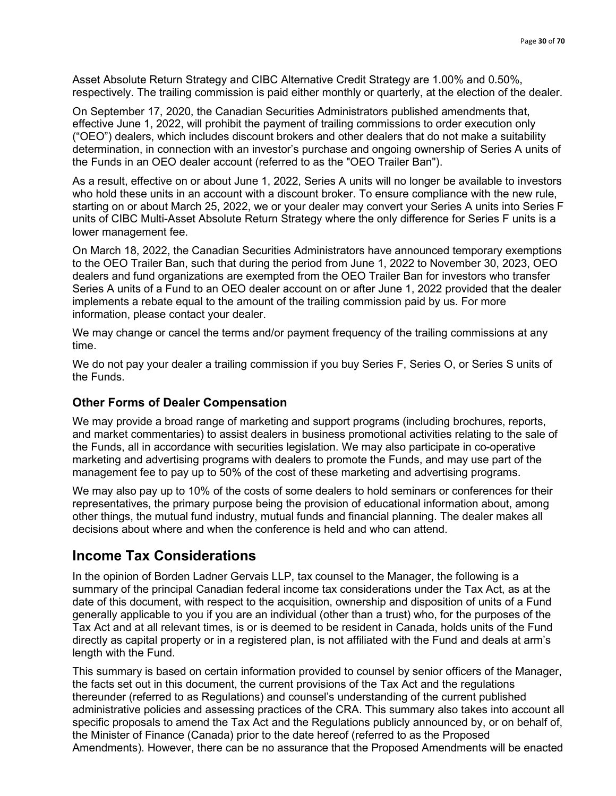Asset Absolute Return Strategy and CIBC Alternative Credit Strategy are 1.00% and 0.50%, respectively. The trailing commission is paid either monthly or quarterly, at the election of the dealer.

On September 17, 2020, the Canadian Securities Administrators published amendments that, effective June 1, 2022, will prohibit the payment of trailing commissions to order execution only ("OEO") dealers, which includes discount brokers and other dealers that do not make a suitability determination, in connection with an investor's purchase and ongoing ownership of Series A units of the Funds in an OEO dealer account (referred to as the "OEO Trailer Ban").

As a result, effective on or about June 1, 2022, Series A units will no longer be available to investors who hold these units in an account with a discount broker. To ensure compliance with the new rule, starting on or about March 25, 2022, we or your dealer may convert your Series A units into Series F units of CIBC Multi-Asset Absolute Return Strategy where the only difference for Series F units is a lower management fee.

On March 18, 2022, the Canadian Securities Administrators have announced temporary exemptions to the OEO Trailer Ban, such that during the period from June 1, 2022 to November 30, 2023, OEO dealers and fund organizations are exempted from the OEO Trailer Ban for investors who transfer Series A units of a Fund to an OEO dealer account on or after June 1, 2022 provided that the dealer implements a rebate equal to the amount of the trailing commission paid by us. For more information, please contact your dealer.

We may change or cancel the terms and/or payment frequency of the trailing commissions at any time.

We do not pay your dealer a trailing commission if you buy Series F, Series O, or Series S units of the Funds.

# **Other Forms of Dealer Compensation**

We may provide a broad range of marketing and support programs (including brochures, reports, and market commentaries) to assist dealers in business promotional activities relating to the sale of the Funds, all in accordance with securities legislation. We may also participate in co-operative marketing and advertising programs with dealers to promote the Funds, and may use part of the management fee to pay up to 50% of the cost of these marketing and advertising programs.

We may also pay up to 10% of the costs of some dealers to hold seminars or conferences for their representatives, the primary purpose being the provision of educational information about, among other things, the mutual fund industry, mutual funds and financial planning. The dealer makes all decisions about where and when the conference is held and who can attend.

# <span id="page-29-0"></span>**Income Tax Considerations**

In the opinion of Borden Ladner Gervais LLP, tax counsel to the Manager, the following is a summary of the principal Canadian federal income tax considerations under the Tax Act, as at the date of this document, with respect to the acquisition, ownership and disposition of units of a Fund generally applicable to you if you are an individual (other than a trust) who, for the purposes of the Tax Act and at all relevant times, is or is deemed to be resident in Canada, holds units of the Fund directly as capital property or in a registered plan, is not affiliated with the Fund and deals at arm's length with the Fund.

This summary is based on certain information provided to counsel by senior officers of the Manager, the facts set out in this document, the current provisions of the Tax Act and the regulations thereunder (referred to as Regulations) and counsel's understanding of the current published administrative policies and assessing practices of the CRA. This summary also takes into account all specific proposals to amend the Tax Act and the Regulations publicly announced by, or on behalf of, the Minister of Finance (Canada) prior to the date hereof (referred to as the Proposed Amendments). However, there can be no assurance that the Proposed Amendments will be enacted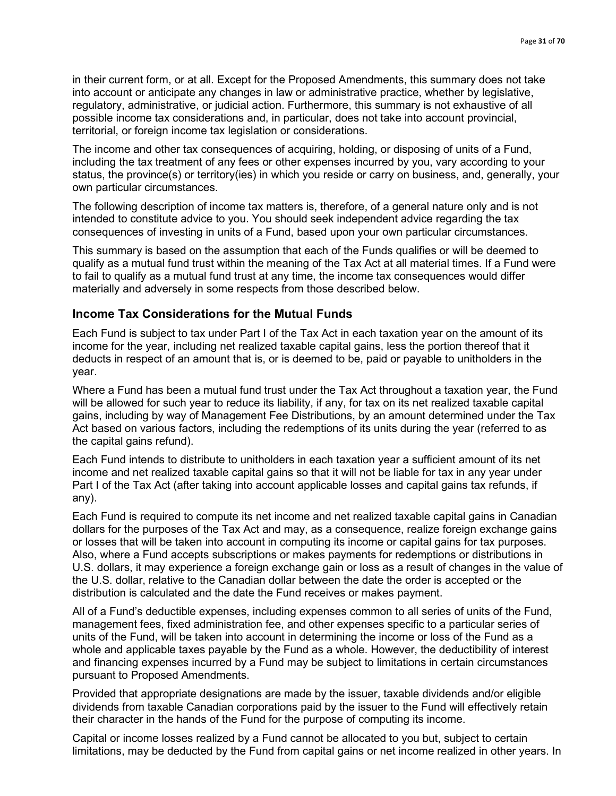in their current form, or at all. Except for the Proposed Amendments, this summary does not take into account or anticipate any changes in law or administrative practice, whether by legislative, regulatory, administrative, or judicial action. Furthermore, this summary is not exhaustive of all possible income tax considerations and, in particular, does not take into account provincial, territorial, or foreign income tax legislation or considerations.

The income and other tax consequences of acquiring, holding, or disposing of units of a Fund, including the tax treatment of any fees or other expenses incurred by you, vary according to your status, the province(s) or territory(ies) in which you reside or carry on business, and, generally, your own particular circumstances.

The following description of income tax matters is, therefore, of a general nature only and is not intended to constitute advice to you. You should seek independent advice regarding the tax consequences of investing in units of a Fund, based upon your own particular circumstances.

This summary is based on the assumption that each of the Funds qualifies or will be deemed to qualify as a mutual fund trust within the meaning of the Tax Act at all material times. If a Fund were to fail to qualify as a mutual fund trust at any time, the income tax consequences would differ materially and adversely in some respects from those described below.

# **Income Tax Considerations for the Mutual Funds**

Each Fund is subject to tax under Part I of the Tax Act in each taxation year on the amount of its income for the year, including net realized taxable capital gains, less the portion thereof that it deducts in respect of an amount that is, or is deemed to be, paid or payable to unitholders in the year.

Where a Fund has been a mutual fund trust under the Tax Act throughout a taxation year, the Fund will be allowed for such year to reduce its liability, if any, for tax on its net realized taxable capital gains, including by way of Management Fee Distributions, by an amount determined under the Tax Act based on various factors, including the redemptions of its units during the year (referred to as the capital gains refund).

Each Fund intends to distribute to unitholders in each taxation year a sufficient amount of its net income and net realized taxable capital gains so that it will not be liable for tax in any year under Part I of the Tax Act (after taking into account applicable losses and capital gains tax refunds, if any).

Each Fund is required to compute its net income and net realized taxable capital gains in Canadian dollars for the purposes of the Tax Act and may, as a consequence, realize foreign exchange gains or losses that will be taken into account in computing its income or capital gains for tax purposes. Also, where a Fund accepts subscriptions or makes payments for redemptions or distributions in U.S. dollars, it may experience a foreign exchange gain or loss as a result of changes in the value of the U.S. dollar, relative to the Canadian dollar between the date the order is accepted or the distribution is calculated and the date the Fund receives or makes payment.

All of a Fund's deductible expenses, including expenses common to all series of units of the Fund, management fees, fixed administration fee, and other expenses specific to a particular series of units of the Fund, will be taken into account in determining the income or loss of the Fund as a whole and applicable taxes payable by the Fund as a whole. However, the deductibility of interest and financing expenses incurred by a Fund may be subject to limitations in certain circumstances pursuant to Proposed Amendments.

Provided that appropriate designations are made by the issuer, taxable dividends and/or eligible dividends from taxable Canadian corporations paid by the issuer to the Fund will effectively retain their character in the hands of the Fund for the purpose of computing its income.

Capital or income losses realized by a Fund cannot be allocated to you but, subject to certain limitations, may be deducted by the Fund from capital gains or net income realized in other years. In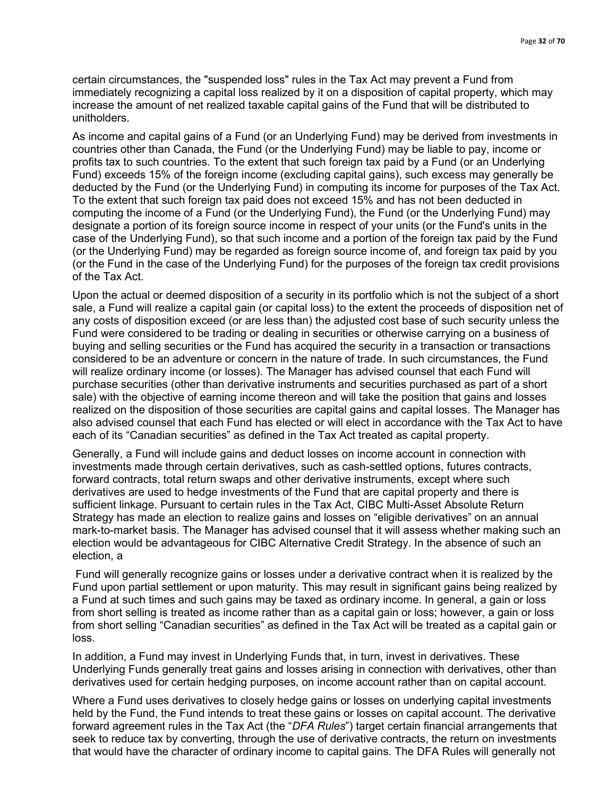certain circumstances, the "suspended loss" rules in the Tax Act may prevent a Fund from immediately recognizing a capital loss realized by it on a disposition of capital property, which may increase the amount of net realized taxable capital gains of the Fund that will be distributed to unitholders.

As income and capital gains of a Fund (or an Underlying Fund) may be derived from investments in countries other than Canada, the Fund (or the Underlying Fund) may be liable to pay, income or profits tax to such countries. To the extent that such foreign tax paid by a Fund (or an Underlying Fund) exceeds 15% of the foreign income (excluding capital gains), such excess may generally be deducted by the Fund (or the Underlying Fund) in computing its income for purposes of the Tax Act. To the extent that such foreign tax paid does not exceed 15% and has not been deducted in computing the income of a Fund (or the Underlying Fund), the Fund (or the Underlying Fund) may designate a portion of its foreign source income in respect of your units (or the Fund's units in the case of the Underlying Fund), so that such income and a portion of the foreign tax paid by the Fund (or the Underlying Fund) may be regarded as foreign source income of, and foreign tax paid by you (or the Fund in the case of the Underlying Fund) for the purposes of the foreign tax credit provisions of the Tax Act.

Upon the actual or deemed disposition of a security in its portfolio which is not the subject of a short sale, a Fund will realize a capital gain (or capital loss) to the extent the proceeds of disposition net of any costs of disposition exceed (or are less than) the adjusted cost base of such security unless the Fund were considered to be trading or dealing in securities or otherwise carrying on a business of buying and selling securities or the Fund has acquired the security in a transaction or transactions considered to be an adventure or concern in the nature of trade. In such circumstances, the Fund will realize ordinary income (or losses). The Manager has advised counsel that each Fund will purchase securities (other than derivative instruments and securities purchased as part of a short sale) with the objective of earning income thereon and will take the position that gains and losses realized on the disposition of those securities are capital gains and capital losses. The Manager has also advised counsel that each Fund has elected or will elect in accordance with the Tax Act to have each of its "Canadian securities" as defined in the Tax Act treated as capital property.

Generally, a Fund will include gains and deduct losses on income account in connection with investments made through certain derivatives, such as cash-settled options, futures contracts, forward contracts, total return swaps and other derivative instruments, except where such derivatives are used to hedge investments of the Fund that are capital property and there is sufficient linkage. Pursuant to certain rules in the Tax Act, CIBC Multi-Asset Absolute Return Strategy has made an election to realize gains and losses on "eligible derivatives" on an annual mark-to-market basis. The Manager has advised counsel that it will assess whether making such an election would be advantageous for CIBC Alternative Credit Strategy. In the absence of such an election, a

Fund will generally recognize gains or losses under a derivative contract when it is realized by the Fund upon partial settlement or upon maturity. This may result in significant gains being realized by a Fund at such times and such gains may be taxed as ordinary income. In general, a gain or loss from short selling is treated as income rather than as a capital gain or loss; however, a gain or loss from short selling "Canadian securities" as defined in the Tax Act will be treated as a capital gain or loss.

In addition, a Fund may invest in Underlying Funds that, in turn, invest in derivatives. These Underlying Funds generally treat gains and losses arising in connection with derivatives, other than derivatives used for certain hedging purposes, on income account rather than on capital account.

Where a Fund uses derivatives to closely hedge gains or losses on underlying capital investments held by the Fund, the Fund intends to treat these gains or losses on capital account. The derivative forward agreement rules in the Tax Act (the "*DFA Rules*") target certain financial arrangements that seek to reduce tax by converting, through the use of derivative contracts, the return on investments that would have the character of ordinary income to capital gains. The DFA Rules will generally not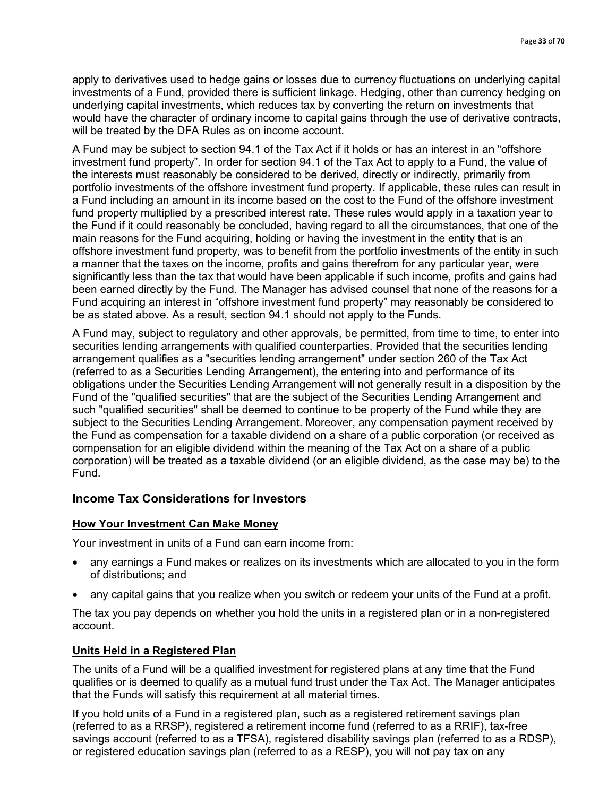apply to derivatives used to hedge gains or losses due to currency fluctuations on underlying capital investments of a Fund, provided there is sufficient linkage. Hedging, other than currency hedging on underlying capital investments, which reduces tax by converting the return on investments that would have the character of ordinary income to capital gains through the use of derivative contracts, will be treated by the DFA Rules as on income account.

A Fund may be subject to section 94.1 of the Tax Act if it holds or has an interest in an "offshore investment fund property". In order for section 94.1 of the Tax Act to apply to a Fund, the value of the interests must reasonably be considered to be derived, directly or indirectly, primarily from portfolio investments of the offshore investment fund property. If applicable, these rules can result in a Fund including an amount in its income based on the cost to the Fund of the offshore investment fund property multiplied by a prescribed interest rate. These rules would apply in a taxation year to the Fund if it could reasonably be concluded, having regard to all the circumstances, that one of the main reasons for the Fund acquiring, holding or having the investment in the entity that is an offshore investment fund property, was to benefit from the portfolio investments of the entity in such a manner that the taxes on the income, profits and gains therefrom for any particular year, were significantly less than the tax that would have been applicable if such income, profits and gains had been earned directly by the Fund. The Manager has advised counsel that none of the reasons for a Fund acquiring an interest in "offshore investment fund property" may reasonably be considered to be as stated above. As a result, section 94.1 should not apply to the Funds.

A Fund may, subject to regulatory and other approvals, be permitted, from time to time, to enter into securities lending arrangements with qualified counterparties. Provided that the securities lending arrangement qualifies as a "securities lending arrangement" under section 260 of the Tax Act (referred to as a Securities Lending Arrangement), the entering into and performance of its obligations under the Securities Lending Arrangement will not generally result in a disposition by the Fund of the "qualified securities" that are the subject of the Securities Lending Arrangement and such "qualified securities" shall be deemed to continue to be property of the Fund while they are subject to the Securities Lending Arrangement. Moreover, any compensation payment received by the Fund as compensation for a taxable dividend on a share of a public corporation (or received as compensation for an eligible dividend within the meaning of the Tax Act on a share of a public corporation) will be treated as a taxable dividend (or an eligible dividend, as the case may be) to the Fund.

### **Income Tax Considerations for Investors**

#### **How Your Investment Can Make Money**

Your investment in units of a Fund can earn income from:

- any earnings a Fund makes or realizes on its investments which are allocated to you in the form of distributions; and
- any capital gains that you realize when you switch or redeem your units of the Fund at a profit.

The tax you pay depends on whether you hold the units in a registered plan or in a non-registered account.

### **Units Held in a Registered Plan**

The units of a Fund will be a qualified investment for registered plans at any time that the Fund qualifies or is deemed to qualify as a mutual fund trust under the Tax Act. The Manager anticipates that the Funds will satisfy this requirement at all material times.

If you hold units of a Fund in a registered plan, such as a registered retirement savings plan (referred to as a RRSP), registered a retirement income fund (referred to as a RRIF), tax-free savings account (referred to as a TFSA), registered disability savings plan (referred to as a RDSP), or registered education savings plan (referred to as a RESP), you will not pay tax on any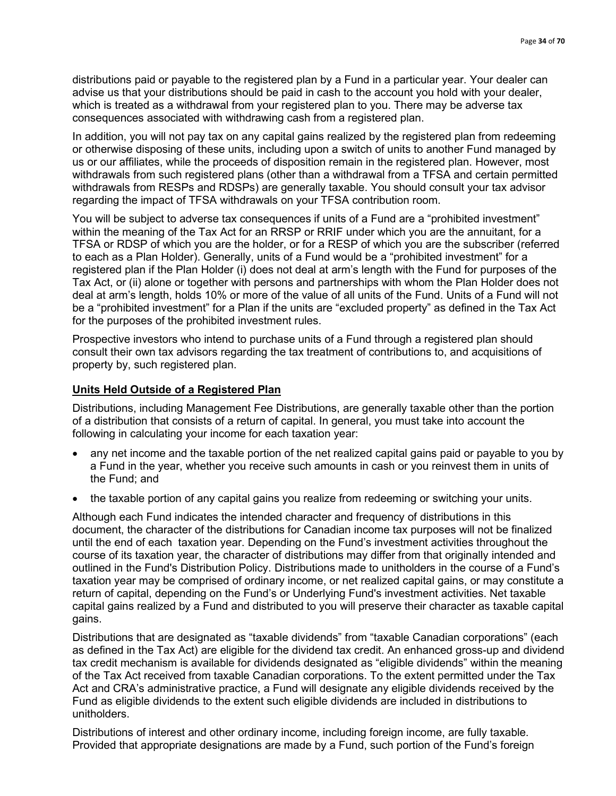distributions paid or payable to the registered plan by a Fund in a particular year. Your dealer can advise us that your distributions should be paid in cash to the account you hold with your dealer, which is treated as a withdrawal from your registered plan to you. There may be adverse tax consequences associated with withdrawing cash from a registered plan.

In addition, you will not pay tax on any capital gains realized by the registered plan from redeeming or otherwise disposing of these units, including upon a switch of units to another Fund managed by us or our affiliates, while the proceeds of disposition remain in the registered plan. However, most withdrawals from such registered plans (other than a withdrawal from a TFSA and certain permitted withdrawals from RESPs and RDSPs) are generally taxable. You should consult your tax advisor regarding the impact of TFSA withdrawals on your TFSA contribution room.

You will be subject to adverse tax consequences if units of a Fund are a "prohibited investment" within the meaning of the Tax Act for an RRSP or RRIF under which you are the annuitant, for a TFSA or RDSP of which you are the holder, or for a RESP of which you are the subscriber (referred to each as a Plan Holder). Generally, units of a Fund would be a "prohibited investment" for a registered plan if the Plan Holder (i) does not deal at arm's length with the Fund for purposes of the Tax Act, or (ii) alone or together with persons and partnerships with whom the Plan Holder does not deal at arm's length, holds 10% or more of the value of all units of the Fund. Units of a Fund will not be a "prohibited investment" for a Plan if the units are "excluded property" as defined in the Tax Act for the purposes of the prohibited investment rules.

Prospective investors who intend to purchase units of a Fund through a registered plan should consult their own tax advisors regarding the tax treatment of contributions to, and acquisitions of property by, such registered plan.

### **Units Held Outside of a Registered Plan**

Distributions, including Management Fee Distributions, are generally taxable other than the portion of a distribution that consists of a return of capital. In general, you must take into account the following in calculating your income for each taxation year:

- any net income and the taxable portion of the net realized capital gains paid or payable to you by a Fund in the year, whether you receive such amounts in cash or you reinvest them in units of the Fund; and
- the taxable portion of any capital gains you realize from redeeming or switching your units.

Although each Fund indicates the intended character and frequency of distributions in this document, the character of the distributions for Canadian income tax purposes will not be finalized until the end of each taxation year. Depending on the Fund's investment activities throughout the course of its taxation year, the character of distributions may differ from that originally intended and outlined in the Fund's Distribution Policy. Distributions made to unitholders in the course of a Fund's taxation year may be comprised of ordinary income, or net realized capital gains, or may constitute a return of capital, depending on the Fund's or Underlying Fund's investment activities. Net taxable capital gains realized by a Fund and distributed to you will preserve their character as taxable capital gains.

Distributions that are designated as "taxable dividends" from "taxable Canadian corporations" (each as defined in the Tax Act) are eligible for the dividend tax credit. An enhanced gross-up and dividend tax credit mechanism is available for dividends designated as "eligible dividends" within the meaning of the Tax Act received from taxable Canadian corporations. To the extent permitted under the Tax Act and CRA's administrative practice, a Fund will designate any eligible dividends received by the Fund as eligible dividends to the extent such eligible dividends are included in distributions to unitholders.

Distributions of interest and other ordinary income, including foreign income, are fully taxable. Provided that appropriate designations are made by a Fund, such portion of the Fund's foreign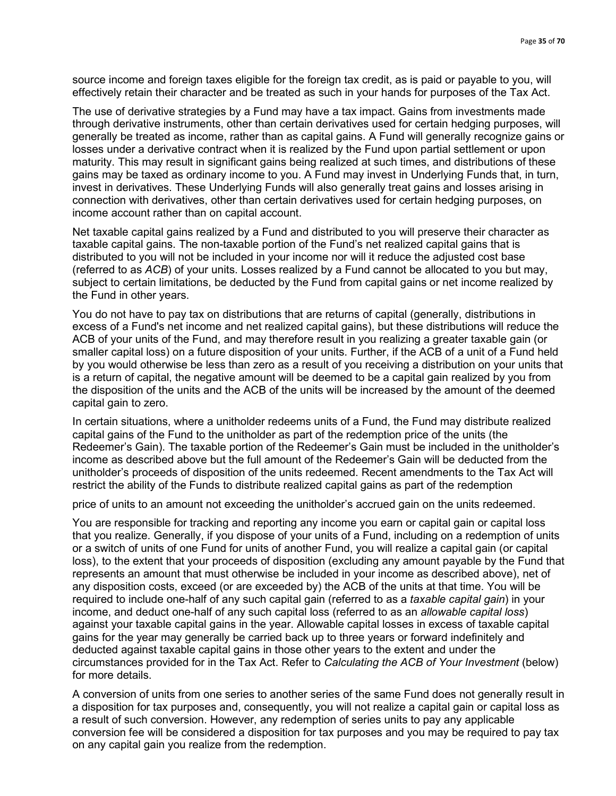source income and foreign taxes eligible for the foreign tax credit, as is paid or payable to you, will effectively retain their character and be treated as such in your hands for purposes of the Tax Act.

The use of derivative strategies by a Fund may have a tax impact. Gains from investments made through derivative instruments, other than certain derivatives used for certain hedging purposes, will generally be treated as income, rather than as capital gains. A Fund will generally recognize gains or losses under a derivative contract when it is realized by the Fund upon partial settlement or upon maturity. This may result in significant gains being realized at such times, and distributions of these gains may be taxed as ordinary income to you. A Fund may invest in Underlying Funds that, in turn, invest in derivatives. These Underlying Funds will also generally treat gains and losses arising in connection with derivatives, other than certain derivatives used for certain hedging purposes, on income account rather than on capital account.

Net taxable capital gains realized by a Fund and distributed to you will preserve their character as taxable capital gains. The non-taxable portion of the Fund's net realized capital gains that is distributed to you will not be included in your income nor will it reduce the adjusted cost base (referred to as *ACB*) of your units. Losses realized by a Fund cannot be allocated to you but may, subject to certain limitations, be deducted by the Fund from capital gains or net income realized by the Fund in other years.

You do not have to pay tax on distributions that are returns of capital (generally, distributions in excess of a Fund's net income and net realized capital gains), but these distributions will reduce the ACB of your units of the Fund, and may therefore result in you realizing a greater taxable gain (or smaller capital loss) on a future disposition of your units. Further, if the ACB of a unit of a Fund held by you would otherwise be less than zero as a result of you receiving a distribution on your units that is a return of capital, the negative amount will be deemed to be a capital gain realized by you from the disposition of the units and the ACB of the units will be increased by the amount of the deemed capital gain to zero.

In certain situations, where a unitholder redeems units of a Fund, the Fund may distribute realized capital gains of the Fund to the unitholder as part of the redemption price of the units (the Redeemer's Gain). The taxable portion of the Redeemer's Gain must be included in the unitholder's income as described above but the full amount of the Redeemer's Gain will be deducted from the unitholder's proceeds of disposition of the units redeemed. Recent amendments to the Tax Act will restrict the ability of the Funds to distribute realized capital gains as part of the redemption

price of units to an amount not exceeding the unitholder's accrued gain on the units redeemed.

You are responsible for tracking and reporting any income you earn or capital gain or capital loss that you realize. Generally, if you dispose of your units of a Fund, including on a redemption of units or a switch of units of one Fund for units of another Fund, you will realize a capital gain (or capital loss), to the extent that your proceeds of disposition (excluding any amount payable by the Fund that represents an amount that must otherwise be included in your income as described above), net of any disposition costs, exceed (or are exceeded by) the ACB of the units at that time. You will be required to include one-half of any such capital gain (referred to as a *taxable capital gain*) in your income, and deduct one-half of any such capital loss (referred to as an *allowable capital loss*) against your taxable capital gains in the year. Allowable capital losses in excess of taxable capital gains for the year may generally be carried back up to three years or forward indefinitely and deducted against taxable capital gains in those other years to the extent and under the circumstances provided for in the Tax Act. Refer to *Calculating the ACB of Your Investment* (below) for more details.

A conversion of units from one series to another series of the same Fund does not generally result in a disposition for tax purposes and, consequently, you will not realize a capital gain or capital loss as a result of such conversion. However, any redemption of series units to pay any applicable conversion fee will be considered a disposition for tax purposes and you may be required to pay tax on any capital gain you realize from the redemption.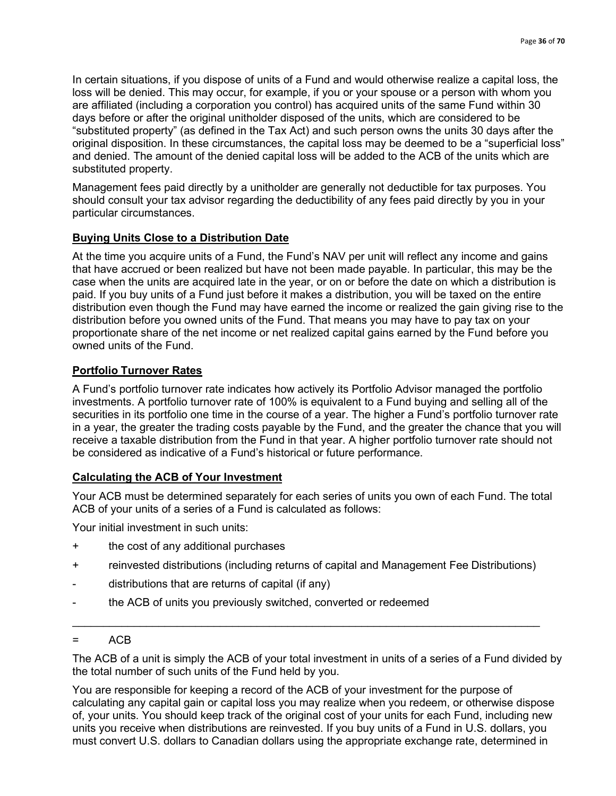In certain situations, if you dispose of units of a Fund and would otherwise realize a capital loss, the loss will be denied. This may occur, for example, if you or your spouse or a person with whom you are affiliated (including a corporation you control) has acquired units of the same Fund within 30 days before or after the original unitholder disposed of the units, which are considered to be "substituted property" (as defined in the Tax Act) and such person owns the units 30 days after the original disposition. In these circumstances, the capital loss may be deemed to be a "superficial loss" and denied. The amount of the denied capital loss will be added to the ACB of the units which are substituted property.

Management fees paid directly by a unitholder are generally not deductible for tax purposes. You should consult your tax advisor regarding the deductibility of any fees paid directly by you in your particular circumstances.

### **Buying Units Close to a Distribution Date**

At the time you acquire units of a Fund, the Fund's NAV per unit will reflect any income and gains that have accrued or been realized but have not been made payable. In particular, this may be the case when the units are acquired late in the year, or on or before the date on which a distribution is paid. If you buy units of a Fund just before it makes a distribution, you will be taxed on the entire distribution even though the Fund may have earned the income or realized the gain giving rise to the distribution before you owned units of the Fund. That means you may have to pay tax on your proportionate share of the net income or net realized capital gains earned by the Fund before you owned units of the Fund.

### **Portfolio Turnover Rates**

A Fund's portfolio turnover rate indicates how actively its Portfolio Advisor managed the portfolio investments. A portfolio turnover rate of 100% is equivalent to a Fund buying and selling all of the securities in its portfolio one time in the course of a year. The higher a Fund's portfolio turnover rate in a year, the greater the trading costs payable by the Fund, and the greater the chance that you will receive a taxable distribution from the Fund in that year. A higher portfolio turnover rate should not be considered as indicative of a Fund's historical or future performance.

### **Calculating the ACB of Your Investment**

Your ACB must be determined separately for each series of units you own of each Fund. The total ACB of your units of a series of a Fund is calculated as follows:

Your initial investment in such units:

- + the cost of any additional purchases
- + reinvested distributions (including returns of capital and Management Fee Distributions)

 $\mathcal{L}_\text{max}$  , and the set of the set of the set of the set of the set of the set of the set of the set of the set of the set of the set of the set of the set of the set of the set of the set of the set of the set of the

- distributions that are returns of capital (if any)
- the ACB of units you previously switched, converted or redeemed

### $=$  ACB

The ACB of a unit is simply the ACB of your total investment in units of a series of a Fund divided by the total number of such units of the Fund held by you.

You are responsible for keeping a record of the ACB of your investment for the purpose of calculating any capital gain or capital loss you may realize when you redeem, or otherwise dispose of, your units. You should keep track of the original cost of your units for each Fund, including new units you receive when distributions are reinvested. If you buy units of a Fund in U.S. dollars, you must convert U.S. dollars to Canadian dollars using the appropriate exchange rate, determined in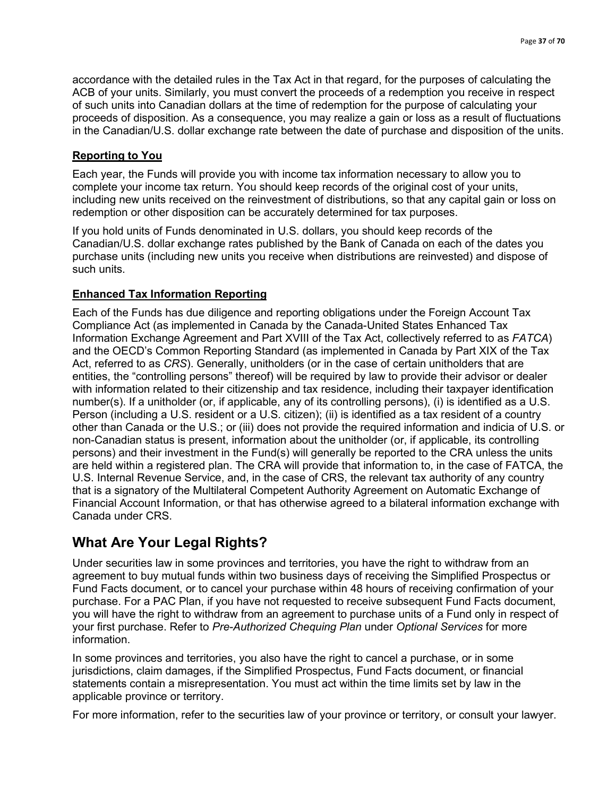accordance with the detailed rules in the Tax Act in that regard, for the purposes of calculating the ACB of your units. Similarly, you must convert the proceeds of a redemption you receive in respect of such units into Canadian dollars at the time of redemption for the purpose of calculating your proceeds of disposition. As a consequence, you may realize a gain or loss as a result of fluctuations in the Canadian/U.S. dollar exchange rate between the date of purchase and disposition of the units.

### **Reporting to You**

Each year, the Funds will provide you with income tax information necessary to allow you to complete your income tax return. You should keep records of the original cost of your units, including new units received on the reinvestment of distributions, so that any capital gain or loss on redemption or other disposition can be accurately determined for tax purposes.

If you hold units of Funds denominated in U.S. dollars, you should keep records of the Canadian/U.S. dollar exchange rates published by the Bank of Canada on each of the dates you purchase units (including new units you receive when distributions are reinvested) and dispose of such units.

# **Enhanced Tax Information Reporting**

Each of the Funds has due diligence and reporting obligations under the Foreign Account Tax Compliance Act (as implemented in Canada by the Canada-United States Enhanced Tax Information Exchange Agreement and Part XVIII of the Tax Act, collectively referred to as *FATCA*) and the OECD's Common Reporting Standard (as implemented in Canada by Part XIX of the Tax Act, referred to as *CRS*). Generally, unitholders (or in the case of certain unitholders that are entities, the "controlling persons" thereof) will be required by law to provide their advisor or dealer with information related to their citizenship and tax residence, including their taxpayer identification number(s). If a unitholder (or, if applicable, any of its controlling persons), (i) is identified as a U.S. Person (including a U.S. resident or a U.S. citizen); (ii) is identified as a tax resident of a country other than Canada or the U.S.; or (iii) does not provide the required information and indicia of U.S. or non-Canadian status is present, information about the unitholder (or, if applicable, its controlling persons) and their investment in the Fund(s) will generally be reported to the CRA unless the units are held within a registered plan. The CRA will provide that information to, in the case of FATCA, the U.S. Internal Revenue Service, and, in the case of CRS, the relevant tax authority of any country that is a signatory of the Multilateral Competent Authority Agreement on Automatic Exchange of Financial Account Information, or that has otherwise agreed to a bilateral information exchange with Canada under CRS.

# <span id="page-36-0"></span>**What Are Your Legal Rights?**

Under securities law in some provinces and territories, you have the right to withdraw from an agreement to buy mutual funds within two business days of receiving the Simplified Prospectus or Fund Facts document, or to cancel your purchase within 48 hours of receiving confirmation of your purchase. For a PAC Plan, if you have not requested to receive subsequent Fund Facts document, you will have the right to withdraw from an agreement to purchase units of a Fund only in respect of your first purchase. Refer to *Pre-Authorized Chequing Plan* under *Optional Services* for more information.

In some provinces and territories, you also have the right to cancel a purchase, or in some jurisdictions, claim damages, if the Simplified Prospectus, Fund Facts document, or financial statements contain a misrepresentation. You must act within the time limits set by law in the applicable province or territory.

For more information, refer to the securities law of your province or territory, or consult your lawyer.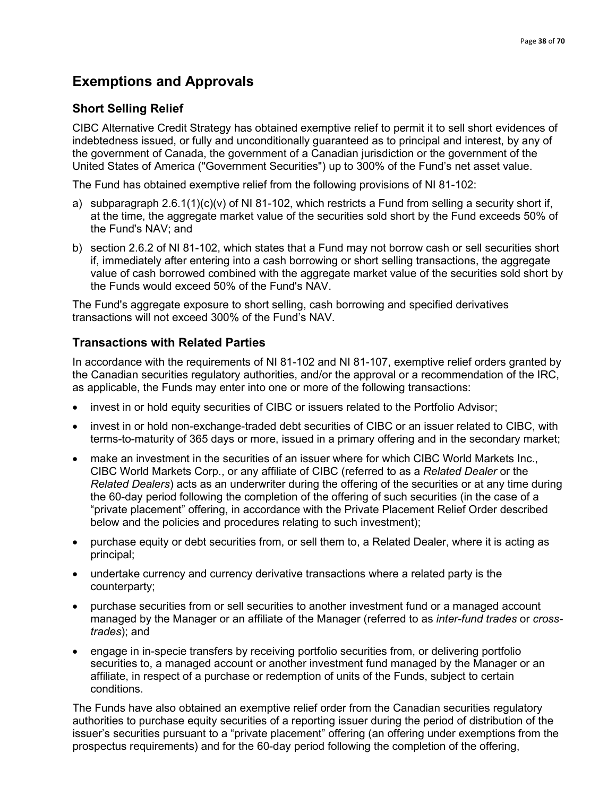# <span id="page-37-0"></span>**Exemptions and Approvals**

# **Short Selling Relief**

CIBC Alternative Credit Strategy has obtained exemptive relief to permit it to sell short evidences of indebtedness issued, or fully and unconditionally guaranteed as to principal and interest, by any of the government of Canada, the government of a Canadian jurisdiction or the government of the United States of America ("Government Securities") up to 300% of the Fund's net asset value.

The Fund has obtained exemptive relief from the following provisions of NI 81-102:

- a) subparagraph  $2.6.1(1)(c)(v)$  of NI 81-102, which restricts a Fund from selling a security short if, at the time, the aggregate market value of the securities sold short by the Fund exceeds 50% of the Fund's NAV; and
- b) section 2.6.2 of NI 81-102, which states that a Fund may not borrow cash or sell securities short if, immediately after entering into a cash borrowing or short selling transactions, the aggregate value of cash borrowed combined with the aggregate market value of the securities sold short by the Funds would exceed 50% of the Fund's NAV.

The Fund's aggregate exposure to short selling, cash borrowing and specified derivatives transactions will not exceed 300% of the Fund's NAV.

# **Transactions with Related Parties**

In accordance with the requirements of NI 81-102 and NI 81-107, exemptive relief orders granted by the Canadian securities regulatory authorities, and/or the approval or a recommendation of the IRC, as applicable, the Funds may enter into one or more of the following transactions:

- invest in or hold equity securities of CIBC or issuers related to the Portfolio Advisor;
- invest in or hold non-exchange-traded debt securities of CIBC or an issuer related to CIBC, with terms-to-maturity of 365 days or more, issued in a primary offering and in the secondary market;
- make an investment in the securities of an issuer where for which CIBC World Markets Inc., CIBC World Markets Corp., or any affiliate of CIBC (referred to as a *Related Dealer* or the *Related Dealers*) acts as an underwriter during the offering of the securities or at any time during the 60-day period following the completion of the offering of such securities (in the case of a "private placement" offering, in accordance with the Private Placement Relief Order described below and the policies and procedures relating to such investment);
- purchase equity or debt securities from, or sell them to, a Related Dealer, where it is acting as principal;
- undertake currency and currency derivative transactions where a related party is the counterparty;
- purchase securities from or sell securities to another investment fund or a managed account managed by the Manager or an affiliate of the Manager (referred to as *inter-fund trades* or *crosstrades*); and
- engage in in-specie transfers by receiving portfolio securities from, or delivering portfolio securities to, a managed account or another investment fund managed by the Manager or an affiliate, in respect of a purchase or redemption of units of the Funds, subject to certain conditions.

The Funds have also obtained an exemptive relief order from the Canadian securities regulatory authorities to purchase equity securities of a reporting issuer during the period of distribution of the issuer's securities pursuant to a "private placement" offering (an offering under exemptions from the prospectus requirements) and for the 60-day period following the completion of the offering,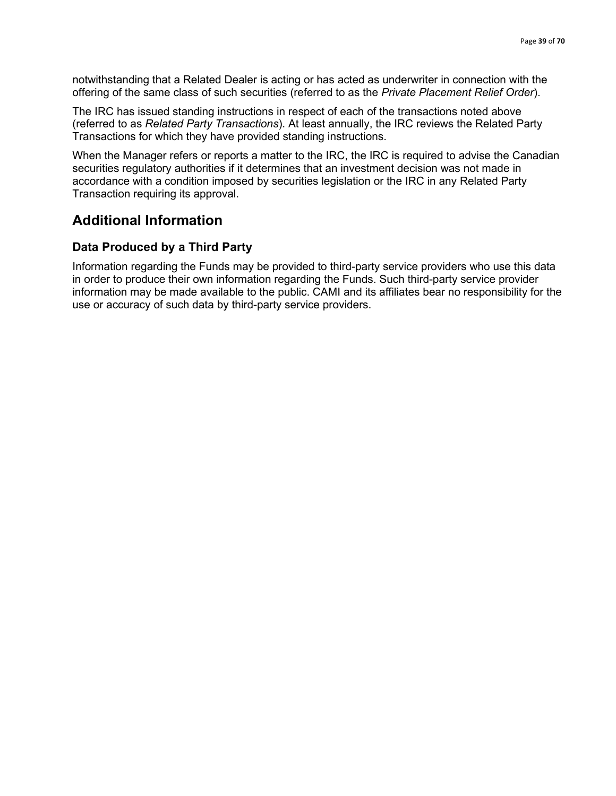notwithstanding that a Related Dealer is acting or has acted as underwriter in connection with the offering of the same class of such securities (referred to as the *Private Placement Relief Order*).

The IRC has issued standing instructions in respect of each of the transactions noted above (referred to as *Related Party Transactions*). At least annually, the IRC reviews the Related Party Transactions for which they have provided standing instructions.

When the Manager refers or reports a matter to the IRC, the IRC is required to advise the Canadian securities regulatory authorities if it determines that an investment decision was not made in accordance with a condition imposed by securities legislation or the IRC in any Related Party Transaction requiring its approval.

# <span id="page-38-0"></span>**Additional Information**

# **Data Produced by a Third Party**

Information regarding the Funds may be provided to third-party service providers who use this data in order to produce their own information regarding the Funds. Such third-party service provider information may be made available to the public. CAMI and its affiliates bear no responsibility for the use or accuracy of such data by third-party service providers.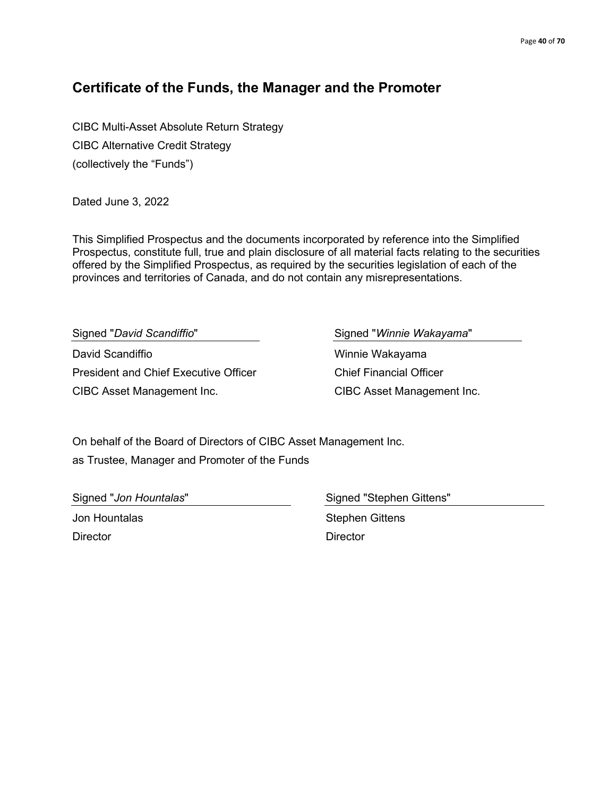# <span id="page-39-0"></span>**Certificate of the Funds, the Manager and the Promoter**

CIBC Multi-Asset Absolute Return Strategy CIBC Alternative Credit Strategy (collectively the "Funds")

Dated June 3, 2022

This Simplified Prospectus and the documents incorporated by reference into the Simplified Prospectus, constitute full, true and plain disclosure of all material facts relating to the securities offered by the Simplified Prospectus, as required by the securities legislation of each of the provinces and territories of Canada, and do not contain any misrepresentations.

Signed "*David Scandiffio*" David Scandiffio President and Chief Executive Officer CIBC Asset Management Inc.

Signed "*Winnie Wakayama*" Winnie Wakayama

Chief Financial Officer CIBC Asset Management Inc.

On behalf of the Board of Directors of CIBC Asset Management Inc. as Trustee, Manager and Promoter of the Funds

Signed "*Jon Hountalas*" Jon Hountalas **Director** 

Signed "Stephen Gittens"

Stephen Gittens **Director**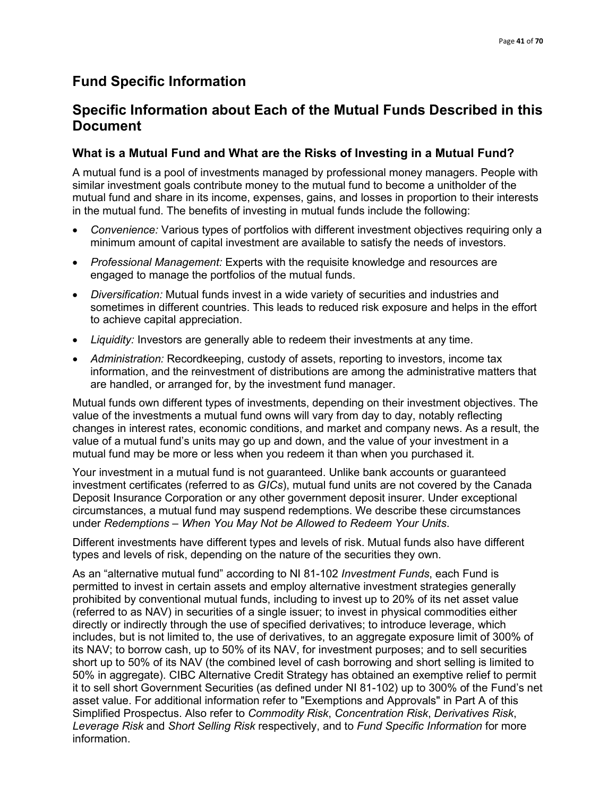# <span id="page-40-0"></span>**Fund Specific Information**

# <span id="page-40-1"></span>**Specific Information about Each of the Mutual Funds Described in this Document**

# **What is a Mutual Fund and What are the Risks of Investing in a Mutual Fund?**

A mutual fund is a pool of investments managed by professional money managers. People with similar investment goals contribute money to the mutual fund to become a unitholder of the mutual fund and share in its income, expenses, gains, and losses in proportion to their interests in the mutual fund. The benefits of investing in mutual funds include the following:

- *Convenience:* Various types of portfolios with different investment objectives requiring only a minimum amount of capital investment are available to satisfy the needs of investors.
- *Professional Management:* Experts with the requisite knowledge and resources are engaged to manage the portfolios of the mutual funds.
- *Diversification:* Mutual funds invest in a wide variety of securities and industries and sometimes in different countries. This leads to reduced risk exposure and helps in the effort to achieve capital appreciation.
- *Liquidity:* Investors are generally able to redeem their investments at any time.
- *Administration:* Recordkeeping, custody of assets, reporting to investors, income tax information, and the reinvestment of distributions are among the administrative matters that are handled, or arranged for, by the investment fund manager.

Mutual funds own different types of investments, depending on their investment objectives. The value of the investments a mutual fund owns will vary from day to day, notably reflecting changes in interest rates, economic conditions, and market and company news. As a result, the value of a mutual fund's units may go up and down, and the value of your investment in a mutual fund may be more or less when you redeem it than when you purchased it.

Your investment in a mutual fund is not guaranteed. Unlike bank accounts or guaranteed investment certificates (referred to as *GICs*), mutual fund units are not covered by the Canada Deposit Insurance Corporation or any other government deposit insurer. Under exceptional circumstances, a mutual fund may suspend redemptions. We describe these circumstances under *Redemptions – When You May Not be Allowed to Redeem Your Units*.

Different investments have different types and levels of risk. Mutual funds also have different types and levels of risk, depending on the nature of the securities they own.

As an "alternative mutual fund" according to NI 81-102 *Investment Funds*, each Fund is permitted to invest in certain assets and employ alternative investment strategies generally prohibited by conventional mutual funds, including to invest up to 20% of its net asset value (referred to as NAV) in securities of a single issuer; to invest in physical commodities either directly or indirectly through the use of specified derivatives; to introduce leverage, which includes, but is not limited to, the use of derivatives, to an aggregate exposure limit of 300% of its NAV; to borrow cash, up to 50% of its NAV, for investment purposes; and to sell securities short up to 50% of its NAV (the combined level of cash borrowing and short selling is limited to 50% in aggregate). CIBC Alternative Credit Strategy has obtained an exemptive relief to permit it to sell short Government Securities (as defined under NI 81-102) up to 300% of the Fund's net asset value. For additional information refer to "Exemptions and Approvals" in Part A of this Simplified Prospectus. Also refer to *Commodity Risk*, *Concentration Risk*, *Derivatives Risk*, *Leverage Risk* and *Short Selling Risk* respectively, and to *Fund Specific Information* for more information.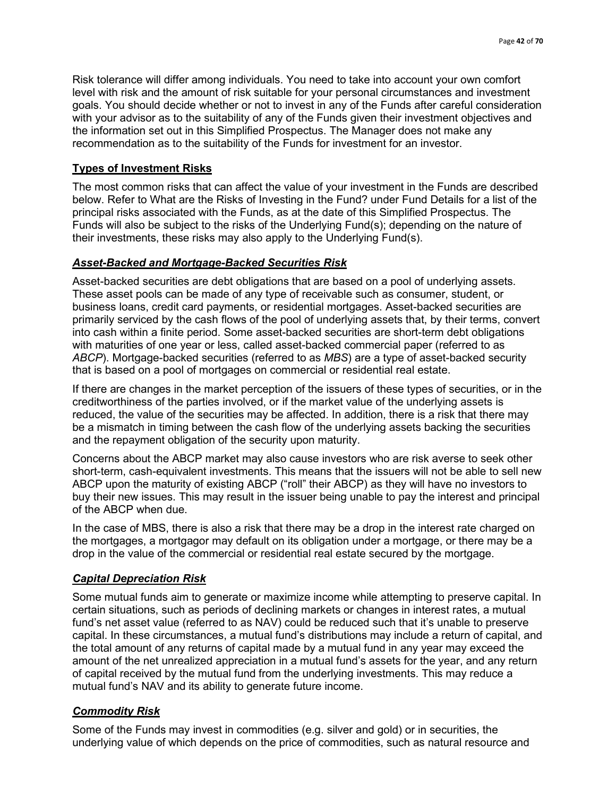Risk tolerance will differ among individuals. You need to take into account your own comfort level with risk and the amount of risk suitable for your personal circumstances and investment goals. You should decide whether or not to invest in any of the Funds after careful consideration with your advisor as to the suitability of any of the Funds given their investment objectives and the information set out in this Simplified Prospectus. The Manager does not make any recommendation as to the suitability of the Funds for investment for an investor.

# **Types of Investment Risks**

The most common risks that can affect the value of your investment in the Funds are described below. Refer to What are the Risks of Investing in the Fund? under Fund Details for a list of the principal risks associated with the Funds, as at the date of this Simplified Prospectus. The Funds will also be subject to the risks of the Underlying Fund(s); depending on the nature of their investments, these risks may also apply to the Underlying Fund(s).

# *Asset-Backed and Mortgage-Backed Securities Risk*

Asset-backed securities are debt obligations that are based on a pool of underlying assets. These asset pools can be made of any type of receivable such as consumer, student, or business loans, credit card payments, or residential mortgages. Asset-backed securities are primarily serviced by the cash flows of the pool of underlying assets that, by their terms, convert into cash within a finite period. Some asset-backed securities are short-term debt obligations with maturities of one year or less, called asset-backed commercial paper (referred to as *ABCP*). Mortgage-backed securities (referred to as *MBS*) are a type of asset-backed security that is based on a pool of mortgages on commercial or residential real estate.

If there are changes in the market perception of the issuers of these types of securities, or in the creditworthiness of the parties involved, or if the market value of the underlying assets is reduced, the value of the securities may be affected. In addition, there is a risk that there may be a mismatch in timing between the cash flow of the underlying assets backing the securities and the repayment obligation of the security upon maturity.

Concerns about the ABCP market may also cause investors who are risk averse to seek other short-term, cash-equivalent investments. This means that the issuers will not be able to sell new ABCP upon the maturity of existing ABCP ("roll" their ABCP) as they will have no investors to buy their new issues. This may result in the issuer being unable to pay the interest and principal of the ABCP when due.

In the case of MBS, there is also a risk that there may be a drop in the interest rate charged on the mortgages, a mortgagor may default on its obligation under a mortgage, or there may be a drop in the value of the commercial or residential real estate secured by the mortgage.

### *Capital Depreciation Risk*

Some mutual funds aim to generate or maximize income while attempting to preserve capital. In certain situations, such as periods of declining markets or changes in interest rates, a mutual fund's net asset value (referred to as NAV) could be reduced such that it's unable to preserve capital. In these circumstances, a mutual fund's distributions may include a return of capital, and the total amount of any returns of capital made by a mutual fund in any year may exceed the amount of the net unrealized appreciation in a mutual fund's assets for the year, and any return of capital received by the mutual fund from the underlying investments. This may reduce a mutual fund's NAV and its ability to generate future income.

### *Commodity Risk*

Some of the Funds may invest in commodities (e.g. silver and gold) or in securities, the underlying value of which depends on the price of commodities, such as natural resource and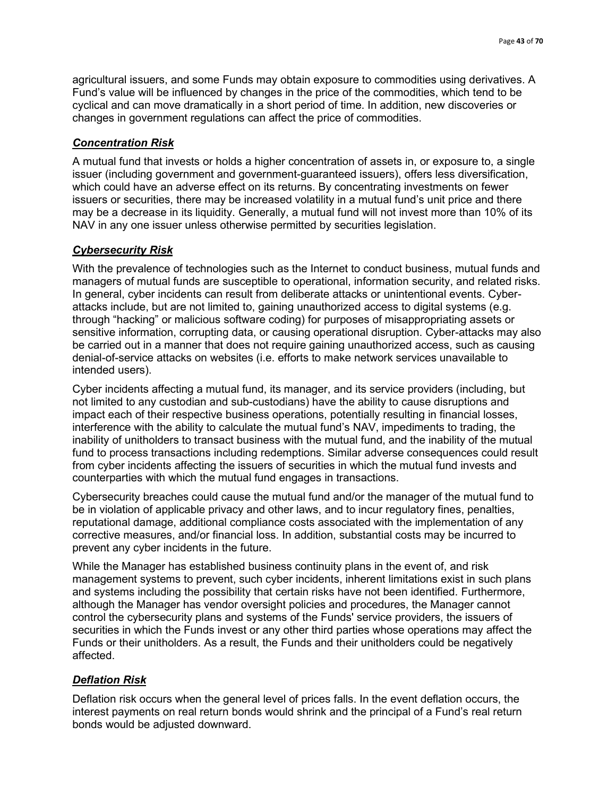agricultural issuers, and some Funds may obtain exposure to commodities using derivatives. A Fund's value will be influenced by changes in the price of the commodities, which tend to be cyclical and can move dramatically in a short period of time. In addition, new discoveries or changes in government regulations can affect the price of commodities.

### *Concentration Risk*

A mutual fund that invests or holds a higher concentration of assets in, or exposure to, a single issuer (including government and government-guaranteed issuers), offers less diversification, which could have an adverse effect on its returns. By concentrating investments on fewer issuers or securities, there may be increased volatility in a mutual fund's unit price and there may be a decrease in its liquidity. Generally, a mutual fund will not invest more than 10% of its NAV in any one issuer unless otherwise permitted by securities legislation.

### *Cybersecurity Risk*

With the prevalence of technologies such as the Internet to conduct business, mutual funds and managers of mutual funds are susceptible to operational, information security, and related risks. In general, cyber incidents can result from deliberate attacks or unintentional events. Cyberattacks include, but are not limited to, gaining unauthorized access to digital systems (e.g. through "hacking" or malicious software coding) for purposes of misappropriating assets or sensitive information, corrupting data, or causing operational disruption. Cyber-attacks may also be carried out in a manner that does not require gaining unauthorized access, such as causing denial-of-service attacks on websites (i.e. efforts to make network services unavailable to intended users).

Cyber incidents affecting a mutual fund, its manager, and its service providers (including, but not limited to any custodian and sub-custodians) have the ability to cause disruptions and impact each of their respective business operations, potentially resulting in financial losses, interference with the ability to calculate the mutual fund's NAV, impediments to trading, the inability of unitholders to transact business with the mutual fund, and the inability of the mutual fund to process transactions including redemptions. Similar adverse consequences could result from cyber incidents affecting the issuers of securities in which the mutual fund invests and counterparties with which the mutual fund engages in transactions.

Cybersecurity breaches could cause the mutual fund and/or the manager of the mutual fund to be in violation of applicable privacy and other laws, and to incur regulatory fines, penalties, reputational damage, additional compliance costs associated with the implementation of any corrective measures, and/or financial loss. In addition, substantial costs may be incurred to prevent any cyber incidents in the future.

While the Manager has established business continuity plans in the event of, and risk management systems to prevent, such cyber incidents, inherent limitations exist in such plans and systems including the possibility that certain risks have not been identified. Furthermore, although the Manager has vendor oversight policies and procedures, the Manager cannot control the cybersecurity plans and systems of the Funds' service providers, the issuers of securities in which the Funds invest or any other third parties whose operations may affect the Funds or their unitholders. As a result, the Funds and their unitholders could be negatively affected.

# *Deflation Risk*

Deflation risk occurs when the general level of prices falls. In the event deflation occurs, the interest payments on real return bonds would shrink and the principal of a Fund's real return bonds would be adjusted downward.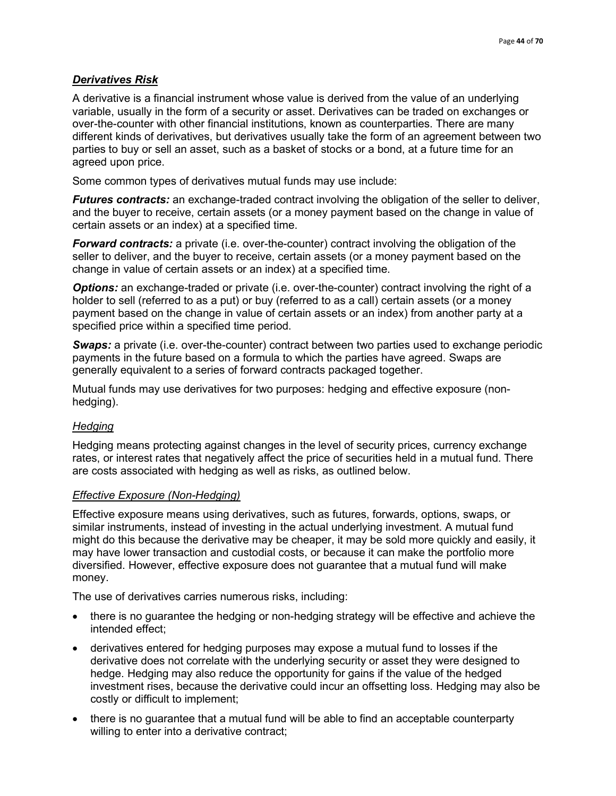# *Derivatives Risk*

A derivative is a financial instrument whose value is derived from the value of an underlying variable, usually in the form of a security or asset. Derivatives can be traded on exchanges or over-the-counter with other financial institutions, known as counterparties. There are many different kinds of derivatives, but derivatives usually take the form of an agreement between two parties to buy or sell an asset, such as a basket of stocks or a bond, at a future time for an agreed upon price.

Some common types of derivatives mutual funds may use include:

*Futures contracts:* an exchange-traded contract involving the obligation of the seller to deliver, and the buyer to receive, certain assets (or a money payment based on the change in value of certain assets or an index) at a specified time.

*Forward contracts:* a private (i.e. over-the-counter) contract involving the obligation of the seller to deliver, and the buyer to receive, certain assets (or a money payment based on the change in value of certain assets or an index) at a specified time.

**Options:** an exchange-traded or private (i.e. over-the-counter) contract involving the right of a holder to sell (referred to as a put) or buy (referred to as a call) certain assets (or a money payment based on the change in value of certain assets or an index) from another party at a specified price within a specified time period.

**Swaps:** a private (i.e. over-the-counter) contract between two parties used to exchange periodic payments in the future based on a formula to which the parties have agreed. Swaps are generally equivalent to a series of forward contracts packaged together.

Mutual funds may use derivatives for two purposes: hedging and effective exposure (nonhedging).

### *Hedging*

Hedging means protecting against changes in the level of security prices, currency exchange rates, or interest rates that negatively affect the price of securities held in a mutual fund. There are costs associated with hedging as well as risks, as outlined below.

### *Effective Exposure (Non-Hedging)*

Effective exposure means using derivatives, such as futures, forwards, options, swaps, or similar instruments, instead of investing in the actual underlying investment. A mutual fund might do this because the derivative may be cheaper, it may be sold more quickly and easily, it may have lower transaction and custodial costs, or because it can make the portfolio more diversified. However, effective exposure does not guarantee that a mutual fund will make money.

The use of derivatives carries numerous risks, including:

- there is no guarantee the hedging or non-hedging strategy will be effective and achieve the intended effect;
- derivatives entered for hedging purposes may expose a mutual fund to losses if the derivative does not correlate with the underlying security or asset they were designed to hedge. Hedging may also reduce the opportunity for gains if the value of the hedged investment rises, because the derivative could incur an offsetting loss. Hedging may also be costly or difficult to implement;
- there is no guarantee that a mutual fund will be able to find an acceptable counterparty willing to enter into a derivative contract;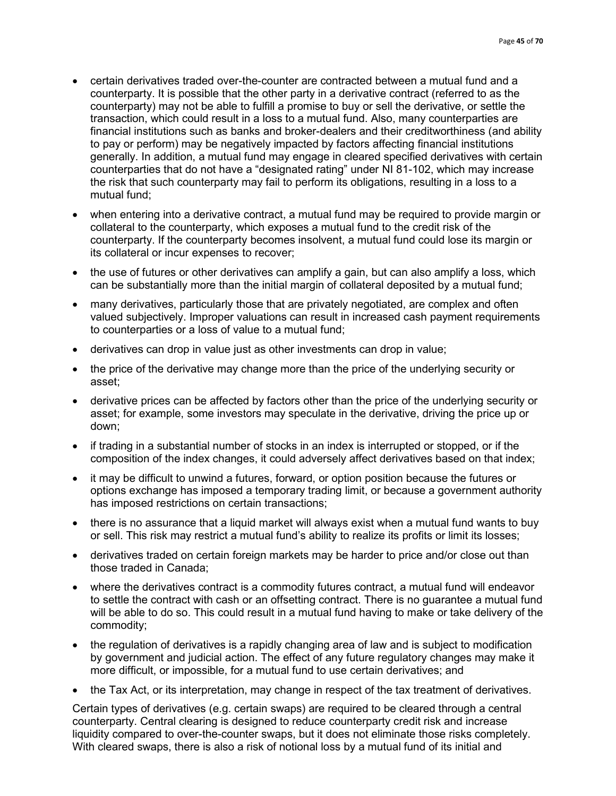- certain derivatives traded over-the-counter are contracted between a mutual fund and a counterparty. It is possible that the other party in a derivative contract (referred to as the counterparty) may not be able to fulfill a promise to buy or sell the derivative, or settle the transaction, which could result in a loss to a mutual fund. Also, many counterparties are financial institutions such as banks and broker-dealers and their creditworthiness (and ability to pay or perform) may be negatively impacted by factors affecting financial institutions generally. In addition, a mutual fund may engage in cleared specified derivatives with certain counterparties that do not have a "designated rating" under NI 81-102, which may increase the risk that such counterparty may fail to perform its obligations, resulting in a loss to a mutual fund;
- when entering into a derivative contract, a mutual fund may be required to provide margin or collateral to the counterparty, which exposes a mutual fund to the credit risk of the counterparty. If the counterparty becomes insolvent, a mutual fund could lose its margin or its collateral or incur expenses to recover;
- the use of futures or other derivatives can amplify a gain, but can also amplify a loss, which can be substantially more than the initial margin of collateral deposited by a mutual fund;
- many derivatives, particularly those that are privately negotiated, are complex and often valued subjectively. Improper valuations can result in increased cash payment requirements to counterparties or a loss of value to a mutual fund;
- derivatives can drop in value just as other investments can drop in value;
- the price of the derivative may change more than the price of the underlying security or asset;
- derivative prices can be affected by factors other than the price of the underlying security or asset; for example, some investors may speculate in the derivative, driving the price up or down;
- if trading in a substantial number of stocks in an index is interrupted or stopped, or if the composition of the index changes, it could adversely affect derivatives based on that index;
- it may be difficult to unwind a futures, forward, or option position because the futures or options exchange has imposed a temporary trading limit, or because a government authority has imposed restrictions on certain transactions;
- there is no assurance that a liquid market will always exist when a mutual fund wants to buy or sell. This risk may restrict a mutual fund's ability to realize its profits or limit its losses;
- derivatives traded on certain foreign markets may be harder to price and/or close out than those traded in Canada;
- where the derivatives contract is a commodity futures contract, a mutual fund will endeavor to settle the contract with cash or an offsetting contract. There is no guarantee a mutual fund will be able to do so. This could result in a mutual fund having to make or take delivery of the commodity;
- the regulation of derivatives is a rapidly changing area of law and is subject to modification by government and judicial action. The effect of any future regulatory changes may make it more difficult, or impossible, for a mutual fund to use certain derivatives; and
- the Tax Act, or its interpretation, may change in respect of the tax treatment of derivatives.

Certain types of derivatives (e.g. certain swaps) are required to be cleared through a central counterparty. Central clearing is designed to reduce counterparty credit risk and increase liquidity compared to over-the-counter swaps, but it does not eliminate those risks completely. With cleared swaps, there is also a risk of notional loss by a mutual fund of its initial and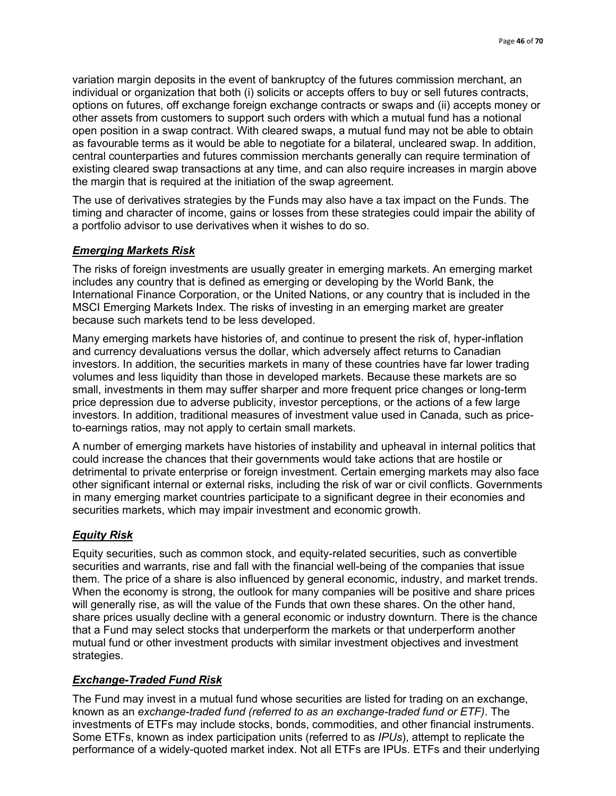variation margin deposits in the event of bankruptcy of the futures commission merchant, an individual or organization that both (i) solicits or accepts offers to buy or sell futures contracts, options on futures, off exchange foreign exchange contracts or swaps and (ii) accepts money or other assets from customers to support such orders with which a mutual fund has a notional open position in a swap contract. With cleared swaps, a mutual fund may not be able to obtain as favourable terms as it would be able to negotiate for a bilateral, uncleared swap. In addition, central counterparties and futures commission merchants generally can require termination of existing cleared swap transactions at any time, and can also require increases in margin above the margin that is required at the initiation of the swap agreement.

The use of derivatives strategies by the Funds may also have a tax impact on the Funds. The timing and character of income, gains or losses from these strategies could impair the ability of a portfolio advisor to use derivatives when it wishes to do so.

### *Emerging Markets Risk*

The risks of foreign investments are usually greater in emerging markets. An emerging market includes any country that is defined as emerging or developing by the World Bank, the International Finance Corporation, or the United Nations, or any country that is included in the MSCI Emerging Markets Index. The risks of investing in an emerging market are greater because such markets tend to be less developed.

Many emerging markets have histories of, and continue to present the risk of, hyper-inflation and currency devaluations versus the dollar, which adversely affect returns to Canadian investors. In addition, the securities markets in many of these countries have far lower trading volumes and less liquidity than those in developed markets. Because these markets are so small, investments in them may suffer sharper and more frequent price changes or long-term price depression due to adverse publicity, investor perceptions, or the actions of a few large investors. In addition, traditional measures of investment value used in Canada, such as priceto-earnings ratios, may not apply to certain small markets.

A number of emerging markets have histories of instability and upheaval in internal politics that could increase the chances that their governments would take actions that are hostile or detrimental to private enterprise or foreign investment. Certain emerging markets may also face other significant internal or external risks, including the risk of war or civil conflicts. Governments in many emerging market countries participate to a significant degree in their economies and securities markets, which may impair investment and economic growth.

# *Equity Risk*

Equity securities, such as common stock, and equity-related securities, such as convertible securities and warrants, rise and fall with the financial well-being of the companies that issue them. The price of a share is also influenced by general economic, industry, and market trends. When the economy is strong, the outlook for many companies will be positive and share prices will generally rise, as will the value of the Funds that own these shares. On the other hand, share prices usually decline with a general economic or industry downturn. There is the chance that a Fund may select stocks that underperform the markets or that underperform another mutual fund or other investment products with similar investment objectives and investment strategies.

### *Exchange-Traded Fund Risk*

The Fund may invest in a mutual fund whose securities are listed for trading on an exchange, known as an *exchange-traded fund (referred to as an exchange-traded fund or ETF)*. The investments of ETFs may include stocks, bonds, commodities, and other financial instruments. Some ETFs, known as index participation units (referred to as *IPUs*), attempt to replicate the performance of a widely-quoted market index. Not all ETFs are IPUs. ETFs and their underlying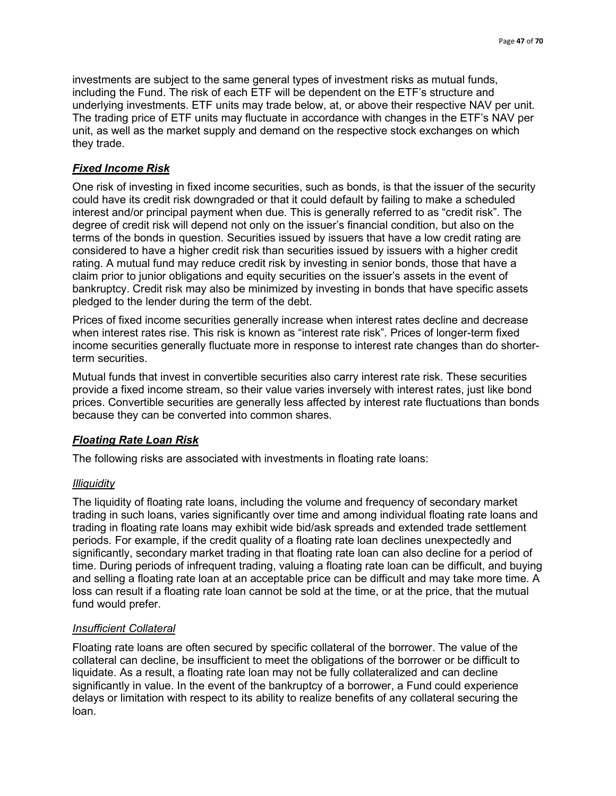investments are subject to the same general types of investment risks as mutual funds, including the Fund. The risk of each ETF will be dependent on the ETF's structure and underlying investments. ETF units may trade below, at, or above their respective NAV per unit. The trading price of ETF units may fluctuate in accordance with changes in the ETF's NAV per unit, as well as the market supply and demand on the respective stock exchanges on which they trade.

# *Fixed Income Risk*

One risk of investing in fixed income securities, such as bonds, is that the issuer of the security could have its credit risk downgraded or that it could default by failing to make a scheduled interest and/or principal payment when due. This is generally referred to as "credit risk". The degree of credit risk will depend not only on the issuer's financial condition, but also on the terms of the bonds in question. Securities issued by issuers that have a low credit rating are considered to have a higher credit risk than securities issued by issuers with a higher credit rating. A mutual fund may reduce credit risk by investing in senior bonds, those that have a claim prior to junior obligations and equity securities on the issuer's assets in the event of bankruptcy. Credit risk may also be minimized by investing in bonds that have specific assets pledged to the lender during the term of the debt.

Prices of fixed income securities generally increase when interest rates decline and decrease when interest rates rise. This risk is known as "interest rate risk". Prices of longer-term fixed income securities generally fluctuate more in response to interest rate changes than do shorterterm securities.

Mutual funds that invest in convertible securities also carry interest rate risk. These securities provide a fixed income stream, so their value varies inversely with interest rates, just like bond prices. Convertible securities are generally less affected by interest rate fluctuations than bonds because they can be converted into common shares.

# *Floating Rate Loan Risk*

The following risks are associated with investments in floating rate loans:

### *Illiquidity*

The liquidity of floating rate loans, including the volume and frequency of secondary market trading in such loans, varies significantly over time and among individual floating rate loans and trading in floating rate loans may exhibit wide bid/ask spreads and extended trade settlement periods. For example, if the credit quality of a floating rate loan declines unexpectedly and significantly, secondary market trading in that floating rate loan can also decline for a period of time. During periods of infrequent trading, valuing a floating rate loan can be difficult, and buying and selling a floating rate loan at an acceptable price can be difficult and may take more time. A loss can result if a floating rate loan cannot be sold at the time, or at the price, that the mutual fund would prefer.

### *Insufficient Collateral*

Floating rate loans are often secured by specific collateral of the borrower. The value of the collateral can decline, be insufficient to meet the obligations of the borrower or be difficult to liquidate. As a result, a floating rate loan may not be fully collateralized and can decline significantly in value. In the event of the bankruptcy of a borrower, a Fund could experience delays or limitation with respect to its ability to realize benefits of any collateral securing the loan.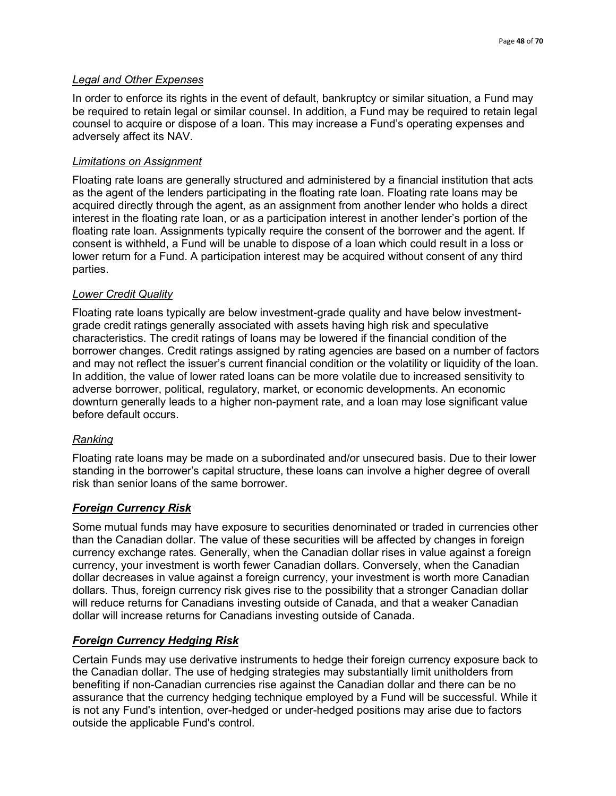### *Legal and Other Expenses*

In order to enforce its rights in the event of default, bankruptcy or similar situation, a Fund may be required to retain legal or similar counsel. In addition, a Fund may be required to retain legal counsel to acquire or dispose of a loan. This may increase a Fund's operating expenses and adversely affect its NAV.

### *Limitations on Assignment*

Floating rate loans are generally structured and administered by a financial institution that acts as the agent of the lenders participating in the floating rate loan. Floating rate loans may be acquired directly through the agent, as an assignment from another lender who holds a direct interest in the floating rate loan, or as a participation interest in another lender's portion of the floating rate loan. Assignments typically require the consent of the borrower and the agent. If consent is withheld, a Fund will be unable to dispose of a loan which could result in a loss or lower return for a Fund. A participation interest may be acquired without consent of any third parties.

### *Lower Credit Quality*

Floating rate loans typically are below investment-grade quality and have below investmentgrade credit ratings generally associated with assets having high risk and speculative characteristics. The credit ratings of loans may be lowered if the financial condition of the borrower changes. Credit ratings assigned by rating agencies are based on a number of factors and may not reflect the issuer's current financial condition or the volatility or liquidity of the loan. In addition, the value of lower rated loans can be more volatile due to increased sensitivity to adverse borrower, political, regulatory, market, or economic developments. An economic downturn generally leads to a higher non-payment rate, and a loan may lose significant value before default occurs.

### *Ranking*

Floating rate loans may be made on a subordinated and/or unsecured basis. Due to their lower standing in the borrower's capital structure, these loans can involve a higher degree of overall risk than senior loans of the same borrower.

# *Foreign Currency Risk*

Some mutual funds may have exposure to securities denominated or traded in currencies other than the Canadian dollar. The value of these securities will be affected by changes in foreign currency exchange rates. Generally, when the Canadian dollar rises in value against a foreign currency, your investment is worth fewer Canadian dollars. Conversely, when the Canadian dollar decreases in value against a foreign currency, your investment is worth more Canadian dollars. Thus, foreign currency risk gives rise to the possibility that a stronger Canadian dollar will reduce returns for Canadians investing outside of Canada, and that a weaker Canadian dollar will increase returns for Canadians investing outside of Canada.

# *Foreign Currency Hedging Risk*

Certain Funds may use derivative instruments to hedge their foreign currency exposure back to the Canadian dollar. The use of hedging strategies may substantially limit unitholders from benefiting if non-Canadian currencies rise against the Canadian dollar and there can be no assurance that the currency hedging technique employed by a Fund will be successful. While it is not any Fund's intention, over-hedged or under-hedged positions may arise due to factors outside the applicable Fund's control.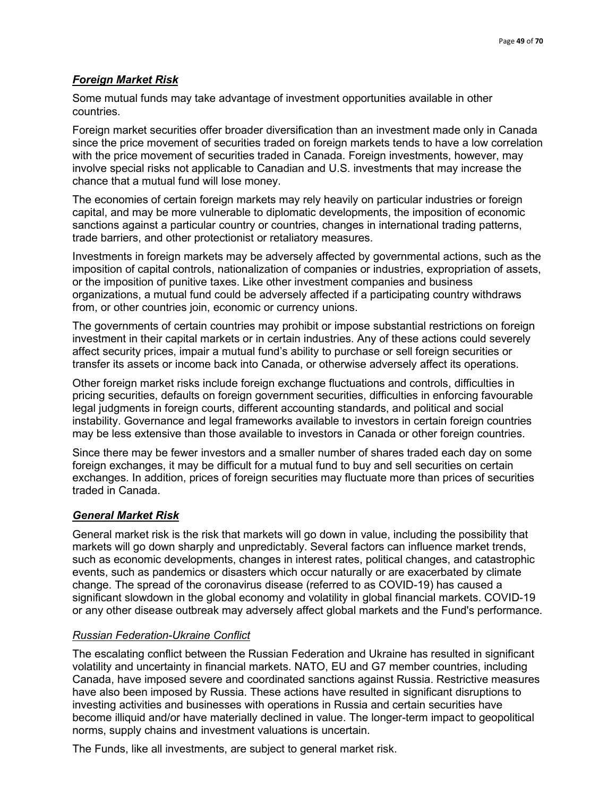# *Foreign Market Risk*

Some mutual funds may take advantage of investment opportunities available in other countries.

Foreign market securities offer broader diversification than an investment made only in Canada since the price movement of securities traded on foreign markets tends to have a low correlation with the price movement of securities traded in Canada. Foreign investments, however, may involve special risks not applicable to Canadian and U.S. investments that may increase the chance that a mutual fund will lose money.

The economies of certain foreign markets may rely heavily on particular industries or foreign capital, and may be more vulnerable to diplomatic developments, the imposition of economic sanctions against a particular country or countries, changes in international trading patterns, trade barriers, and other protectionist or retaliatory measures.

Investments in foreign markets may be adversely affected by governmental actions, such as the imposition of capital controls, nationalization of companies or industries, expropriation of assets, or the imposition of punitive taxes. Like other investment companies and business organizations, a mutual fund could be adversely affected if a participating country withdraws from, or other countries join, economic or currency unions.

The governments of certain countries may prohibit or impose substantial restrictions on foreign investment in their capital markets or in certain industries. Any of these actions could severely affect security prices, impair a mutual fund's ability to purchase or sell foreign securities or transfer its assets or income back into Canada, or otherwise adversely affect its operations.

Other foreign market risks include foreign exchange fluctuations and controls, difficulties in pricing securities, defaults on foreign government securities, difficulties in enforcing favourable legal judgments in foreign courts, different accounting standards, and political and social instability. Governance and legal frameworks available to investors in certain foreign countries may be less extensive than those available to investors in Canada or other foreign countries.

Since there may be fewer investors and a smaller number of shares traded each day on some foreign exchanges, it may be difficult for a mutual fund to buy and sell securities on certain exchanges. In addition, prices of foreign securities may fluctuate more than prices of securities traded in Canada.

# *General Market Risk*

General market risk is the risk that markets will go down in value, including the possibility that markets will go down sharply and unpredictably. Several factors can influence market trends, such as economic developments, changes in interest rates, political changes, and catastrophic events, such as pandemics or disasters which occur naturally or are exacerbated by climate change. The spread of the coronavirus disease (referred to as COVID-19) has caused a significant slowdown in the global economy and volatility in global financial markets. COVID-19 or any other disease outbreak may adversely affect global markets and the Fund's performance.

### *Russian Federation-Ukraine Conflict*

The escalating conflict between the Russian Federation and Ukraine has resulted in significant volatility and uncertainty in financial markets. NATO, EU and G7 member countries, including Canada, have imposed severe and coordinated sanctions against Russia. Restrictive measures have also been imposed by Russia. These actions have resulted in significant disruptions to investing activities and businesses with operations in Russia and certain securities have become illiquid and/or have materially declined in value. The longer-term impact to geopolitical norms, supply chains and investment valuations is uncertain.

The Funds, like all investments, are subject to general market risk.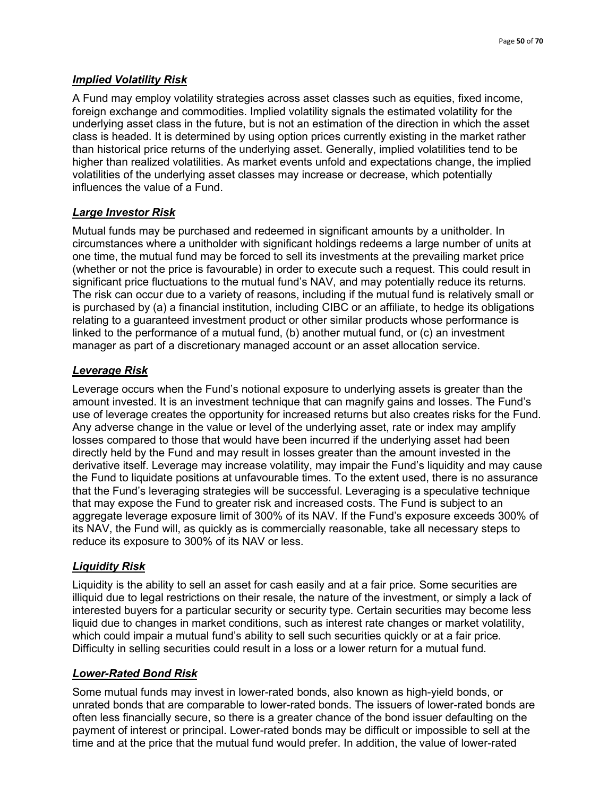# *Implied Volatility Risk*

A Fund may employ volatility strategies across asset classes such as equities, fixed income, foreign exchange and commodities. Implied volatility signals the estimated volatility for the underlying asset class in the future, but is not an estimation of the direction in which the asset class is headed. It is determined by using option prices currently existing in the market rather than historical price returns of the underlying asset. Generally, implied volatilities tend to be higher than realized volatilities. As market events unfold and expectations change, the implied volatilities of the underlying asset classes may increase or decrease, which potentially influences the value of a Fund.

# *Large Investor Risk*

Mutual funds may be purchased and redeemed in significant amounts by a unitholder. In circumstances where a unitholder with significant holdings redeems a large number of units at one time, the mutual fund may be forced to sell its investments at the prevailing market price (whether or not the price is favourable) in order to execute such a request. This could result in significant price fluctuations to the mutual fund's NAV, and may potentially reduce its returns. The risk can occur due to a variety of reasons, including if the mutual fund is relatively small or is purchased by (a) a financial institution, including CIBC or an affiliate, to hedge its obligations relating to a guaranteed investment product or other similar products whose performance is linked to the performance of a mutual fund, (b) another mutual fund, or (c) an investment manager as part of a discretionary managed account or an asset allocation service.

# *Leverage Risk*

Leverage occurs when the Fund's notional exposure to underlying assets is greater than the amount invested. It is an investment technique that can magnify gains and losses. The Fund's use of leverage creates the opportunity for increased returns but also creates risks for the Fund. Any adverse change in the value or level of the underlying asset, rate or index may amplify losses compared to those that would have been incurred if the underlying asset had been directly held by the Fund and may result in losses greater than the amount invested in the derivative itself. Leverage may increase volatility, may impair the Fund's liquidity and may cause the Fund to liquidate positions at unfavourable times. To the extent used, there is no assurance that the Fund's leveraging strategies will be successful. Leveraging is a speculative technique that may expose the Fund to greater risk and increased costs. The Fund is subject to an aggregate leverage exposure limit of 300% of its NAV. If the Fund's exposure exceeds 300% of its NAV, the Fund will, as quickly as is commercially reasonable, take all necessary steps to reduce its exposure to 300% of its NAV or less.

# *Liquidity Risk*

Liquidity is the ability to sell an asset for cash easily and at a fair price. Some securities are illiquid due to legal restrictions on their resale, the nature of the investment, or simply a lack of interested buyers for a particular security or security type. Certain securities may become less liquid due to changes in market conditions, such as interest rate changes or market volatility, which could impair a mutual fund's ability to sell such securities quickly or at a fair price. Difficulty in selling securities could result in a loss or a lower return for a mutual fund.

# *Lower-Rated Bond Risk*

Some mutual funds may invest in lower-rated bonds, also known as high-yield bonds, or unrated bonds that are comparable to lower-rated bonds. The issuers of lower-rated bonds are often less financially secure, so there is a greater chance of the bond issuer defaulting on the payment of interest or principal. Lower-rated bonds may be difficult or impossible to sell at the time and at the price that the mutual fund would prefer. In addition, the value of lower-rated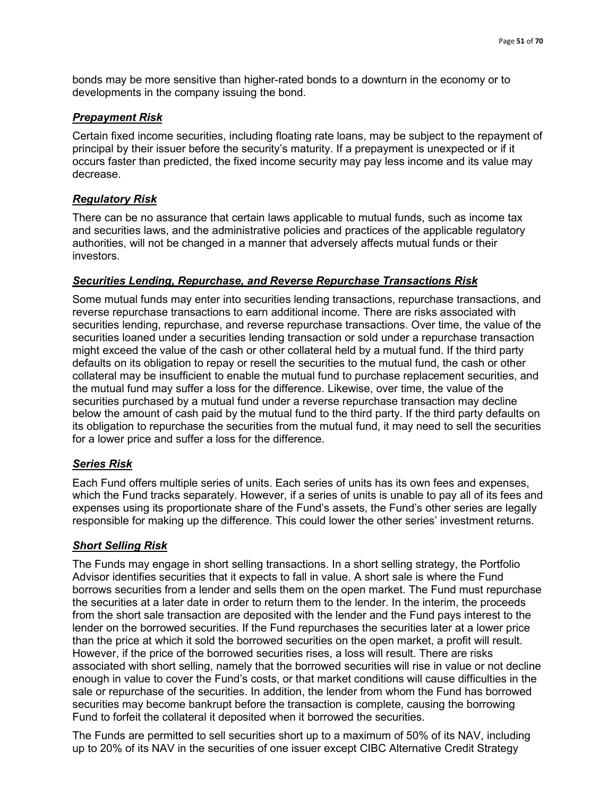bonds may be more sensitive than higher-rated bonds to a downturn in the economy or to developments in the company issuing the bond.

#### *Prepayment Risk*

Certain fixed income securities, including floating rate loans, may be subject to the repayment of principal by their issuer before the security's maturity. If a prepayment is unexpected or if it occurs faster than predicted, the fixed income security may pay less income and its value may decrease.

### *Regulatory Risk*

There can be no assurance that certain laws applicable to mutual funds, such as income tax and securities laws, and the administrative policies and practices of the applicable regulatory authorities, will not be changed in a manner that adversely affects mutual funds or their investors.

#### *Securities Lending, Repurchase, and Reverse Repurchase Transactions Risk*

Some mutual funds may enter into securities lending transactions, repurchase transactions, and reverse repurchase transactions to earn additional income. There are risks associated with securities lending, repurchase, and reverse repurchase transactions. Over time, the value of the securities loaned under a securities lending transaction or sold under a repurchase transaction might exceed the value of the cash or other collateral held by a mutual fund. If the third party defaults on its obligation to repay or resell the securities to the mutual fund, the cash or other collateral may be insufficient to enable the mutual fund to purchase replacement securities, and the mutual fund may suffer a loss for the difference. Likewise, over time, the value of the securities purchased by a mutual fund under a reverse repurchase transaction may decline below the amount of cash paid by the mutual fund to the third party. If the third party defaults on its obligation to repurchase the securities from the mutual fund, it may need to sell the securities for a lower price and suffer a loss for the difference.

### *Series Risk*

Each Fund offers multiple series of units. Each series of units has its own fees and expenses, which the Fund tracks separately. However, if a series of units is unable to pay all of its fees and expenses using its proportionate share of the Fund's assets, the Fund's other series are legally responsible for making up the difference. This could lower the other series' investment returns.

### *Short Selling Risk*

The Funds may engage in short selling transactions. In a short selling strategy, the Portfolio Advisor identifies securities that it expects to fall in value. A short sale is where the Fund borrows securities from a lender and sells them on the open market. The Fund must repurchase the securities at a later date in order to return them to the lender. In the interim, the proceeds from the short sale transaction are deposited with the lender and the Fund pays interest to the lender on the borrowed securities. If the Fund repurchases the securities later at a lower price than the price at which it sold the borrowed securities on the open market, a profit will result. However, if the price of the borrowed securities rises, a loss will result. There are risks associated with short selling, namely that the borrowed securities will rise in value or not decline enough in value to cover the Fund's costs, or that market conditions will cause difficulties in the sale or repurchase of the securities. In addition, the lender from whom the Fund has borrowed securities may become bankrupt before the transaction is complete, causing the borrowing Fund to forfeit the collateral it deposited when it borrowed the securities.

The Funds are permitted to sell securities short up to a maximum of 50% of its NAV, including up to 20% of its NAV in the securities of one issuer except CIBC Alternative Credit Strategy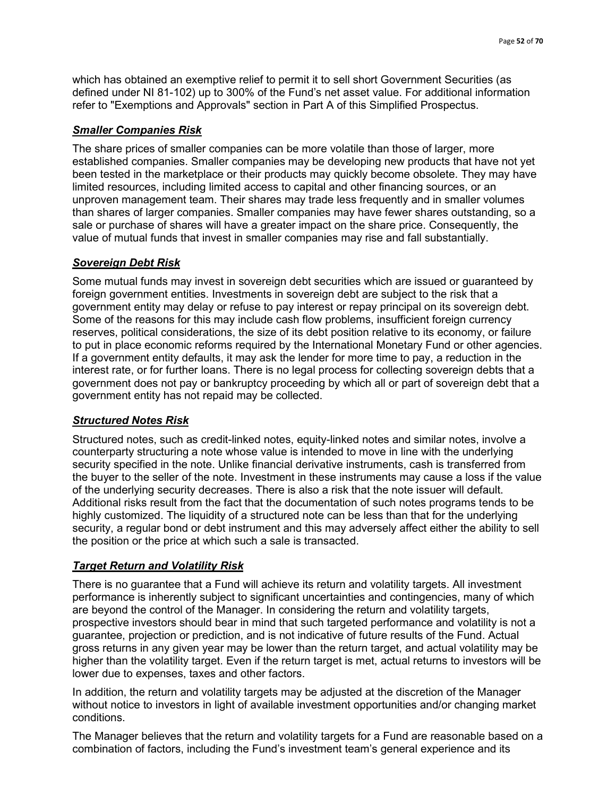which has obtained an exemptive relief to permit it to sell short Government Securities (as defined under NI 81-102) up to 300% of the Fund's net asset value. For additional information refer to "Exemptions and Approvals" section in Part A of this Simplified Prospectus.

### *Smaller Companies Risk*

The share prices of smaller companies can be more volatile than those of larger, more established companies. Smaller companies may be developing new products that have not yet been tested in the marketplace or their products may quickly become obsolete. They may have limited resources, including limited access to capital and other financing sources, or an unproven management team. Their shares may trade less frequently and in smaller volumes than shares of larger companies. Smaller companies may have fewer shares outstanding, so a sale or purchase of shares will have a greater impact on the share price. Consequently, the value of mutual funds that invest in smaller companies may rise and fall substantially.

### *Sovereign Debt Risk*

Some mutual funds may invest in sovereign debt securities which are issued or guaranteed by foreign government entities. Investments in sovereign debt are subject to the risk that a government entity may delay or refuse to pay interest or repay principal on its sovereign debt. Some of the reasons for this may include cash flow problems, insufficient foreign currency reserves, political considerations, the size of its debt position relative to its economy, or failure to put in place economic reforms required by the International Monetary Fund or other agencies. If a government entity defaults, it may ask the lender for more time to pay, a reduction in the interest rate, or for further loans. There is no legal process for collecting sovereign debts that a government does not pay or bankruptcy proceeding by which all or part of sovereign debt that a government entity has not repaid may be collected.

### *Structured Notes Risk*

Structured notes, such as credit-linked notes, equity-linked notes and similar notes, involve a counterparty structuring a note whose value is intended to move in line with the underlying security specified in the note. Unlike financial derivative instruments, cash is transferred from the buyer to the seller of the note. Investment in these instruments may cause a loss if the value of the underlying security decreases. There is also a risk that the note issuer will default. Additional risks result from the fact that the documentation of such notes programs tends to be highly customized. The liquidity of a structured note can be less than that for the underlying security, a regular bond or debt instrument and this may adversely affect either the ability to sell the position or the price at which such a sale is transacted.

# *Target Return and Volatility Risk*

There is no guarantee that a Fund will achieve its return and volatility targets. All investment performance is inherently subject to significant uncertainties and contingencies, many of which are beyond the control of the Manager. In considering the return and volatility targets, prospective investors should bear in mind that such targeted performance and volatility is not a guarantee, projection or prediction, and is not indicative of future results of the Fund. Actual gross returns in any given year may be lower than the return target, and actual volatility may be higher than the volatility target. Even if the return target is met, actual returns to investors will be lower due to expenses, taxes and other factors.

In addition, the return and volatility targets may be adjusted at the discretion of the Manager without notice to investors in light of available investment opportunities and/or changing market conditions.

The Manager believes that the return and volatility targets for a Fund are reasonable based on a combination of factors, including the Fund's investment team's general experience and its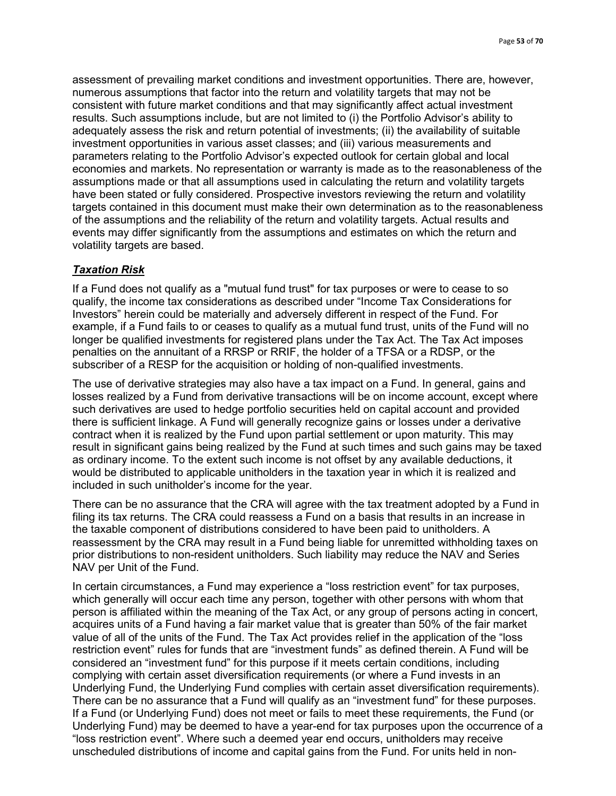assessment of prevailing market conditions and investment opportunities. There are, however, numerous assumptions that factor into the return and volatility targets that may not be consistent with future market conditions and that may significantly affect actual investment results. Such assumptions include, but are not limited to (i) the Portfolio Advisor's ability to adequately assess the risk and return potential of investments; (ii) the availability of suitable investment opportunities in various asset classes; and (iii) various measurements and parameters relating to the Portfolio Advisor's expected outlook for certain global and local economies and markets. No representation or warranty is made as to the reasonableness of the assumptions made or that all assumptions used in calculating the return and volatility targets have been stated or fully considered. Prospective investors reviewing the return and volatility targets contained in this document must make their own determination as to the reasonableness of the assumptions and the reliability of the return and volatility targets. Actual results and events may differ significantly from the assumptions and estimates on which the return and volatility targets are based.

### *Taxation Risk*

If a Fund does not qualify as a "mutual fund trust" for tax purposes or were to cease to so qualify, the income tax considerations as described under "Income Tax Considerations for Investors" herein could be materially and adversely different in respect of the Fund. For example, if a Fund fails to or ceases to qualify as a mutual fund trust, units of the Fund will no longer be qualified investments for registered plans under the Tax Act. The Tax Act imposes penalties on the annuitant of a RRSP or RRIF, the holder of a TFSA or a RDSP, or the subscriber of a RESP for the acquisition or holding of non-qualified investments.

The use of derivative strategies may also have a tax impact on a Fund. In general, gains and losses realized by a Fund from derivative transactions will be on income account, except where such derivatives are used to hedge portfolio securities held on capital account and provided there is sufficient linkage. A Fund will generally recognize gains or losses under a derivative contract when it is realized by the Fund upon partial settlement or upon maturity. This may result in significant gains being realized by the Fund at such times and such gains may be taxed as ordinary income. To the extent such income is not offset by any available deductions, it would be distributed to applicable unitholders in the taxation year in which it is realized and included in such unitholder's income for the year.

There can be no assurance that the CRA will agree with the tax treatment adopted by a Fund in filing its tax returns. The CRA could reassess a Fund on a basis that results in an increase in the taxable component of distributions considered to have been paid to unitholders. A reassessment by the CRA may result in a Fund being liable for unremitted withholding taxes on prior distributions to non-resident unitholders. Such liability may reduce the NAV and Series NAV per Unit of the Fund.

In certain circumstances, a Fund may experience a "loss restriction event" for tax purposes, which generally will occur each time any person, together with other persons with whom that person is affiliated within the meaning of the Tax Act, or any group of persons acting in concert, acquires units of a Fund having a fair market value that is greater than 50% of the fair market value of all of the units of the Fund. The Tax Act provides relief in the application of the "loss restriction event" rules for funds that are "investment funds" as defined therein. A Fund will be considered an "investment fund" for this purpose if it meets certain conditions, including complying with certain asset diversification requirements (or where a Fund invests in an Underlying Fund, the Underlying Fund complies with certain asset diversification requirements). There can be no assurance that a Fund will qualify as an "investment fund" for these purposes. If a Fund (or Underlying Fund) does not meet or fails to meet these requirements, the Fund (or Underlying Fund) may be deemed to have a year-end for tax purposes upon the occurrence of a "loss restriction event". Where such a deemed year end occurs, unitholders may receive unscheduled distributions of income and capital gains from the Fund. For units held in non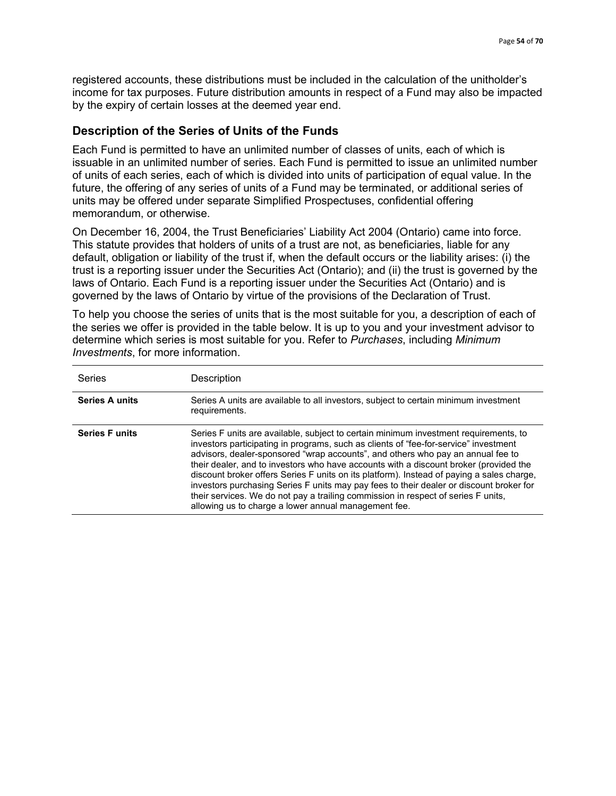registered accounts, these distributions must be included in the calculation of the unitholder's income for tax purposes. Future distribution amounts in respect of a Fund may also be impacted by the expiry of certain losses at the deemed year end.

# **Description of the Series of Units of the Funds**

Each Fund is permitted to have an unlimited number of classes of units, each of which is issuable in an unlimited number of series. Each Fund is permitted to issue an unlimited number of units of each series, each of which is divided into units of participation of equal value. In the future, the offering of any series of units of a Fund may be terminated, or additional series of units may be offered under separate Simplified Prospectuses, confidential offering memorandum, or otherwise.

On December 16, 2004, the Trust Beneficiaries' Liability Act 2004 (Ontario) came into force. This statute provides that holders of units of a trust are not, as beneficiaries, liable for any default, obligation or liability of the trust if, when the default occurs or the liability arises: (i) the trust is a reporting issuer under the Securities Act (Ontario); and (ii) the trust is governed by the laws of Ontario. Each Fund is a reporting issuer under the Securities Act (Ontario) and is governed by the laws of Ontario by virtue of the provisions of the Declaration of Trust.

To help you choose the series of units that is the most suitable for you, a description of each of the series we offer is provided in the table below. It is up to you and your investment advisor to determine which series is most suitable for you. Refer to *Purchases*, including *Minimum Investments*, for more information.

| Series                | Description                                                                                                                                                                                                                                                                                                                                                                                                                                                                                                                                                                                                                                                                                   |
|-----------------------|-----------------------------------------------------------------------------------------------------------------------------------------------------------------------------------------------------------------------------------------------------------------------------------------------------------------------------------------------------------------------------------------------------------------------------------------------------------------------------------------------------------------------------------------------------------------------------------------------------------------------------------------------------------------------------------------------|
| <b>Series A units</b> | Series A units are available to all investors, subject to certain minimum investment<br>requirements.                                                                                                                                                                                                                                                                                                                                                                                                                                                                                                                                                                                         |
| <b>Series F units</b> | Series F units are available, subject to certain minimum investment requirements, to<br>investors participating in programs, such as clients of "fee-for-service" investment<br>advisors, dealer-sponsored "wrap accounts", and others who pay an annual fee to<br>their dealer, and to investors who have accounts with a discount broker (provided the<br>discount broker offers Series F units on its platform). Instead of paying a sales charge,<br>investors purchasing Series F units may pay fees to their dealer or discount broker for<br>their services. We do not pay a trailing commission in respect of series F units,<br>allowing us to charge a lower annual management fee. |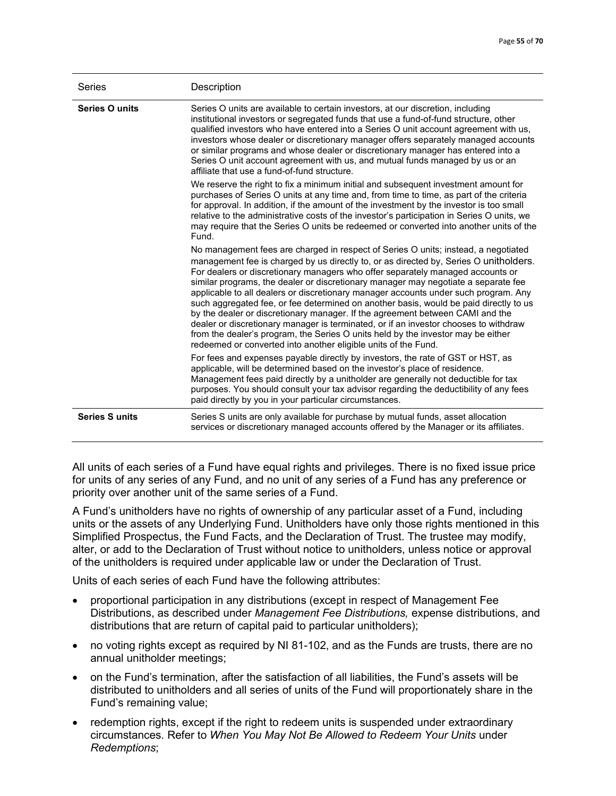| Series                | Description                                                                                                                                                                                                                                                                                                                                                                                                                                                                                                                                                                                                                                                                                                                                                                                                                                                        |
|-----------------------|--------------------------------------------------------------------------------------------------------------------------------------------------------------------------------------------------------------------------------------------------------------------------------------------------------------------------------------------------------------------------------------------------------------------------------------------------------------------------------------------------------------------------------------------------------------------------------------------------------------------------------------------------------------------------------------------------------------------------------------------------------------------------------------------------------------------------------------------------------------------|
| Series O units        | Series O units are available to certain investors, at our discretion, including<br>institutional investors or segregated funds that use a fund-of-fund structure, other<br>qualified investors who have entered into a Series O unit account agreement with us,<br>investors whose dealer or discretionary manager offers separately managed accounts<br>or similar programs and whose dealer or discretionary manager has entered into a<br>Series O unit account agreement with us, and mutual funds managed by us or an<br>affiliate that use a fund-of-fund structure.                                                                                                                                                                                                                                                                                         |
|                       | We reserve the right to fix a minimum initial and subsequent investment amount for<br>purchases of Series O units at any time and, from time to time, as part of the criteria<br>for approval. In addition, if the amount of the investment by the investor is too small<br>relative to the administrative costs of the investor's participation in Series O units, we<br>may require that the Series O units be redeemed or converted into another units of the<br>Fund.                                                                                                                                                                                                                                                                                                                                                                                          |
|                       | No management fees are charged in respect of Series O units; instead, a negotiated<br>management fee is charged by us directly to, or as directed by, Series O unitholders.<br>For dealers or discretionary managers who offer separately managed accounts or<br>similar programs, the dealer or discretionary manager may negotiate a separate fee<br>applicable to all dealers or discretionary manager accounts under such program. Any<br>such aggregated fee, or fee determined on another basis, would be paid directly to us<br>by the dealer or discretionary manager. If the agreement between CAMI and the<br>dealer or discretionary manager is terminated, or if an investor chooses to withdraw<br>from the dealer's program, the Series O units held by the investor may be either<br>redeemed or converted into another eligible units of the Fund. |
|                       | For fees and expenses payable directly by investors, the rate of GST or HST, as<br>applicable, will be determined based on the investor's place of residence.<br>Management fees paid directly by a unitholder are generally not deductible for tax<br>purposes. You should consult your tax advisor regarding the deductibility of any fees<br>paid directly by you in your particular circumstances.                                                                                                                                                                                                                                                                                                                                                                                                                                                             |
| <b>Series S units</b> | Series S units are only available for purchase by mutual funds, asset allocation<br>services or discretionary managed accounts offered by the Manager or its affiliates.                                                                                                                                                                                                                                                                                                                                                                                                                                                                                                                                                                                                                                                                                           |

All units of each series of a Fund have equal rights and privileges. There is no fixed issue price for units of any series of any Fund, and no unit of any series of a Fund has any preference or priority over another unit of the same series of a Fund.

A Fund's unitholders have no rights of ownership of any particular asset of a Fund, including units or the assets of any Underlying Fund. Unitholders have only those rights mentioned in this Simplified Prospectus, the Fund Facts, and the Declaration of Trust. The trustee may modify, alter, or add to the Declaration of Trust without notice to unitholders, unless notice or approval of the unitholders is required under applicable law or under the Declaration of Trust.

Units of each series of each Fund have the following attributes:

- proportional participation in any distributions (except in respect of Management Fee Distributions, as described under *Management Fee Distributions,* expense distributions, and distributions that are return of capital paid to particular unitholders);
- no voting rights except as required by NI 81-102, and as the Funds are trusts, there are no annual unitholder meetings;
- on the Fund's termination, after the satisfaction of all liabilities, the Fund's assets will be distributed to unitholders and all series of units of the Fund will proportionately share in the Fund's remaining value;
- redemption rights, except if the right to redeem units is suspended under extraordinary circumstances. Refer to *When You May Not Be Allowed to Redeem Your Units* under *Redemptions*;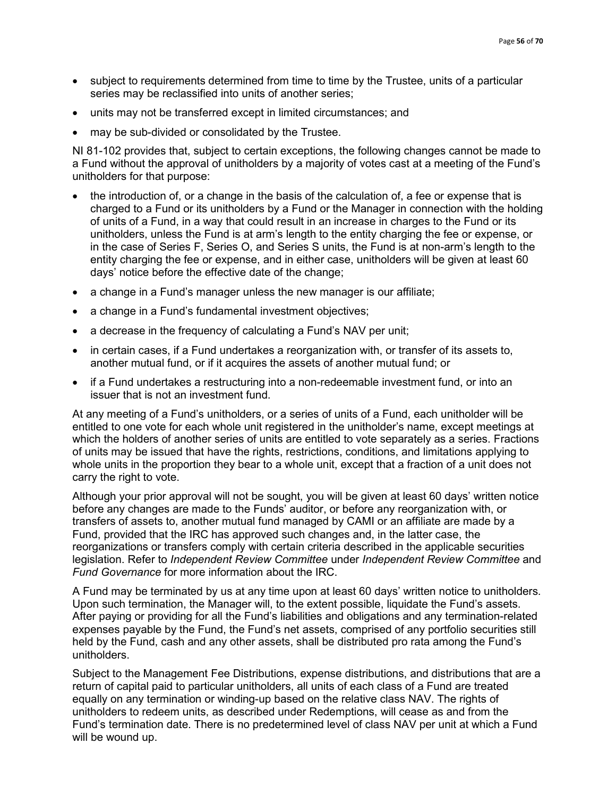- subject to requirements determined from time to time by the Trustee, units of a particular series may be reclassified into units of another series;
- units may not be transferred except in limited circumstances; and
- may be sub-divided or consolidated by the Trustee.

NI 81-102 provides that, subject to certain exceptions, the following changes cannot be made to a Fund without the approval of unitholders by a majority of votes cast at a meeting of the Fund's unitholders for that purpose:

- the introduction of, or a change in the basis of the calculation of, a fee or expense that is charged to a Fund or its unitholders by a Fund or the Manager in connection with the holding of units of a Fund, in a way that could result in an increase in charges to the Fund or its unitholders, unless the Fund is at arm's length to the entity charging the fee or expense, or in the case of Series F, Series O, and Series S units, the Fund is at non-arm's length to the entity charging the fee or expense, and in either case, unitholders will be given at least 60 days' notice before the effective date of the change;
- a change in a Fund's manager unless the new manager is our affiliate;
- a change in a Fund's fundamental investment objectives;
- a decrease in the frequency of calculating a Fund's NAV per unit;
- in certain cases, if a Fund undertakes a reorganization with, or transfer of its assets to, another mutual fund, or if it acquires the assets of another mutual fund; or
- if a Fund undertakes a restructuring into a non-redeemable investment fund, or into an issuer that is not an investment fund.

At any meeting of a Fund's unitholders, or a series of units of a Fund, each unitholder will be entitled to one vote for each whole unit registered in the unitholder's name, except meetings at which the holders of another series of units are entitled to vote separately as a series. Fractions of units may be issued that have the rights, restrictions, conditions, and limitations applying to whole units in the proportion they bear to a whole unit, except that a fraction of a unit does not carry the right to vote.

Although your prior approval will not be sought, you will be given at least 60 days' written notice before any changes are made to the Funds' auditor, or before any reorganization with, or transfers of assets to, another mutual fund managed by CAMI or an affiliate are made by a Fund, provided that the IRC has approved such changes and, in the latter case, the reorganizations or transfers comply with certain criteria described in the applicable securities legislation. Refer to *Independent Review Committee* under *Independent Review Committee* and *Fund Governance* for more information about the IRC.

A Fund may be terminated by us at any time upon at least 60 days' written notice to unitholders. Upon such termination, the Manager will, to the extent possible, liquidate the Fund's assets. After paying or providing for all the Fund's liabilities and obligations and any termination-related expenses payable by the Fund, the Fund's net assets, comprised of any portfolio securities still held by the Fund, cash and any other assets, shall be distributed pro rata among the Fund's unitholders.

Subject to the Management Fee Distributions, expense distributions, and distributions that are a return of capital paid to particular unitholders, all units of each class of a Fund are treated equally on any termination or winding-up based on the relative class NAV. The rights of unitholders to redeem units, as described under Redemptions, will cease as and from the Fund's termination date. There is no predetermined level of class NAV per unit at which a Fund will be wound up.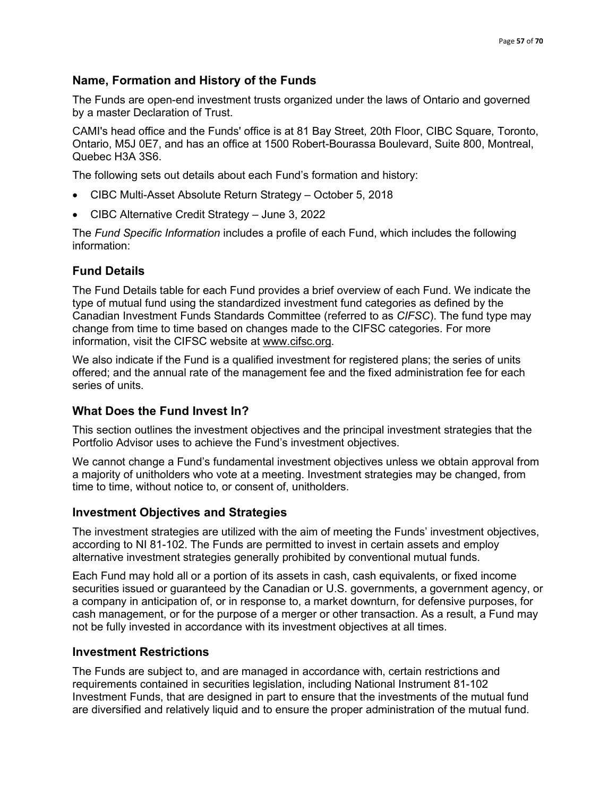# **Name, Formation and History of the Funds**

The Funds are open-end investment trusts organized under the laws of Ontario and governed by a master Declaration of Trust.

CAMI's head office and the Funds' office is at 81 Bay Street, 20th Floor, CIBC Square, Toronto, Ontario, M5J 0E7, and has an office at 1500 Robert-Bourassa Boulevard, Suite 800, Montreal, Quebec H3A 3S6.

The following sets out details about each Fund's formation and history:

- CIBC Multi-Asset Absolute Return Strategy October 5, 2018
- CIBC Alternative Credit Strategy June 3, 2022

The *Fund Specific Information* includes a profile of each Fund, which includes the following information:

# **Fund Details**

The Fund Details table for each Fund provides a brief overview of each Fund. We indicate the type of mutual fund using the standardized investment fund categories as defined by the Canadian Investment Funds Standards Committee (referred to as *CIFSC*). The fund type may change from time to time based on changes made to the CIFSC categories. For more information, visit the CIFSC website at [www.cifsc.org.](file://tocs2001/wthmips_ds/CAM%20Regulatory/Point%20of%20Sale/_2010-/_2022/20220204_EMD_PIMCO_P_PRO1320NR/1_SP%20AIF/SP/www.cifsc.org)

We also indicate if the Fund is a qualified investment for registered plans; the series of units offered; and the annual rate of the management fee and the fixed administration fee for each series of units.

# **What Does the Fund Invest In?**

This section outlines the investment objectives and the principal investment strategies that the Portfolio Advisor uses to achieve the Fund's investment objectives.

We cannot change a Fund's fundamental investment objectives unless we obtain approval from a majority of unitholders who vote at a meeting. Investment strategies may be changed, from time to time, without notice to, or consent of, unitholders.

# **Investment Objectives and Strategies**

The investment strategies are utilized with the aim of meeting the Funds' investment objectives, according to NI 81-102. The Funds are permitted to invest in certain assets and employ alternative investment strategies generally prohibited by conventional mutual funds.

Each Fund may hold all or a portion of its assets in cash, cash equivalents, or fixed income securities issued or guaranteed by the Canadian or U.S. governments, a government agency, or a company in anticipation of, or in response to, a market downturn, for defensive purposes, for cash management, or for the purpose of a merger or other transaction. As a result, a Fund may not be fully invested in accordance with its investment objectives at all times.

# **Investment Restrictions**

The Funds are subject to, and are managed in accordance with, certain restrictions and requirements contained in securities legislation, including National Instrument 81-102 Investment Funds, that are designed in part to ensure that the investments of the mutual fund are diversified and relatively liquid and to ensure the proper administration of the mutual fund.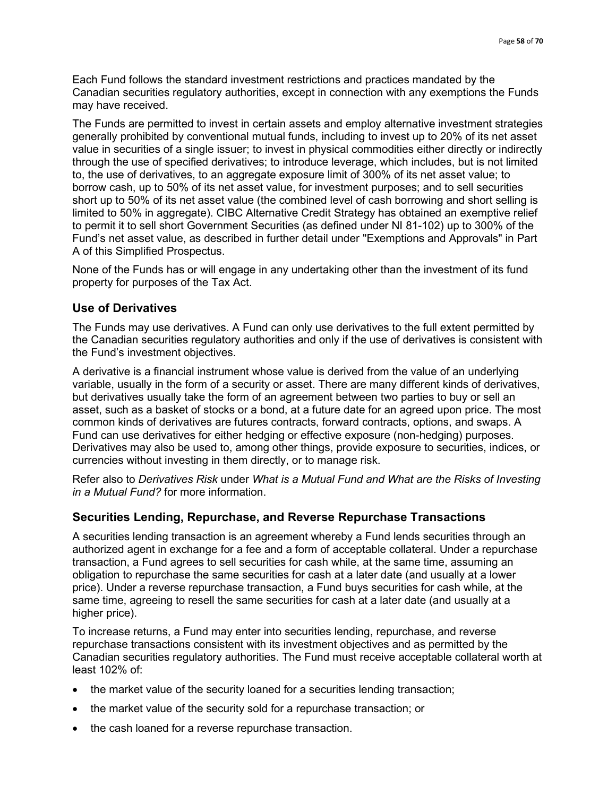Each Fund follows the standard investment restrictions and practices mandated by the Canadian securities regulatory authorities, except in connection with any exemptions the Funds may have received.

The Funds are permitted to invest in certain assets and employ alternative investment strategies generally prohibited by conventional mutual funds, including to invest up to 20% of its net asset value in securities of a single issuer; to invest in physical commodities either directly or indirectly through the use of specified derivatives; to introduce leverage, which includes, but is not limited to, the use of derivatives, to an aggregate exposure limit of 300% of its net asset value; to borrow cash, up to 50% of its net asset value, for investment purposes; and to sell securities short up to 50% of its net asset value (the combined level of cash borrowing and short selling is limited to 50% in aggregate). CIBC Alternative Credit Strategy has obtained an exemptive relief to permit it to sell short Government Securities (as defined under NI 81-102) up to 300% of the Fund's net asset value, as described in further detail under "Exemptions and Approvals" in Part A of this Simplified Prospectus.

None of the Funds has or will engage in any undertaking other than the investment of its fund property for purposes of the Tax Act.

# **Use of Derivatives**

The Funds may use derivatives. A Fund can only use derivatives to the full extent permitted by the Canadian securities regulatory authorities and only if the use of derivatives is consistent with the Fund's investment objectives.

A derivative is a financial instrument whose value is derived from the value of an underlying variable, usually in the form of a security or asset. There are many different kinds of derivatives, but derivatives usually take the form of an agreement between two parties to buy or sell an asset, such as a basket of stocks or a bond, at a future date for an agreed upon price. The most common kinds of derivatives are futures contracts, forward contracts, options, and swaps. A Fund can use derivatives for either hedging or effective exposure (non-hedging) purposes. Derivatives may also be used to, among other things, provide exposure to securities, indices, or currencies without investing in them directly, or to manage risk.

Refer also to *Derivatives Risk* under *What is a Mutual Fund and What are the Risks of Investing in a Mutual Fund?* for more information.

# **Securities Lending, Repurchase, and Reverse Repurchase Transactions**

A securities lending transaction is an agreement whereby a Fund lends securities through an authorized agent in exchange for a fee and a form of acceptable collateral. Under a repurchase transaction, a Fund agrees to sell securities for cash while, at the same time, assuming an obligation to repurchase the same securities for cash at a later date (and usually at a lower price). Under a reverse repurchase transaction, a Fund buys securities for cash while, at the same time, agreeing to resell the same securities for cash at a later date (and usually at a higher price).

To increase returns, a Fund may enter into securities lending, repurchase, and reverse repurchase transactions consistent with its investment objectives and as permitted by the Canadian securities regulatory authorities. The Fund must receive acceptable collateral worth at least 102% of:

- the market value of the security loaned for a securities lending transaction;
- the market value of the security sold for a repurchase transaction; or
- the cash loaned for a reverse repurchase transaction.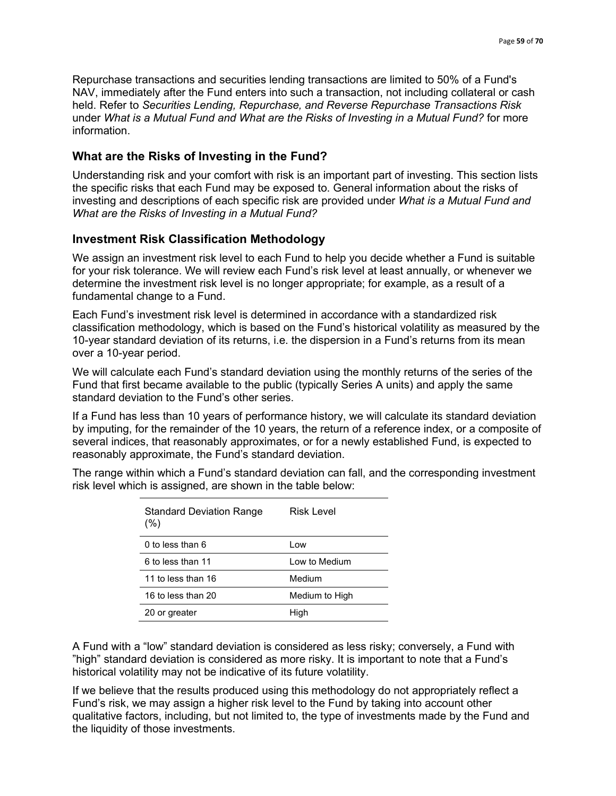Repurchase transactions and securities lending transactions are limited to 50% of a Fund's NAV, immediately after the Fund enters into such a transaction, not including collateral or cash held. Refer to *Securities Lending, Repurchase, and Reverse Repurchase Transactions Risk* under *What is a Mutual Fund and What are the Risks of Investing in a Mutual Fund?* for more information.

# **What are the Risks of Investing in the Fund?**

Understanding risk and your comfort with risk is an important part of investing. This section lists the specific risks that each Fund may be exposed to. General information about the risks of investing and descriptions of each specific risk are provided under *What is a Mutual Fund and What are the Risks of Investing in a Mutual Fund?* 

# **Investment Risk Classification Methodology**

We assign an investment risk level to each Fund to help you decide whether a Fund is suitable for your risk tolerance. We will review each Fund's risk level at least annually, or whenever we determine the investment risk level is no longer appropriate; for example, as a result of a fundamental change to a Fund.

Each Fund's investment risk level is determined in accordance with a standardized risk classification methodology, which is based on the Fund's historical volatility as measured by the 10-year standard deviation of its returns, i.e. the dispersion in a Fund's returns from its mean over a 10-year period.

We will calculate each Fund's standard deviation using the monthly returns of the series of the Fund that first became available to the public (typically Series A units) and apply the same standard deviation to the Fund's other series.

If a Fund has less than 10 years of performance history, we will calculate its standard deviation by imputing, for the remainder of the 10 years, the return of a reference index, or a composite of several indices, that reasonably approximates, or for a newly established Fund, is expected to reasonably approximate, the Fund's standard deviation.

The range within which a Fund's standard deviation can fall, and the corresponding investment risk level which is assigned, are shown in the table below:

| <b>Standard Deviation Range</b><br>(% ) | Risk Level     |  |
|-----------------------------------------|----------------|--|
| $0$ to less than $6$                    | l ow           |  |
| 6 to less than 11                       | Low to Medium  |  |
| 11 to less than 16                      | Medium         |  |
| 16 to less than 20                      | Medium to High |  |
| 20 or greater                           | High           |  |

A Fund with a "low" standard deviation is considered as less risky; conversely, a Fund with "high" standard deviation is considered as more risky. It is important to note that a Fund's historical volatility may not be indicative of its future volatility.

If we believe that the results produced using this methodology do not appropriately reflect a Fund's risk, we may assign a higher risk level to the Fund by taking into account other qualitative factors, including, but not limited to, the type of investments made by the Fund and the liquidity of those investments.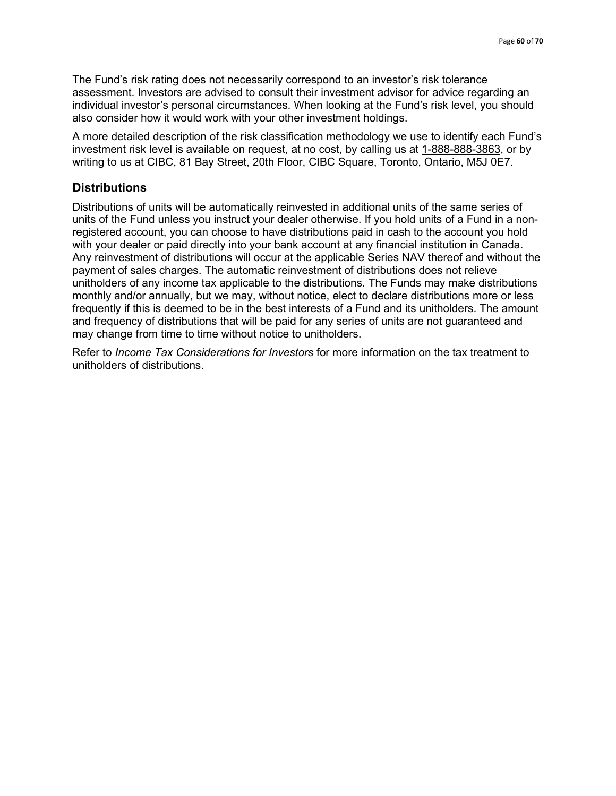The Fund's risk rating does not necessarily correspond to an investor's risk tolerance assessment. Investors are advised to consult their investment advisor for advice regarding an individual investor's personal circumstances. When looking at the Fund's risk level, you should also consider how it would work with your other investment holdings.

A more detailed description of the risk classification methodology we use to identify each Fund's investment risk level is available on request, at no cost, by calling us at [1-888-888-3863,](tel:18888883863) or by writing to us at CIBC, 81 Bay Street, 20th Floor, CIBC Square, Toronto, Ontario, M5J 0E7.

# **Distributions**

Distributions of units will be automatically reinvested in additional units of the same series of units of the Fund unless you instruct your dealer otherwise. If you hold units of a Fund in a nonregistered account, you can choose to have distributions paid in cash to the account you hold with your dealer or paid directly into your bank account at any financial institution in Canada. Any reinvestment of distributions will occur at the applicable Series NAV thereof and without the payment of sales charges. The automatic reinvestment of distributions does not relieve unitholders of any income tax applicable to the distributions. The Funds may make distributions monthly and/or annually, but we may, without notice, elect to declare distributions more or less frequently if this is deemed to be in the best interests of a Fund and its unitholders. The amount and frequency of distributions that will be paid for any series of units are not guaranteed and may change from time to time without notice to unitholders.

Refer to *Income Tax Considerations for Investors* for more information on the tax treatment to unitholders of distributions.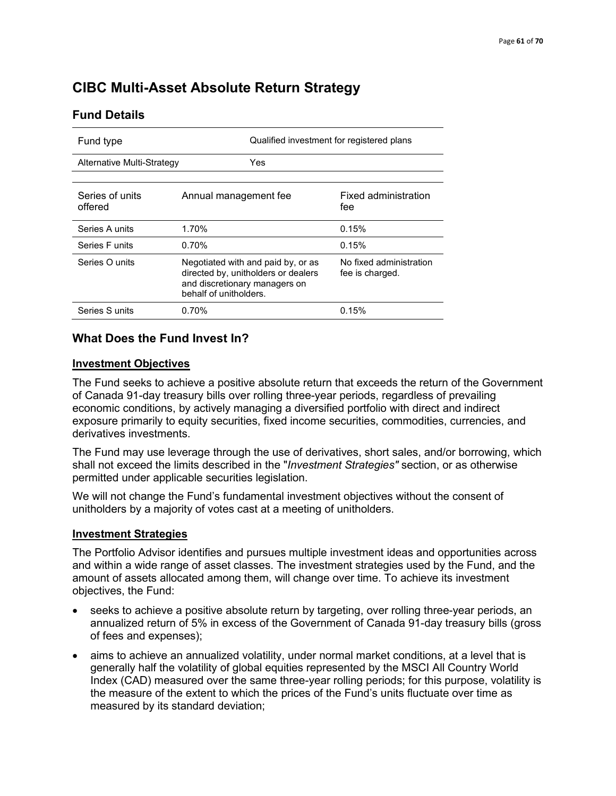# <span id="page-60-0"></span>**CIBC Multi-Asset Absolute Return Strategy**

# **Fund Details**

| Fund type                  |                                                                                                                                      | Qualified investment for registered plans  |  |
|----------------------------|--------------------------------------------------------------------------------------------------------------------------------------|--------------------------------------------|--|
| Alternative Multi-Strategy | Yes                                                                                                                                  |                                            |  |
|                            |                                                                                                                                      |                                            |  |
| Series of units<br>offered | Annual management fee                                                                                                                | Fixed administration<br>fee                |  |
| Series A units             | 1.70%                                                                                                                                | 0.15%                                      |  |
| Series F units             | 0.70%                                                                                                                                | 0.15%                                      |  |
| Series O units             | Negotiated with and paid by, or as<br>directed by, unitholders or dealers<br>and discretionary managers on<br>behalf of unitholders. | No fixed administration<br>fee is charged. |  |
| Series S units             | 0.70%                                                                                                                                | 0.15%                                      |  |

# **What Does the Fund Invest In?**

# **Investment Objectives**

The Fund seeks to achieve a positive absolute return that exceeds the return of the Government of Canada 91-day treasury bills over rolling three-year periods, regardless of prevailing economic conditions, by actively managing a diversified portfolio with direct and indirect exposure primarily to equity securities, fixed income securities, commodities, currencies, and derivatives investments.

The Fund may use leverage through the use of derivatives, short sales, and/or borrowing, which shall not exceed the limits described in the "*Investment Strategies"* section, or as otherwise permitted under applicable securities legislation.

We will not change the Fund's fundamental investment objectives without the consent of unitholders by a majority of votes cast at a meeting of unitholders.

### **Investment Strategies**

The Portfolio Advisor identifies and pursues multiple investment ideas and opportunities across and within a wide range of asset classes. The investment strategies used by the Fund, and the amount of assets allocated among them, will change over time. To achieve its investment objectives, the Fund:

- seeks to achieve a positive absolute return by targeting, over rolling three-year periods, an annualized return of 5% in excess of the Government of Canada 91-day treasury bills (gross of fees and expenses);
- aims to achieve an annualized volatility, under normal market conditions, at a level that is generally half the volatility of global equities represented by the MSCI All Country World Index (CAD) measured over the same three-year rolling periods; for this purpose, volatility is the measure of the extent to which the prices of the Fund's units fluctuate over time as measured by its standard deviation;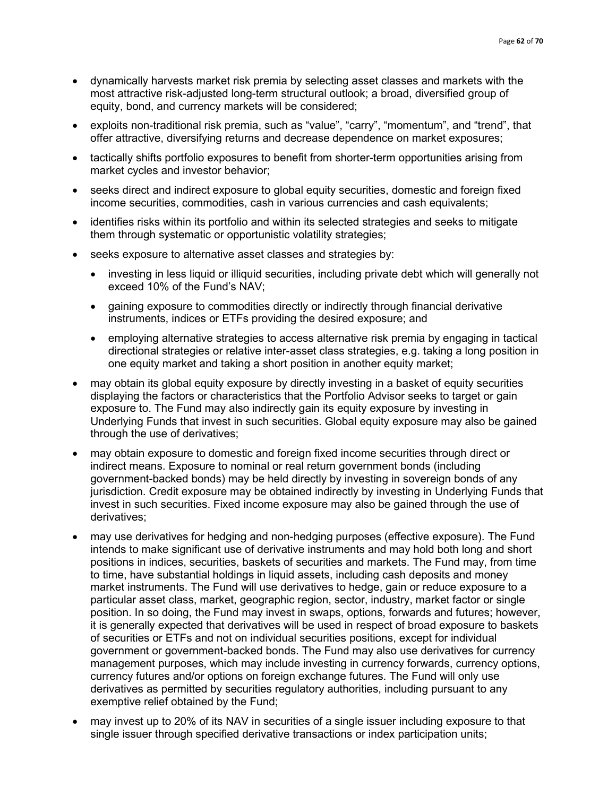- dynamically harvests market risk premia by selecting asset classes and markets with the most attractive risk-adjusted long-term structural outlook; a broad, diversified group of equity, bond, and currency markets will be considered;
- exploits non-traditional risk premia, such as "value", "carry", "momentum", and "trend", that offer attractive, diversifying returns and decrease dependence on market exposures;
- tactically shifts portfolio exposures to benefit from shorter-term opportunities arising from market cycles and investor behavior;
- seeks direct and indirect exposure to global equity securities, domestic and foreign fixed income securities, commodities, cash in various currencies and cash equivalents;
- identifies risks within its portfolio and within its selected strategies and seeks to mitigate them through systematic or opportunistic volatility strategies;
- seeks exposure to alternative asset classes and strategies by:
	- investing in less liquid or illiquid securities, including private debt which will generally not exceed 10% of the Fund's NAV;
	- gaining exposure to commodities directly or indirectly through financial derivative instruments, indices or ETFs providing the desired exposure; and
	- employing alternative strategies to access alternative risk premia by engaging in tactical directional strategies or relative inter-asset class strategies, e.g. taking a long position in one equity market and taking a short position in another equity market;
- may obtain its global equity exposure by directly investing in a basket of equity securities displaying the factors or characteristics that the Portfolio Advisor seeks to target or gain exposure to. The Fund may also indirectly gain its equity exposure by investing in Underlying Funds that invest in such securities. Global equity exposure may also be gained through the use of derivatives;
- may obtain exposure to domestic and foreign fixed income securities through direct or indirect means. Exposure to nominal or real return government bonds (including government-backed bonds) may be held directly by investing in sovereign bonds of any jurisdiction. Credit exposure may be obtained indirectly by investing in Underlying Funds that invest in such securities. Fixed income exposure may also be gained through the use of derivatives;
- may use derivatives for hedging and non-hedging purposes (effective exposure). The Fund intends to make significant use of derivative instruments and may hold both long and short positions in indices, securities, baskets of securities and markets. The Fund may, from time to time, have substantial holdings in liquid assets, including cash deposits and money market instruments. The Fund will use derivatives to hedge, gain or reduce exposure to a particular asset class, market, geographic region, sector, industry, market factor or single position. In so doing, the Fund may invest in swaps, options, forwards and futures; however, it is generally expected that derivatives will be used in respect of broad exposure to baskets of securities or ETFs and not on individual securities positions, except for individual government or government-backed bonds. The Fund may also use derivatives for currency management purposes, which may include investing in currency forwards, currency options, currency futures and/or options on foreign exchange futures. The Fund will only use derivatives as permitted by securities regulatory authorities, including pursuant to any exemptive relief obtained by the Fund;
- may invest up to 20% of its NAV in securities of a single issuer including exposure to that single issuer through specified derivative transactions or index participation units;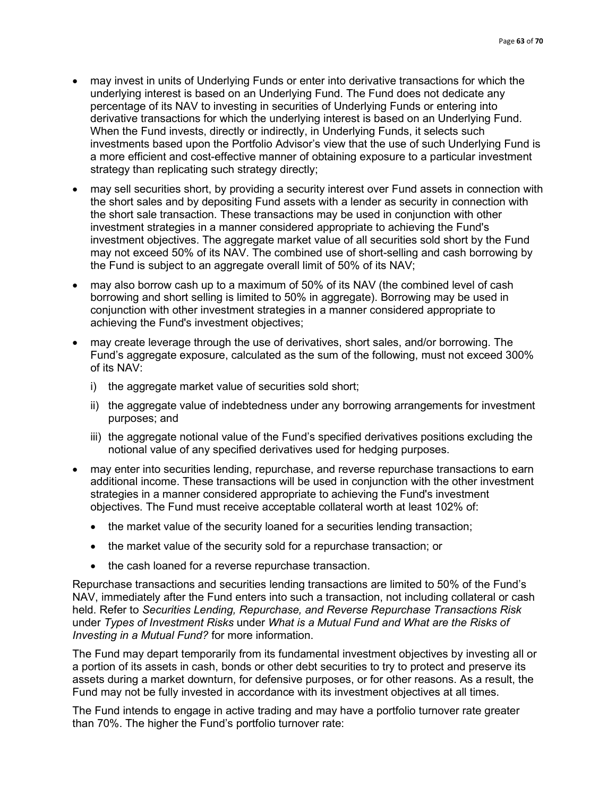- may invest in units of Underlying Funds or enter into derivative transactions for which the underlying interest is based on an Underlying Fund. The Fund does not dedicate any percentage of its NAV to investing in securities of Underlying Funds or entering into derivative transactions for which the underlying interest is based on an Underlying Fund. When the Fund invests, directly or indirectly, in Underlying Funds, it selects such investments based upon the Portfolio Advisor's view that the use of such Underlying Fund is a more efficient and cost-effective manner of obtaining exposure to a particular investment strategy than replicating such strategy directly;
- may sell securities short, by providing a security interest over Fund assets in connection with the short sales and by depositing Fund assets with a lender as security in connection with the short sale transaction. These transactions may be used in conjunction with other investment strategies in a manner considered appropriate to achieving the Fund's investment objectives. The aggregate market value of all securities sold short by the Fund may not exceed 50% of its NAV. The combined use of short-selling and cash borrowing by the Fund is subject to an aggregate overall limit of 50% of its NAV;
- may also borrow cash up to a maximum of 50% of its NAV (the combined level of cash borrowing and short selling is limited to 50% in aggregate). Borrowing may be used in conjunction with other investment strategies in a manner considered appropriate to achieving the Fund's investment objectives;
- may create leverage through the use of derivatives, short sales, and/or borrowing. The Fund's aggregate exposure, calculated as the sum of the following, must not exceed 300% of its NAV:
	- i) the aggregate market value of securities sold short;
	- ii) the aggregate value of indebtedness under any borrowing arrangements for investment purposes; and
	- iii) the aggregate notional value of the Fund's specified derivatives positions excluding the notional value of any specified derivatives used for hedging purposes.
- may enter into securities lending, repurchase, and reverse repurchase transactions to earn additional income. These transactions will be used in conjunction with the other investment strategies in a manner considered appropriate to achieving the Fund's investment objectives. The Fund must receive acceptable collateral worth at least 102% of:
	- the market value of the security loaned for a securities lending transaction;
	- the market value of the security sold for a repurchase transaction; or
	- the cash loaned for a reverse repurchase transaction.

Repurchase transactions and securities lending transactions are limited to 50% of the Fund's NAV, immediately after the Fund enters into such a transaction, not including collateral or cash held. Refer to *Securities Lending, Repurchase, and Reverse Repurchase Transactions Risk* under *Types of Investment Risks* under *What is a Mutual Fund and What are the Risks of Investing in a Mutual Fund?* for more information.

The Fund may depart temporarily from its fundamental investment objectives by investing all or a portion of its assets in cash, bonds or other debt securities to try to protect and preserve its assets during a market downturn, for defensive purposes, or for other reasons. As a result, the Fund may not be fully invested in accordance with its investment objectives at all times.

The Fund intends to engage in active trading and may have a portfolio turnover rate greater than 70%. The higher the Fund's portfolio turnover rate: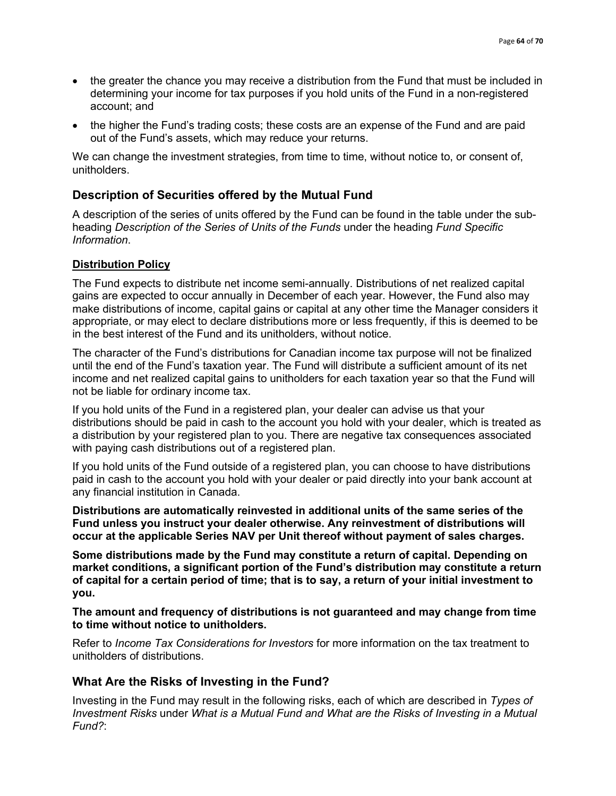- the greater the chance you may receive a distribution from the Fund that must be included in determining your income for tax purposes if you hold units of the Fund in a non-registered account; and
- the higher the Fund's trading costs; these costs are an expense of the Fund and are paid out of the Fund's assets, which may reduce your returns.

We can change the investment strategies, from time to time, without notice to, or consent of, unitholders.

# **Description of Securities offered by the Mutual Fund**

A description of the series of units offered by the Fund can be found in the table under the subheading *Description of the Series of Units of the Funds* under the heading *Fund Specific Information*.

### **Distribution Policy**

The Fund expects to distribute net income semi-annually. Distributions of net realized capital gains are expected to occur annually in December of each year. However, the Fund also may make distributions of income, capital gains or capital at any other time the Manager considers it appropriate, or may elect to declare distributions more or less frequently, if this is deemed to be in the best interest of the Fund and its unitholders, without notice.

The character of the Fund's distributions for Canadian income tax purpose will not be finalized until the end of the Fund's taxation year. The Fund will distribute a sufficient amount of its net income and net realized capital gains to unitholders for each taxation year so that the Fund will not be liable for ordinary income tax.

If you hold units of the Fund in a registered plan, your dealer can advise us that your distributions should be paid in cash to the account you hold with your dealer, which is treated as a distribution by your registered plan to you. There are negative tax consequences associated with paying cash distributions out of a registered plan.

If you hold units of the Fund outside of a registered plan, you can choose to have distributions paid in cash to the account you hold with your dealer or paid directly into your bank account at any financial institution in Canada.

**Distributions are automatically reinvested in additional units of the same series of the Fund unless you instruct your dealer otherwise. Any reinvestment of distributions will occur at the applicable Series NAV per Unit thereof without payment of sales charges.**

**Some distributions made by the Fund may constitute a return of capital. Depending on market conditions, a significant portion of the Fund's distribution may constitute a return of capital for a certain period of time; that is to say, a return of your initial investment to you.**

**The amount and frequency of distributions is not guaranteed and may change from time to time without notice to unitholders.**

Refer to *Income Tax Considerations for Investors* for more information on the tax treatment to unitholders of distributions.

# **What Are the Risks of Investing in the Fund?**

Investing in the Fund may result in the following risks, each of which are described in *Types of Investment Risks* under *What is a Mutual Fund and What are the Risks of Investing in a Mutual Fund?*: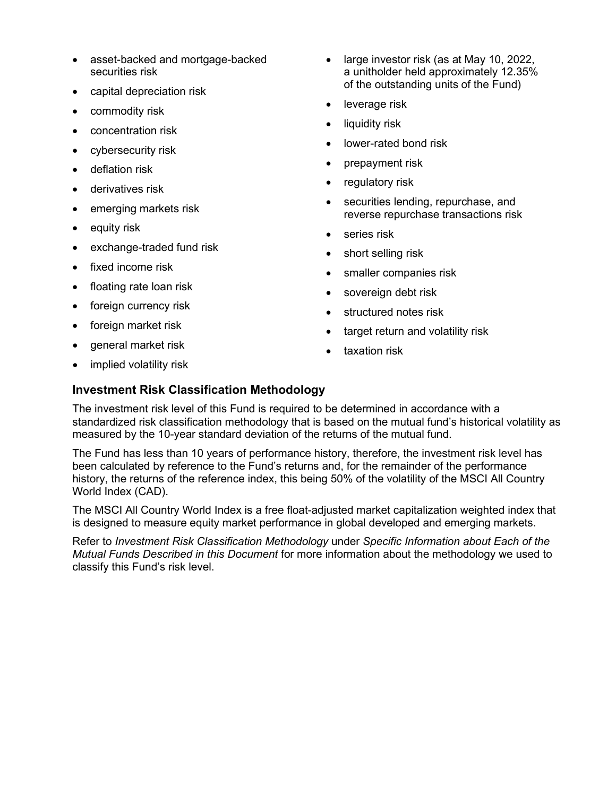- asset-backed and mortgage-backed securities risk
- capital depreciation risk
- commodity risk
- concentration risk
- cybersecurity risk
- deflation risk
- derivatives risk
- emerging markets risk
- equity risk
- exchange-traded fund risk
- fixed income risk
- floating rate loan risk
- foreign currency risk
- foreign market risk
- general market risk
- implied volatility risk
- large investor risk (as at May 10, 2022, a unitholder held approximately 12.35% of the outstanding units of the Fund)
- leverage risk
- liquidity risk
- lower-rated bond risk
- prepayment risk
- regulatory risk
- securities lending, repurchase, and reverse repurchase transactions risk
- series risk
- short selling risk
- smaller companies risk
- sovereign debt risk
- structured notes risk
- target return and volatility risk
- taxation risk

# **Investment Risk Classification Methodology**

The investment risk level of this Fund is required to be determined in accordance with a standardized risk classification methodology that is based on the mutual fund's historical volatility as measured by the 10-year standard deviation of the returns of the mutual fund.

The Fund has less than 10 years of performance history, therefore, the investment risk level has been calculated by reference to the Fund's returns and, for the remainder of the performance history, the returns of the reference index, this being 50% of the volatility of the MSCI All Country World Index (CAD).

The MSCI All Country World Index is a free float-adjusted market capitalization weighted index that is designed to measure equity market performance in global developed and emerging markets.

Refer to *Investment Risk Classification Methodology* under *Specific Information about Each of the Mutual Funds Described in this Document* for more information about the methodology we used to classify this Fund's risk level.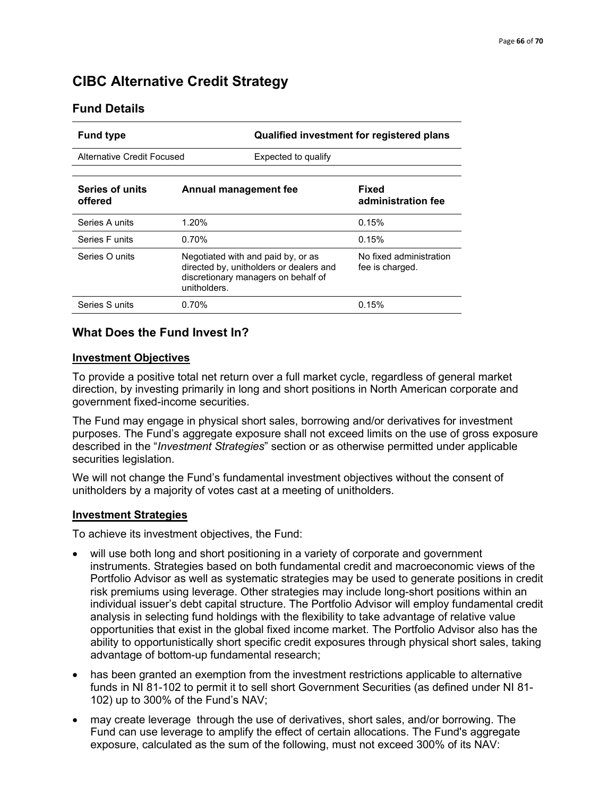# <span id="page-65-0"></span>**CIBC Alternative Credit Strategy**

# **Fund Details**

| <b>Fund type</b><br><b>Alternative Credit Focused</b> |                                                                                                                                      | Qualified investment for registered plans |                                            |
|-------------------------------------------------------|--------------------------------------------------------------------------------------------------------------------------------------|-------------------------------------------|--------------------------------------------|
|                                                       |                                                                                                                                      | Expected to qualify                       |                                            |
| Series of units<br>offered                            | Annual management fee                                                                                                                |                                           | Fixed<br>administration fee                |
| Series A units                                        | 1.20%                                                                                                                                |                                           | 0.15%                                      |
| Series F units                                        | 0.70%                                                                                                                                |                                           | 0.15%                                      |
| Series O units                                        | Negotiated with and paid by, or as<br>directed by, unitholders or dealers and<br>discretionary managers on behalf of<br>unitholders. |                                           | No fixed administration<br>fee is charged. |
| Series S units                                        | 0.70%                                                                                                                                |                                           | 0.15%                                      |

# **What Does the Fund Invest In?**

### **Investment Objectives**

To provide a positive total net return over a full market cycle, regardless of general market direction, by investing primarily in long and short positions in North American corporate and government fixed-income securities.

The Fund may engage in physical short sales, borrowing and/or derivatives for investment purposes. The Fund's aggregate exposure shall not exceed limits on the use of gross exposure described in the "*Investment Strategies*" section or as otherwise permitted under applicable securities legislation.

We will not change the Fund's fundamental investment objectives without the consent of unitholders by a majority of votes cast at a meeting of unitholders.

### **Investment Strategies**

To achieve its investment objectives, the Fund:

- will use both long and short positioning in a variety of corporate and government instruments. Strategies based on both fundamental credit and macroeconomic views of the Portfolio Advisor as well as systematic strategies may be used to generate positions in credit risk premiums using leverage. Other strategies may include long-short positions within an individual issuer's debt capital structure. The Portfolio Advisor will employ fundamental credit analysis in selecting fund holdings with the flexibility to take advantage of relative value opportunities that exist in the global fixed income market. The Portfolio Advisor also has the ability to opportunistically short specific credit exposures through physical short sales, taking advantage of bottom-up fundamental research;
- has been granted an exemption from the investment restrictions applicable to alternative funds in NI 81-102 to permit it to sell short Government Securities (as defined under NI 81- 102) up to 300% of the Fund's NAV;
- may create leverage through the use of derivatives, short sales, and/or borrowing. The Fund can use leverage to amplify the effect of certain allocations. The Fund's aggregate exposure, calculated as the sum of the following, must not exceed 300% of its NAV: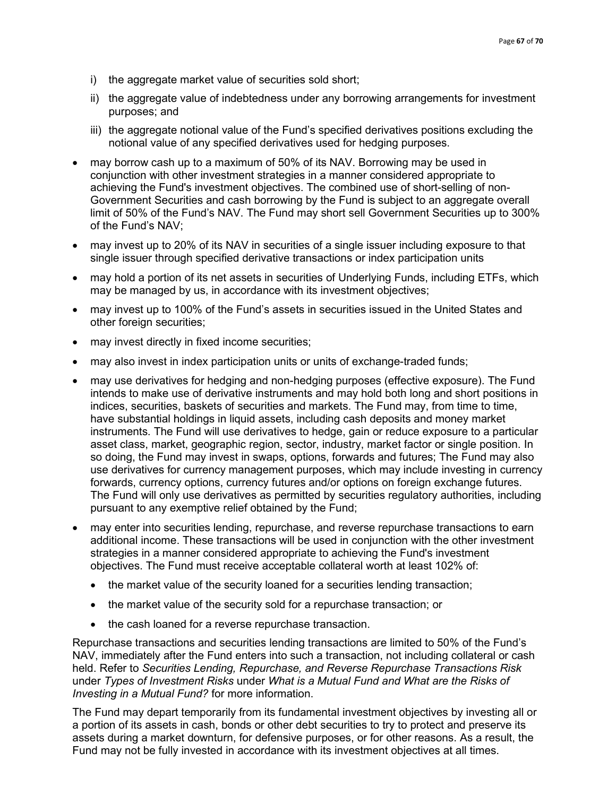- i) the aggregate market value of securities sold short;
- ii) the aggregate value of indebtedness under any borrowing arrangements for investment purposes; and
- iii) the aggregate notional value of the Fund's specified derivatives positions excluding the notional value of any specified derivatives used for hedging purposes.
- may borrow cash up to a maximum of 50% of its NAV. Borrowing may be used in conjunction with other investment strategies in a manner considered appropriate to achieving the Fund's investment objectives. The combined use of short-selling of non-Government Securities and cash borrowing by the Fund is subject to an aggregate overall limit of 50% of the Fund's NAV. The Fund may short sell Government Securities up to 300% of the Fund's NAV;
- may invest up to 20% of its NAV in securities of a single issuer including exposure to that single issuer through specified derivative transactions or index participation units
- may hold a portion of its net assets in securities of Underlying Funds, including ETFs, which may be managed by us, in accordance with its investment objectives;
- may invest up to 100% of the Fund's assets in securities issued in the United States and other foreign securities;
- may invest directly in fixed income securities;
- may also invest in index participation units or units of exchange-traded funds;
- may use derivatives for hedging and non-hedging purposes (effective exposure). The Fund intends to make use of derivative instruments and may hold both long and short positions in indices, securities, baskets of securities and markets. The Fund may, from time to time, have substantial holdings in liquid assets, including cash deposits and money market instruments. The Fund will use derivatives to hedge, gain or reduce exposure to a particular asset class, market, geographic region, sector, industry, market factor or single position. In so doing, the Fund may invest in swaps, options, forwards and futures; The Fund may also use derivatives for currency management purposes, which may include investing in currency forwards, currency options, currency futures and/or options on foreign exchange futures. The Fund will only use derivatives as permitted by securities regulatory authorities, including pursuant to any exemptive relief obtained by the Fund;
- may enter into securities lending, repurchase, and reverse repurchase transactions to earn additional income. These transactions will be used in conjunction with the other investment strategies in a manner considered appropriate to achieving the Fund's investment objectives. The Fund must receive acceptable collateral worth at least 102% of:
	- the market value of the security loaned for a securities lending transaction;
	- the market value of the security sold for a repurchase transaction; or
	- the cash loaned for a reverse repurchase transaction.

Repurchase transactions and securities lending transactions are limited to 50% of the Fund's NAV, immediately after the Fund enters into such a transaction, not including collateral or cash held. Refer to *Securities Lending, Repurchase, and Reverse Repurchase Transactions Risk* under *Types of Investment Risks* under *What is a Mutual Fund and What are the Risks of Investing in a Mutual Fund?* for more information.

The Fund may depart temporarily from its fundamental investment objectives by investing all or a portion of its assets in cash, bonds or other debt securities to try to protect and preserve its assets during a market downturn, for defensive purposes, or for other reasons. As a result, the Fund may not be fully invested in accordance with its investment objectives at all times.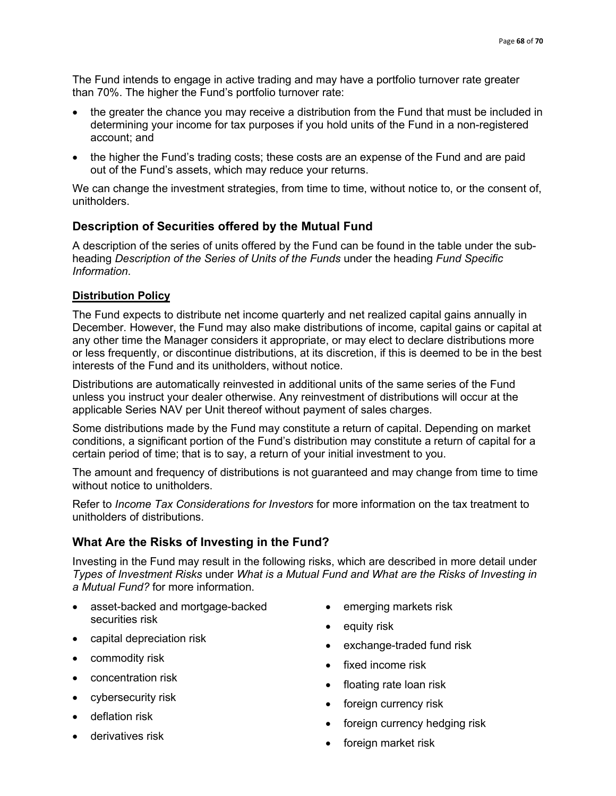The Fund intends to engage in active trading and may have a portfolio turnover rate greater than 70%. The higher the Fund's portfolio turnover rate:

- the greater the chance you may receive a distribution from the Fund that must be included in determining your income for tax purposes if you hold units of the Fund in a non-registered account; and
- the higher the Fund's trading costs; these costs are an expense of the Fund and are paid out of the Fund's assets, which may reduce your returns.

We can change the investment strategies, from time to time, without notice to, or the consent of, unitholders.

# **Description of Securities offered by the Mutual Fund**

A description of the series of units offered by the Fund can be found in the table under the subheading *Description of the Series of Units of the Funds* under the heading *Fund Specific Information*.

# **Distribution Policy**

The Fund expects to distribute net income quarterly and net realized capital gains annually in December. However, the Fund may also make distributions of income, capital gains or capital at any other time the Manager considers it appropriate, or may elect to declare distributions more or less frequently, or discontinue distributions, at its discretion, if this is deemed to be in the best interests of the Fund and its unitholders, without notice.

Distributions are automatically reinvested in additional units of the same series of the Fund unless you instruct your dealer otherwise. Any reinvestment of distributions will occur at the applicable Series NAV per Unit thereof without payment of sales charges.

Some distributions made by the Fund may constitute a return of capital. Depending on market conditions, a significant portion of the Fund's distribution may constitute a return of capital for a certain period of time; that is to say, a return of your initial investment to you.

The amount and frequency of distributions is not guaranteed and may change from time to time without notice to unitholders.

Refer to *Income Tax Considerations for Investors* for more information on the tax treatment to unitholders of distributions.

# **What Are the Risks of Investing in the Fund?**

Investing in the Fund may result in the following risks, which are described in more detail under *Types of Investment Risks* under *What is a Mutual Fund and What are the Risks of Investing in a Mutual Fund?* for more information.

- asset-backed and mortgage-backed securities risk
- emerging markets risk
- equity risk
- capital depreciation risk
- commodity risk
- concentration risk
- cybersecurity risk
- deflation risk
- derivatives risk
- exchange-traded fund risk
- fixed income risk
- floating rate loan risk
- foreign currency risk
- foreign currency hedging risk
- foreign market risk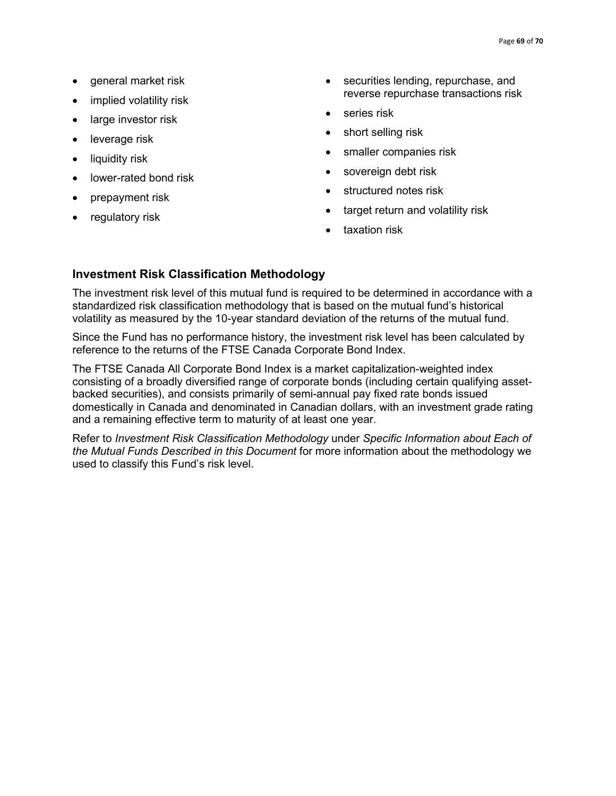- general market risk
- implied volatility risk
- large investor risk
- leverage risk
- liquidity risk
- lower-rated bond risk
- prepayment risk
- regulatory risk
- securities lending, repurchase, and reverse repurchase transactions risk
- series risk
- short selling risk
- smaller companies risk
- sovereign debt risk
- structured notes risk
- target return and volatility risk
- taxation risk

# **Investment Risk Classification Methodology**

The investment risk level of this mutual fund is required to be determined in accordance with a standardized risk classification methodology that is based on the mutual fund's historical volatility as measured by the 10-year standard deviation of the returns of the mutual fund.

Since the Fund has no performance history, the investment risk level has been calculated by reference to the returns of the FTSE Canada Corporate Bond Index.

The FTSE Canada All Corporate Bond Index is a market capitalization-weighted index consisting of a broadly diversified range of corporate bonds (including certain qualifying assetbacked securities), and consists primarily of semi-annual pay fixed rate bonds issued domestically in Canada and denominated in Canadian dollars, with an investment grade rating and a remaining effective term to maturity of at least one year.

Refer to *Investment Risk Classification Methodology* under *Specific Information about Each of the Mutual Funds Described in this Document* for more information about the methodology we used to classify this Fund's risk level.